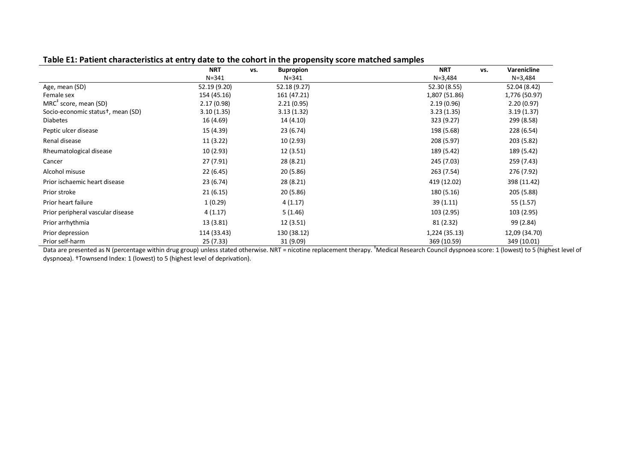|                                                | <b>NRT</b>   | <b>Bupropion</b><br>VS. | <b>NRT</b><br>VS. | <b>Varenicline</b> |
|------------------------------------------------|--------------|-------------------------|-------------------|--------------------|
|                                                | $N = 341$    | $N = 341$               | $N = 3,484$       | $N = 3,484$        |
| Age, mean (SD)                                 | 52.19 (9.20) | 52.18 (9.27)            | 52.30 (8.55)      | 52.04 (8.42)       |
| Female sex                                     | 154 (45.16)  | 161 (47.21)             | 1,807 (51.86)     | 1,776 (50.97)      |
| $MRC^{\dagger}$ score, mean (SD)               | 2.17(0.98)   | 2.21(0.95)              | 2.19(0.96)        | 2.20(0.97)         |
| Socio-economic status <sup>+</sup> , mean (SD) | 3.10(1.35)   | 3.13(1.32)              | 3.23(1.35)        | 3.19(1.37)         |
| <b>Diabetes</b>                                | 16 (4.69)    | 14 (4.10)               | 323 (9.27)        | 299 (8.58)         |
| Peptic ulcer disease                           | 15 (4.39)    | 23 (6.74)               | 198 (5.68)        | 228 (6.54)         |
| Renal disease                                  | 11(3.22)     | 10 (2.93)               | 208 (5.97)        | 203 (5.82)         |
| Rheumatological disease                        | 10 (2.93)    | 12 (3.51)               | 189 (5.42)        | 189 (5.42)         |
| Cancer                                         | 27 (7.91)    | 28 (8.21)               | 245 (7.03)        | 259 (7.43)         |
| Alcohol misuse                                 | 22 (6.45)    | 20 (5.86)               | 263 (7.54)        | 276 (7.92)         |
| Prior ischaemic heart disease                  | 23 (6.74)    | 28 (8.21)               | 419 (12.02)       | 398 (11.42)        |
| Prior stroke                                   | 21(6.15)     | 20 (5.86)               | 180 (5.16)        | 205 (5.88)         |
| Prior heart failure                            | 1(0.29)      | 4(1.17)                 | 39(1.11)          | 55 (1.57)          |
| Prior peripheral vascular disease              | 4(1.17)      | 5(1.46)                 | 103 (2.95)        | 103 (2.95)         |
| Prior arrhythmia                               | 13 (3.81)    | 12 (3.51)               | 81 (2.32)         | 99 (2.84)          |
| Prior depression                               | 114 (33.43)  | 130 (38.12)             | 1,224 (35.13)     | 12,09 (34.70)      |
| Prior self-harm                                | 25 (7.33)    | 31 (9.09)               | 369 (10.59)       | 349 (10.01)        |

Data are presented as N (percentage within drug group) unless stated otherwise. NRT = nicotine replacement therapy. <sup>‡</sup>Medical Research Council dyspnoea score: 1 (lowest) to 5 (highest level of dyspnoea). †Townsend Index: 1 (lowest) to 5 (highest level of deprivation).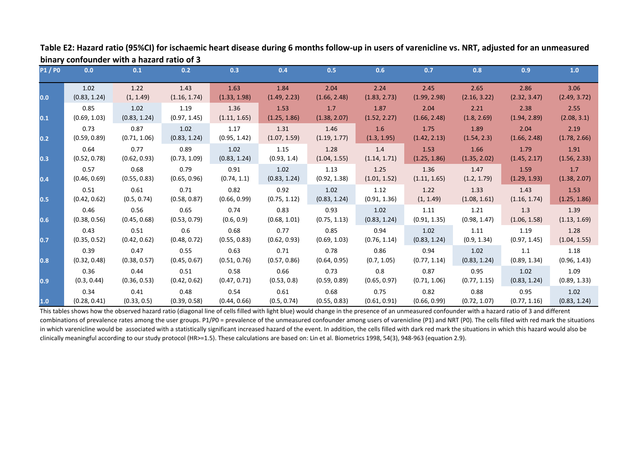| <b>P1/P0</b> | 0.0          | 0.1          | 0.2          | 0.3          | 0.4          | 0.5          | 0.6          | 0.7          | 0.8          | 0.9          | 1.0          |
|--------------|--------------|--------------|--------------|--------------|--------------|--------------|--------------|--------------|--------------|--------------|--------------|
| 0.0          | 1.02         | 1.22         | 1.43         | 1.63         | 1.84         | 2.04         | 2.24         | 2.45         | 2.65         | 2.86         | 3.06         |
|              | (0.83, 1.24) | (1, 1.49)    | (1.16, 1.74) | (1.33, 1.98) | (1.49, 2.23) | (1.66, 2.48) | (1.83, 2.73) | (1.99, 2.98) | (2.16, 3.22) | (2.32, 3.47) | (2.49, 3.72) |
|              | 0.85         | 1.02         | 1.19         | 1.36         | 1.53         | 1.7          | 1.87         | 2.04         | 2.21         | 2.38         | 2.55         |
| 0.1          | (0.69, 1.03) | (0.83, 1.24) | (0.97, 1.45) | (1.11, 1.65) | (1.25, 1.86) | (1.38, 2.07) | (1.52, 2.27) | (1.66, 2.48) | (1.8, 2.69)  | (1.94, 2.89) | (2.08, 3.1)  |
|              | 0.73         | 0.87         | 1.02         | 1.17         | 1.31         | 1.46         | 1.6          | 1.75         | 1.89         | 2.04         | 2.19         |
| 0.2          | (0.59, 0.89) | (0.71, 1.06) | (0.83, 1.24) | (0.95, 1.42) | (1.07, 1.59) | (1.19, 1.77) | (1.3, 1.95)  | (1.42, 2.13) | (1.54, 2.3)  | (1.66, 2.48) | (1.78, 2.66) |
|              | 0.64         | 0.77         | 0.89         | 1.02         | 1.15         | 1.28         | 1.4          | 1.53         | 1.66         | 1.79         | 1.91         |
| 0.3          | (0.52, 0.78) | (0.62, 0.93) | (0.73, 1.09) | (0.83, 1.24) | (0.93, 1.4)  | (1.04, 1.55) | (1.14, 1.71) | (1.25, 1.86) | (1.35, 2.02) | (1.45, 2.17) | (1.56, 2.33) |
| 0.4          | 0.57         | 0.68         | 0.79         | 0.91         | 1.02         | 1.13         | 1.25         | 1.36         | 1.47         | 1.59         | 1.7          |
|              | (0.46, 0.69) | (0.55, 0.83) | (0.65, 0.96) | (0.74, 1.1)  | (0.83, 1.24) | (0.92, 1.38) | (1.01, 1.52) | (1.11, 1.65) | (1.2, 1.79)  | (1.29, 1.93) | (1.38, 2.07) |
| 0.5          | 0.51         | 0.61         | 0.71         | 0.82         | 0.92         | 1.02         | 1.12         | 1.22         | 1.33         | 1.43         | 1.53         |
|              | (0.42, 0.62) | (0.5, 0.74)  | (0.58, 0.87) | (0.66, 0.99) | (0.75, 1.12) | (0.83, 1.24) | (0.91, 1.36) | (1, 1.49)    | (1.08, 1.61) | (1.16, 1.74) | (1.25, 1.86) |
| 0.6          | 0.46         | 0.56         | 0.65         | 0.74         | 0.83         | 0.93         | 1.02         | 1.11         | 1.21         | 1.3          | 1.39         |
|              | (0.38, 0.56) | (0.45, 0.68) | (0.53, 0.79) | (0.6, 0.9)   | (0.68, 1.01) | (0.75, 1.13) | (0.83, 1.24) | (0.91, 1.35) | (0.98, 1.47) | (1.06, 1.58) | (1.13, 1.69) |
| 0.7          | 0.43         | 0.51         | 0.6          | 0.68         | 0.77         | 0.85         | 0.94         | 1.02         | 1.11         | 1.19         | 1.28         |
|              | (0.35, 0.52) | (0.42, 0.62) | (0.48, 0.72) | (0.55, 0.83) | (0.62, 0.93) | (0.69, 1.03) | (0.76, 1.14) | (0.83, 1.24) | (0.9, 1.34)  | (0.97, 1.45) | (1.04, 1.55) |
| 0.8          | 0.39         | 0.47         | 0.55         | 0.63         | 0.71         | 0.78         | 0.86         | 0.94         | 1.02         | 1.1          | 1.18         |
|              | (0.32, 0.48) | (0.38, 0.57) | (0.45, 0.67) | (0.51, 0.76) | (0.57, 0.86) | (0.64, 0.95) | (0.7, 1.05)  | (0.77, 1.14) | (0.83, 1.24) | (0.89, 1.34) | (0.96, 1.43) |
| 0.9          | 0.36         | 0.44         | 0.51         | 0.58         | 0.66         | 0.73         | 0.8          | 0.87         | 0.95         | 1.02         | 1.09         |
|              | (0.3, 0.44)  | (0.36, 0.53) | (0.42, 0.62) | (0.47, 0.71) | (0.53, 0.8)  | (0.59, 0.89) | (0.65, 0.97) | (0.71, 1.06) | (0.77, 1.15) | (0.83, 1.24) | (0.89, 1.33) |
| 1.0          | 0.34         | 0.41         | 0.48         | 0.54         | 0.61         | 0.68         | 0.75         | 0.82         | 0.88         | 0.95         | 1.02         |
|              | (0.28, 0.41) | (0.33, 0.5)  | (0.39, 0.58) | (0.44, 0.66) | (0.5, 0.74)  | (0.55, 0.83) | (0.61, 0.91) | (0.66, 0.99) | (0.72, 1.07) | (0.77, 1.16) | (0.83, 1.24) |

**Table E2: Hazard ratio (95%CI) for ischaemic heart disease during 6 months follow-up in users of varenicline vs. NRT, adjusted for an unmeasured binary confounder with a hazard ratio of 3**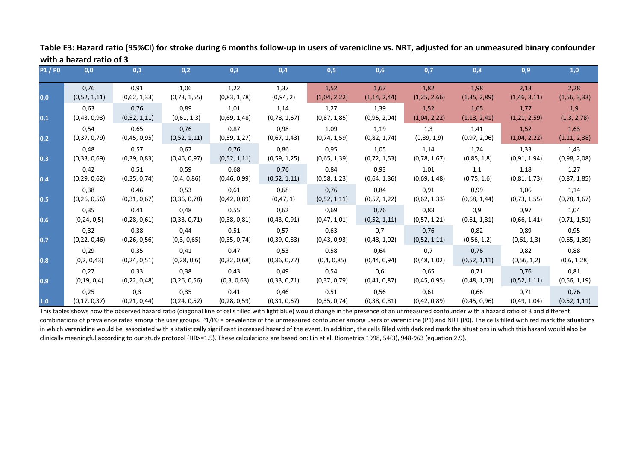| <b>P1/P0</b> | 0,0            | 0,1            | 0,2            | 0,3            | 0,4          | 0,5            | 0,6            | 0,7            | 0,8           | 0,9            | 1,0            |
|--------------|----------------|----------------|----------------|----------------|--------------|----------------|----------------|----------------|---------------|----------------|----------------|
| 0,0          | 0,76           | 0,91           | 1,06           | 1,22           | 1,37         | 1,52           | 1,67           | 1,82           | 1,98          | 2,13           | 2,28           |
|              | (0,52, 1,11)   | (0,62, 1,33)   | (0, 73, 1, 55) | (0,83, 1,78)   | (0, 94, 2)   | (1,04, 2,22)   | (1, 14, 2, 44) | (1, 25, 2, 66) | (1,35, 2,89)  | (1, 46, 3, 11) | (1,56, 3,33)   |
| 0,1          | 0,63           | 0,76           | 0,89           | 1,01           | 1,14         | 1,27           | 1,39           | 1,52           | 1,65          | 1,77           | 1,9            |
|              | (0,43,0,93)    | (0,52, 1,11)   | (0,61, 1,3)    | (0,69, 1,48)   | (0,78, 1,67) | (0,87, 1,85)   | (0,95, 2,04)   | (1,04, 2,22)   | (1,13, 2,41)  | (1,21, 2,59)   | (1,3, 2,78)    |
| 0,2          | 0,54           | 0,65           | 0,76           | 0,87           | 0,98         | 1,09           | 1,19           | 1,3            | 1,41          | 1,52           | 1,63           |
|              | (0,37,0,79)    | (0,45, 0,95)   | (0,52, 1,11)   | (0,59, 1,27)   | (0,67, 1,43) | (0, 74, 1, 59) | (0,82, 1,74)   | (0,89, 1,9)    | (0,97, 2,06)  | (1,04, 2,22)   | (1, 11, 2, 38) |
| 0,3          | 0,48           | 0,57           | 0,67           | 0,76           | 0,86         | 0,95           | 1,05           | 1,14           | 1,24          | 1,33           | 1,43           |
|              | (0,33,0,69)    | (0, 39, 0, 83) | (0,46, 0,97)   | (0,52, 1,11)   | (0,59, 1,25) | (0,65, 1,39)   | (0, 72, 1, 53) | (0,78, 1,67)   | (0,85, 1,8)   | (0,91, 1,94)   | (0,98, 2,08)   |
| 0,4          | 0,42           | 0,51           | 0,59           | 0,68           | 0,76         | 0,84           | 0,93           | 1,01           | 1,1           | 1,18           | 1,27           |
|              | (0, 29, 0, 62) | (0,35,0,74)    | (0,4,0,86)     | (0,46, 0,99)   | (0,52, 1,11) | (0,58, 1,23)   | (0,64, 1,36)   | (0,69, 1,48)   | (0, 75, 1, 6) | (0,81, 1,73)   | (0,87, 1,85)   |
| 0,5          | 0,38           | 0,46           | 0,53           | 0,61           | 0,68         | 0.76           | 0,84           | 0,91           | 0,99          | 1,06           | 1,14           |
|              | (0, 26, 0, 56) | (0,31,0,67)    | (0,36,0,78)    | (0,42,0,89)    | (0, 47, 1)   | (0,52, 1,11)   | (0,57, 1,22)   | (0,62, 1,33)   | (0,68, 1,44)  | (0, 73, 1, 55) | (0,78, 1,67)   |
| 0,6          | 0,35           | 0,41           | 0,48           | 0,55           | 0,62         | 0,69           | 0,76           | 0,83           | 0,9           | 0,97           | 1,04           |
|              | (0, 24, 0, 5)  | (0, 28, 0, 61) | (0,33,0,71)    | (0,38,0,81)    | (0,43,0,91)  | (0,47,1,01)    | (0,52, 1,11)   | (0,57, 1,21)   | (0,61, 1,31)  | (0,66, 1,41)   | (0, 71, 1, 51) |
| 0,7          | 0,32           | 0,38           | 0,44           | 0,51           | 0,57         | 0,63           | 0,7            | 0,76           | 0,82          | 0,89           | 0,95           |
|              | (0, 22, 0, 46) | (0, 26, 0, 56) | (0,3,0,65)     | (0,35,0,74)    | (0,39,0,83)  | (0,43,0,93)    | (0,48, 1,02)   | (0,52, 1,11)   | (0,56, 1,2)   | (0,61, 1,3)    | (0,65, 1,39)   |
| 0,8          | 0,29           | 0,35           | 0,41           | 0,47           | 0,53         | 0,58           | 0,64           | 0,7            | 0,76          | 0,82           | 0,88           |
|              | (0,2, 0,43)    | (0, 24, 0, 51) | (0, 28, 0, 6)  | (0,32,0,68)    | (0,36, 0,77) | (0,4,0,85)     | (0,44,0,94)    | (0,48, 1,02)   | (0,52, 1,11)  | (0,56, 1,2)    | (0,6, 1,28)    |
| 0.9          | 0,27           | 0,33           | 0,38           | 0,43           | 0,49         | 0,54           | 0,6            | 0,65           | 0,71          | 0,76           | 0,81           |
|              | (0, 19, 0, 4)  | (0, 22, 0, 48) | (0, 26, 0, 56) | (0,3,0,63)     | (0,33,0,71)  | (0,37,0,79)    | (0,41,0,87)    | (0,45, 0,95)   | (0,48, 1,03)  | (0,52, 1,11)   | (0,56, 1,19)   |
| 1,0          | 0,25           | 0,3            | 0,35           | 0,41           | 0,46         | 0,51           | 0,56           | 0,61           | 0,66          | 0,71           | 0,76           |
|              | (0, 17, 0, 37) | (0, 21, 0, 44) | (0, 24, 0, 52) | (0, 28, 0, 59) | (0,31,0,67)  | (0,35,0,74)    | (0,38,0,81)    | (0,42,0,89)    | (0,45,0,96)   | (0,49, 1,04)   | (0,52, 1,11)   |

**Table E3: Hazard ratio (95%CI) for stroke during 6 months follow-up in users of varenicline vs. NRT, adjusted for an unmeasured binary confounder with a hazard ratio of 3**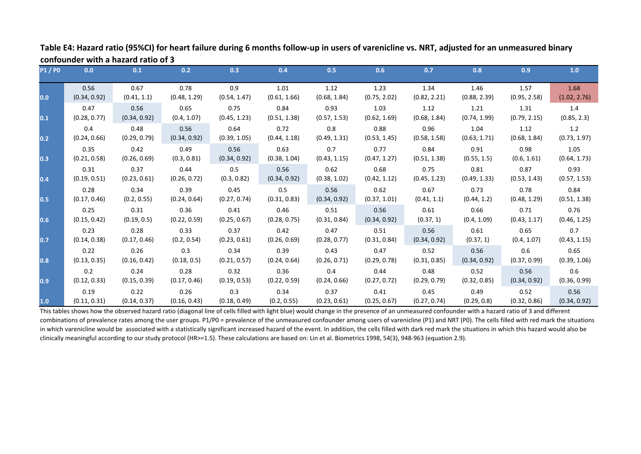| <b>P1/P0</b> | 0.0          | 0.1          | 0.2          | 0.3          | 0.4          | 0.5          | 0.6          | 0.7          | 0.8          | 0.9          | 1.0          |
|--------------|--------------|--------------|--------------|--------------|--------------|--------------|--------------|--------------|--------------|--------------|--------------|
| 0.0          | 0.56         | 0.67         | 0.78         | 0.9          | 1.01         | 1.12         | 1.23         | 1.34         | 1.46         | 1.57         | 1.68         |
|              | (0.34, 0.92) | (0.41, 1.1)  | (0.48, 1.29) | (0.54, 1.47) | (0.61, 1.66) | (0.68, 1.84) | (0.75, 2.02) | (0.82, 2.21) | (0.88, 2.39) | (0.95, 2.58) | (1.02, 2.76) |
| 0.1          | 0.47         | 0.56         | 0.65         | 0.75         | 0.84         | 0.93         | 1.03         | 1.12         | 1.21         | 1.31         | 1.4          |
|              | (0.28, 0.77) | (0.34, 0.92) | (0.4, 1.07)  | (0.45, 1.23) | (0.51, 1.38) | (0.57, 1.53) | (0.62, 1.69) | (0.68, 1.84) | (0.74, 1.99) | (0.79, 2.15) | (0.85, 2.3)  |
| 0.2          | 0.4          | 0.48         | 0.56         | 0.64         | 0.72         | 0.8          | 0.88         | 0.96         | 1.04         | 1.12         | 1.2          |
|              | (0.24, 0.66) | (0.29, 0.79) | (0.34, 0.92) | (0.39, 1.05) | (0.44, 1.18) | (0.49, 1.31) | (0.53, 1.45) | (0.58, 1.58) | (0.63, 1.71) | (0.68, 1.84) | (0.73, 1.97) |
| 0.3          | 0.35         | 0.42         | 0.49         | 0.56         | 0.63         | 0.7          | 0.77         | 0.84         | 0.91         | 0.98         | 1.05         |
|              | (0.21, 0.58) | (0.26, 0.69) | (0.3, 0.81)  | (0.34, 0.92) | (0.38, 1.04) | (0.43, 1.15) | (0.47, 1.27) | (0.51, 1.38) | (0.55, 1.5)  | (0.6, 1.61)  | (0.64, 1.73) |
| 0.4          | 0.31         | 0.37         | 0.44         | 0.5          | 0.56         | 0.62         | 0.68         | 0.75         | 0.81         | 0.87         | 0.93         |
|              | (0.19, 0.51) | (0.23, 0.61) | (0.26, 0.72) | (0.3, 0.82)  | (0.34, 0.92) | (0.38, 1.02) | (0.42, 1.12) | (0.45, 1.23) | (0.49, 1.33) | (0.53, 1.43) | (0.57, 1.53) |
| 0.5          | 0.28         | 0.34         | 0.39         | 0.45         | 0.5          | 0.56         | 0.62         | 0.67         | 0.73         | 0.78         | 0.84         |
|              | (0.17, 0.46) | (0.2, 0.55)  | (0.24, 0.64) | (0.27, 0.74) | (0.31, 0.83) | (0.34, 0.92) | (0.37, 1.01) | (0.41, 1.1)  | (0.44, 1.2)  | (0.48, 1.29) | (0.51, 1.38) |
| 0.6          | 0.25         | 0.31         | 0.36         | 0.41         | 0.46         | 0.51         | 0.56         | 0.61         | 0.66         | 0.71         | 0.76         |
|              | (0.15, 0.42) | (0.19, 0.5)  | (0.22, 0.59) | (0.25, 0.67) | (0.28, 0.75) | (0.31, 0.84) | (0.34, 0.92) | (0.37, 1)    | (0.4, 1.09)  | (0.43, 1.17) | (0.46, 1.25) |
| 0.7          | 0.23         | 0.28         | 0.33         | 0.37         | 0.42         | 0.47         | 0.51         | 0.56         | 0.61         | 0.65         | 0.7          |
|              | (0.14, 0.38) | (0.17, 0.46) | (0.2, 0.54)  | (0.23, 0.61) | (0.26, 0.69) | (0.28, 0.77) | (0.31, 0.84) | (0.34, 0.92) | (0.37, 1)    | (0.4, 1.07)  | (0.43, 1.15) |
| 0.8          | 0.22         | 0.26         | 0.3          | 0.34         | 0.39         | 0.43         | 0.47         | 0.52         | 0.56         | 0.6          | 0.65         |
|              | (0.13, 0.35) | (0.16, 0.42) | (0.18, 0.5)  | (0.21, 0.57) | (0.24, 0.64) | (0.26, 0.71) | (0.29, 0.78) | (0.31, 0.85) | (0.34, 0.92) | (0.37, 0.99) | (0.39, 1.06) |
| 0.9          | 0.2          | 0.24         | 0.28         | 0.32         | 0.36         | 0.4          | 0.44         | 0.48         | 0.52         | 0.56         | 0.6          |
|              | (0.12, 0.33) | (0.15, 0.39) | (0.17, 0.46) | (0.19, 0.53) | (0.22, 0.59) | (0.24, 0.66) | (0.27, 0.72) | (0.29, 0.79) | (0.32, 0.85) | (0.34, 0.92) | (0.36, 0.99) |
| 1.0          | 0.19         | 0.22         | 0.26         | 0.3          | 0.34         | 0.37         | 0.41         | 0.45         | 0.49         | 0.52         | 0.56         |
|              | (0.11, 0.31) | (0.14, 0.37) | (0.16, 0.43) | (0.18, 0.49) | (0.2, 0.55)  | (0.23, 0.61) | (0.25, 0.67) | (0.27, 0.74) | (0.29, 0.8)  | (0.32, 0.86) | (0.34, 0.92) |

**Table E4: Hazard ratio (95%CI) for heart failure during 6 months follow-up in users of varenicline vs. NRT, adjusted for an unmeasured binary confounder with a hazard ratio of 3**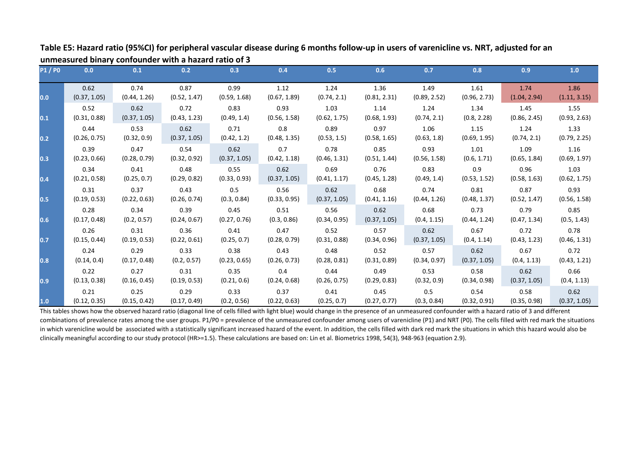| <b>P1/P0</b> | 0.0          | 0.1          | 0.2          | 0.3          | 0.4          | 0.5          | 0.6          | 0.7          | 0.8          | 0.9          | 1.0          |
|--------------|--------------|--------------|--------------|--------------|--------------|--------------|--------------|--------------|--------------|--------------|--------------|
| 0.0          | 0.62         | 0.74         | 0.87         | 0.99         | 1.12         | 1.24         | 1.36         | 1.49         | 1.61         | 1.74         | 1.86         |
|              | (0.37, 1.05) | (0.44, 1.26) | (0.52, 1.47) | (0.59, 1.68) | (0.67, 1.89) | (0.74, 2.1)  | (0.81, 2.31) | (0.89, 2.52) | (0.96, 2.73) | (1.04, 2.94) | (1.11, 3.15) |
| 0.1          | 0.52         | 0.62         | 0.72         | 0.83         | 0.93         | 1.03         | 1.14         | 1.24         | 1.34         | 1.45         | 1.55         |
|              | (0.31, 0.88) | (0.37, 1.05) | (0.43, 1.23) | (0.49, 1.4)  | (0.56, 1.58) | (0.62, 1.75) | (0.68, 1.93) | (0.74, 2.1)  | (0.8, 2.28)  | (0.86, 2.45) | (0.93, 2.63) |
| 0.2          | 0.44         | 0.53         | 0.62         | 0.71         | 0.8          | 0.89         | 0.97         | 1.06         | 1.15         | 1.24         | 1.33         |
|              | (0.26, 0.75) | (0.32, 0.9)  | (0.37, 1.05) | (0.42, 1.2)  | (0.48, 1.35) | (0.53, 1.5)  | (0.58, 1.65) | (0.63, 1.8)  | (0.69, 1.95) | (0.74, 2.1)  | (0.79, 2.25) |
| 0.3          | 0.39         | 0.47         | 0.54         | 0.62         | 0.7          | 0.78         | 0.85         | 0.93         | 1.01         | 1.09         | 1.16         |
|              | (0.23, 0.66) | (0.28, 0.79) | (0.32, 0.92) | (0.37, 1.05) | (0.42, 1.18) | (0.46, 1.31) | (0.51, 1.44) | (0.56, 1.58) | (0.6, 1.71)  | (0.65, 1.84) | (0.69, 1.97) |
| 0.4          | 0.34         | 0.41         | 0.48         | 0.55         | 0.62         | 0.69         | 0.76         | 0.83         | 0.9          | 0.96         | 1.03         |
|              | (0.21, 0.58) | (0.25, 0.7)  | (0.29, 0.82) | (0.33, 0.93) | (0.37, 1.05) | (0.41, 1.17) | (0.45, 1.28) | (0.49, 1.4)  | (0.53, 1.52) | (0.58, 1.63) | (0.62, 1.75) |
| 0.5          | 0.31         | 0.37         | 0.43         | 0.5          | 0.56         | 0.62         | 0.68         | 0.74         | 0.81         | 0.87         | 0.93         |
|              | (0.19, 0.53) | (0.22, 0.63) | (0.26, 0.74) | (0.3, 0.84)  | (0.33, 0.95) | (0.37, 1.05) | (0.41, 1.16) | (0.44, 1.26) | (0.48, 1.37) | (0.52, 1.47) | (0.56, 1.58) |
| 0.6          | 0.28         | 0.34         | 0.39         | 0.45         | 0.51         | 0.56         | 0.62         | 0.68         | 0.73         | 0.79         | 0.85         |
|              | (0.17, 0.48) | (0.2, 0.57)  | (0.24, 0.67) | (0.27, 0.76) | (0.3, 0.86)  | (0.34, 0.95) | (0.37, 1.05) | (0.4, 1.15)  | (0.44, 1.24) | (0.47, 1.34) | (0.5, 1.43)  |
| 0.7          | 0.26         | 0.31         | 0.36         | 0.41         | 0.47         | 0.52         | 0.57         | 0.62         | 0.67         | 0.72         | 0.78         |
|              | (0.15, 0.44) | (0.19, 0.53) | (0.22, 0.61) | (0.25, 0.7)  | (0.28, 0.79) | (0.31, 0.88) | (0.34, 0.96) | (0.37, 1.05) | (0.4, 1.14)  | (0.43, 1.23) | (0.46, 1.31) |
| 0.8          | 0.24         | 0.29         | 0.33         | 0.38         | 0.43         | 0.48         | 0.52         | 0.57         | 0.62         | 0.67         | 0.72         |
|              | (0.14, 0.4)  | (0.17, 0.48) | (0.2, 0.57)  | (0.23, 0.65) | (0.26, 0.73) | (0.28, 0.81) | (0.31, 0.89) | (0.34, 0.97) | (0.37, 1.05) | (0.4, 1.13)  | (0.43, 1.21) |
| 0.9          | 0.22         | 0.27         | 0.31         | 0.35         | 0.4          | 0.44         | 0.49         | 0.53         | 0.58         | 0.62         | 0.66         |
|              | (0.13, 0.38) | (0.16, 0.45) | (0.19, 0.53) | (0.21, 0.6)  | (0.24, 0.68) | (0.26, 0.75) | (0.29, 0.83) | (0.32, 0.9)  | (0.34, 0.98) | (0.37, 1.05) | (0.4, 1.13)  |
| 1.0          | 0.21         | 0.25         | 0.29         | 0.33         | 0.37         | 0.41         | 0.45         | 0.5          | 0.54         | 0.58         | 0.62         |
|              | (0.12, 0.35) | (0.15, 0.42) | (0.17, 0.49) | (0.2, 0.56)  | (0.22, 0.63) | (0.25, 0.7)  | (0.27, 0.77) | (0.3, 0.84)  | (0.32, 0.91) | (0.35, 0.98) | (0.37, 1.05) |

**Table E5: Hazard ratio (95%CI) for peripheral vascular disease during 6 months follow-up in users of varenicline vs. NRT, adjusted for an unmeasured binary confounder with a hazard ratio of 3**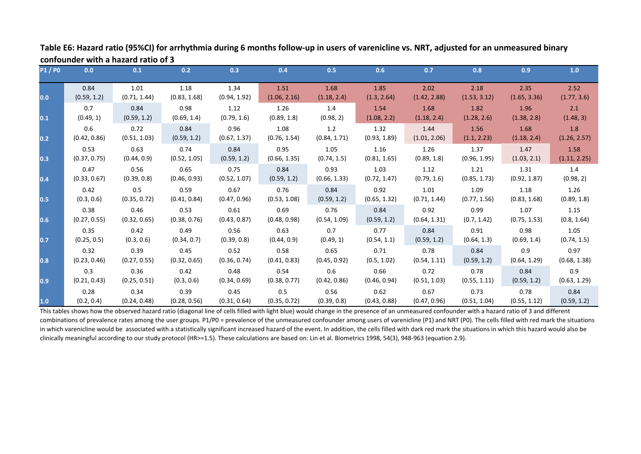| <b>P1/P0</b>     | 0.0          | 0.1          | 0.2          | 0.3          | 0.4          | 0.5          | 0.6          | 0.7          | 0.8          | 0.9          | 1.0          |
|------------------|--------------|--------------|--------------|--------------|--------------|--------------|--------------|--------------|--------------|--------------|--------------|
| 0.0              | 0.84         | 1.01         | 1.18         | 1.34         | 1.51         | 1.68         | 1.85         | 2.02         | 2.18         | 2.35         | 2.52         |
|                  | (0.59, 1.2)  | (0.71, 1.44) | (0.83, 1.68) | (0.94, 1.92) | (1.06, 2.16) | (1.18, 2.4)  | (1.3, 2.64)  | (1.42, 2.88) | (1.53, 3.12) | (1.65, 3.36) | (1.77, 3.6)  |
| 0.1              | 0.7          | 0.84         | 0.98         | 1.12         | 1.26         | 1.4          | 1.54         | 1.68         | 1.82         | 1.96         | 2.1          |
|                  | (0.49, 1)    | (0.59, 1.2)  | (0.69, 1.4)  | (0.79, 1.6)  | (0.89, 1.8)  | (0.98, 2)    | (1.08, 2.2)  | (1.18, 2.4)  | (1.28, 2.6)  | (1.38, 2.8)  | (1.48, 3)    |
| 0.2              | 0.6          | 0.72         | 0.84         | 0.96         | 1.08         | 1.2          | 1.32         | 1.44         | 1.56         | 1.68         | 1.8          |
|                  | (0.42, 0.86) | (0.51, 1.03) | (0.59, 1.2)  | (0.67, 1.37) | (0.76, 1.54) | (0.84, 1.71) | (0.93, 1.89) | (1.01, 2.06) | (1.1, 2.23)  | (1.18, 2.4)  | (1.26, 2.57) |
| 0.3              | 0.53         | 0.63         | 0.74         | 0.84         | 0.95         | 1.05         | 1.16         | 1.26         | 1.37         | 1.47         | 1.58         |
|                  | (0.37, 0.75) | (0.44, 0.9)  | (0.52, 1.05) | (0.59, 1.2)  | (0.66, 1.35) | (0.74, 1.5)  | (0.81, 1.65) | (0.89, 1.8)  | (0.96, 1.95) | (1.03, 2.1)  | (1.11, 2.25) |
| 0.4              | 0.47         | 0.56         | 0.65         | 0.75         | 0.84         | 0.93         | 1.03         | 1.12         | 1.21         | 1.31         | 1.4          |
|                  | (0.33, 0.67) | (0.39, 0.8)  | (0.46, 0.93) | (0.52, 1.07) | (0.59, 1.2)  | (0.66, 1.33) | (0.72, 1.47) | (0.79, 1.6)  | (0.85, 1.73) | (0.92, 1.87) | (0.98, 2)    |
| 0.5              | 0.42         | 0.5          | 0.59         | 0.67         | 0.76         | 0.84         | 0.92         | 1.01         | 1.09         | 1.18         | 1.26         |
|                  | (0.3, 0.6)   | (0.35, 0.72) | (0.41, 0.84) | (0.47, 0.96) | (0.53, 1.08) | (0.59, 1.2)  | (0.65, 1.32) | (0.71, 1.44) | (0.77, 1.56) | (0.83, 1.68) | (0.89, 1.8)  |
| 0.6              | 0.38         | 0.46         | 0.53         | 0.61         | 0.69         | 0.76         | 0.84         | 0.92         | 0.99         | 1.07         | 1.15         |
|                  | (0.27, 0.55) | (0.32, 0.65) | (0.38, 0.76) | (0.43, 0.87) | (0.48, 0.98) | (0.54, 1.09) | (0.59, 1.2)  | (0.64, 1.31) | (0.7, 1.42)  | (0.75, 1.53) | (0.8, 1.64)  |
| $\overline{0.7}$ | 0.35         | 0.42         | 0.49         | 0.56         | 0.63         | 0.7          | 0.77         | 0.84         | 0.91         | 0.98         | 1.05         |
|                  | (0.25, 0.5)  | (0.3, 0.6)   | (0.34, 0.7)  | (0.39, 0.8)  | (0.44, 0.9)  | (0.49, 1)    | (0.54, 1.1)  | (0.59, 1.2)  | (0.64, 1.3)  | (0.69, 1.4)  | (0.74, 1.5)  |
| 0.8              | 0.32         | 0.39         | 0.45         | 0.52         | 0.58         | 0.65         | 0.71         | 0.78         | 0.84         | 0.9          | 0.97         |
|                  | (0.23, 0.46) | (0.27, 0.55) | (0.32, 0.65) | (0.36, 0.74) | (0.41, 0.83) | (0.45, 0.92) | (0.5, 1.02)  | (0.54, 1.11) | (0.59, 1.2)  | (0.64, 1.29) | (0.68, 1.38) |
| $\overline{0.9}$ | 0.3          | 0.36         | 0.42         | 0.48         | 0.54         | 0.6          | 0.66         | 0.72         | 0.78         | 0.84         | 0.9          |
|                  | (0.21, 0.43) | (0.25, 0.51) | (0.3, 0.6)   | (0.34, 0.69) | (0.38, 0.77) | (0.42, 0.86) | (0.46, 0.94) | (0.51, 1.03) | (0.55, 1.11) | (0.59, 1.2)  | (0.63, 1.29) |
| 1.0              | 0.28         | 0.34         | 0.39         | 0.45         | 0.5          | 0.56         | 0.62         | 0.67         | 0.73         | 0.78         | 0.84         |
|                  | (0.2, 0.4)   | (0.24, 0.48) | (0.28, 0.56) | (0.31, 0.64) | (0.35, 0.72) | (0.39, 0.8)  | (0.43, 0.88) | (0.47, 0.96) | (0.51, 1.04) | (0.55, 1.12) | (0.59, 1.2)  |

**Table E6: Hazard ratio (95%CI) for arrhythmia during 6 months follow-up in users of varenicline vs. NRT, adjusted for an unmeasured binary confounder with a hazard ratio of 3**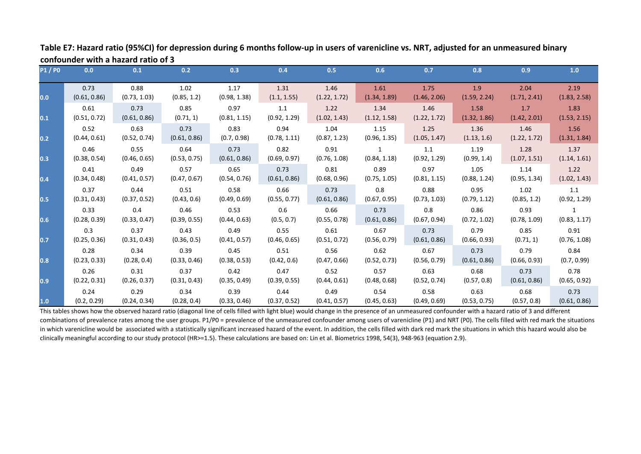| <b>P1/P0</b> | 0.0          | 0.1          | 0.2          | 0.3          | 0.4          | 0.5          | 0.6          | 0.7          | 0.8          | 0.9          | 1.0          |
|--------------|--------------|--------------|--------------|--------------|--------------|--------------|--------------|--------------|--------------|--------------|--------------|
| 0.0          | 0.73         | 0.88         | 1.02         | 1.17         | 1.31         | 1.46         | 1.61         | 1.75         | 1.9          | 2.04         | 2.19         |
|              | (0.61, 0.86) | (0.73, 1.03) | (0.85, 1.2)  | (0.98, 1.38) | (1.1, 1.55)  | (1.22, 1.72) | (1.34, 1.89) | (1.46, 2.06) | (1.59, 2.24) | (1.71, 2.41) | (1.83, 2.58) |
| 0.1          | 0.61         | 0.73         | 0.85         | 0.97         | 1.1          | 1.22         | 1.34         | 1.46         | 1.58         | 1.7          | 1.83         |
|              | (0.51, 0.72) | (0.61, 0.86) | (0.71, 1)    | (0.81, 1.15) | (0.92, 1.29) | (1.02, 1.43) | (1.12, 1.58) | (1.22, 1.72) | (1.32, 1.86) | (1.42, 2.01) | (1.53, 2.15) |
| 0.2          | 0.52         | 0.63         | 0.73         | 0.83         | 0.94         | 1.04         | 1.15         | 1.25         | 1.36         | 1.46         | 1.56         |
|              | (0.44, 0.61) | (0.52, 0.74) | (0.61, 0.86) | (0.7, 0.98)  | (0.78, 1.11) | (0.87, 1.23) | (0.96, 1.35) | (1.05, 1.47) | (1.13, 1.6)  | (1.22, 1.72) | (1.31, 1.84) |
| 0.3          | 0.46         | 0.55         | 0.64         | 0.73         | 0.82         | 0.91         | 1            | 1.1          | 1.19         | 1.28         | 1.37         |
|              | (0.38, 0.54) | (0.46, 0.65) | (0.53, 0.75) | (0.61, 0.86) | (0.69, 0.97) | (0.76, 1.08) | (0.84, 1.18) | (0.92, 1.29) | (0.99, 1.4)  | (1.07, 1.51) | (1.14, 1.61) |
| 0.4          | 0.41         | 0.49         | 0.57         | 0.65         | 0.73         | 0.81         | 0.89         | 0.97         | 1.05         | 1.14         | 1.22         |
|              | (0.34, 0.48) | (0.41, 0.57) | (0.47, 0.67) | (0.54, 0.76) | (0.61, 0.86) | (0.68, 0.96) | (0.75, 1.05) | (0.81, 1.15) | (0.88, 1.24) | (0.95, 1.34) | (1.02, 1.43) |
| 0.5          | 0.37         | 0.44         | 0.51         | 0.58         | 0.66         | 0.73         | 0.8          | 0.88         | 0.95         | 1.02         | 1.1          |
|              | (0.31, 0.43) | (0.37, 0.52) | (0.43, 0.6)  | (0.49, 0.69) | (0.55, 0.77) | (0.61, 0.86) | (0.67, 0.95) | (0.73, 1.03) | (0.79, 1.12) | (0.85, 1.2)  | (0.92, 1.29) |
| 0.6          | 0.33         | 0.4          | 0.46         | 0.53         | 0.6          | 0.66         | 0.73         | 0.8          | 0.86         | 0.93         | $\mathbf{1}$ |
|              | (0.28, 0.39) | (0.33, 0.47) | (0.39, 0.55) | (0.44, 0.63) | (0.5, 0.7)   | (0.55, 0.78) | (0.61, 0.86) | (0.67, 0.94) | (0.72, 1.02) | (0.78, 1.09) | (0.83, 1.17) |
| 0.7          | 0.3          | 0.37         | 0.43         | 0.49         | 0.55         | 0.61         | 0.67         | 0.73         | 0.79         | 0.85         | 0.91         |
|              | (0.25, 0.36) | (0.31, 0.43) | (0.36, 0.5)  | (0.41, 0.57) | (0.46, 0.65) | (0.51, 0.72) | (0.56, 0.79) | (0.61, 0.86) | (0.66, 0.93) | (0.71, 1)    | (0.76, 1.08) |
| 0.8          | 0.28         | 0.34         | 0.39         | 0.45         | 0.51         | 0.56         | 0.62         | 0.67         | 0.73         | 0.79         | 0.84         |
|              | (0.23, 0.33) | (0.28, 0.4)  | (0.33, 0.46) | (0.38, 0.53) | (0.42, 0.6)  | (0.47, 0.66) | (0.52, 0.73) | (0.56, 0.79) | (0.61, 0.86) | (0.66, 0.93) | (0.7, 0.99)  |
| 0.9          | 0.26         | 0.31         | 0.37         | 0.42         | 0.47         | 0.52         | 0.57         | 0.63         | 0.68         | 0.73         | 0.78         |
|              | (0.22, 0.31) | (0.26, 0.37) | (0.31, 0.43) | (0.35, 0.49) | (0.39, 0.55) | (0.44, 0.61) | (0.48, 0.68) | (0.52, 0.74) | (0.57, 0.8)  | (0.61, 0.86) | (0.65, 0.92) |
| 1.0          | 0.24         | 0.29         | 0.34         | 0.39         | 0.44         | 0.49         | 0.54         | 0.58         | 0.63         | 0.68         | 0.73         |
|              | (0.2, 0.29)  | (0.24, 0.34) | (0.28, 0.4)  | (0.33, 0.46) | (0.37, 0.52) | (0.41, 0.57) | (0.45, 0.63) | (0.49, 0.69) | (0.53, 0.75) | (0.57, 0.8)  | (0.61, 0.86) |

**Table E7: Hazard ratio (95%CI) for depression during 6 months follow-up in users of varenicline vs. NRT, adjusted for an unmeasured binary confounder with a hazard ratio of 3**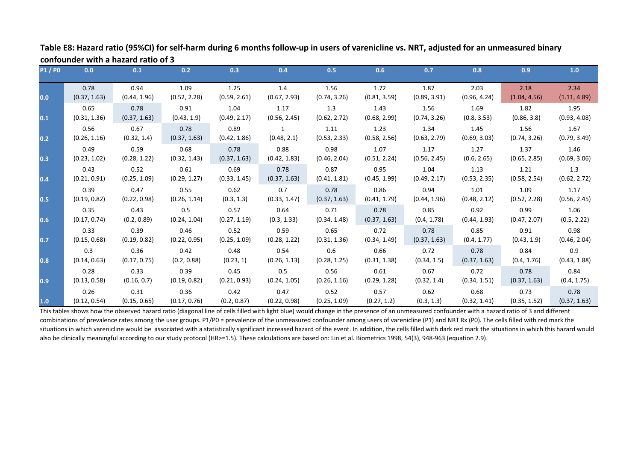| <b>P1/P0</b> | 0.0          | 0.1          | 0.2          | 0.3          | 0.4          | 0.5          | 0.6          | 0.7          | 0.8          | 0.9          | 1.0          |
|--------------|--------------|--------------|--------------|--------------|--------------|--------------|--------------|--------------|--------------|--------------|--------------|
| 0.0          | 0.78         | 0.94         | 1.09         | 1.25         | 1.4          | 1.56         | 1.72         | 1.87         | 2.03         | 2.18         | 2.34         |
|              | (0.37, 1.63) | (0.44, 1.96) | (0.52, 2.28) | (0.59, 2.61) | (0.67, 2.93) | (0.74, 3.26) | (0.81, 3.59) | (0.89, 3.91) | (0.96, 4.24) | (1.04, 4.56) | (1.11, 4.89) |
| 0.1          | 0.65         | 0.78         | 0.91         | 1.04         | 1.17         | 1.3          | 1.43         | 1.56         | 1.69         | 1.82         | 1.95         |
|              | (0.31, 1.36) | (0.37, 1.63) | (0.43, 1.9)  | (0.49, 2.17) | (0.56, 2.45) | (0.62, 2.72) | (0.68, 2.99) | (0.74, 3.26) | (0.8, 3.53)  | (0.86, 3.8)  | (0.93, 4.08) |
| 0.2          | 0.56         | 0.67         | 0.78         | 0.89         | 1            | 1.11         | 1.23         | 1.34         | 1.45         | 1.56         | 1.67         |
|              | (0.26, 1.16) | (0.32, 1.4)  | (0.37, 1.63) | (0.42, 1.86) | (0.48, 2.1)  | (0.53, 2.33) | (0.58, 2.56) | (0.63, 2.79) | (0.69, 3.03) | (0.74, 3.26) | (0.79, 3.49) |
| 0.3          | 0.49         | 0.59         | 0.68         | 0.78         | 0.88         | 0.98         | 1.07         | 1.17         | 1.27         | 1.37         | 1.46         |
|              | (0.23, 1.02) | (0.28, 1.22) | (0.32, 1.43) | (0.37, 1.63) | (0.42, 1.83) | (0.46, 2.04) | (0.51, 2.24) | (0.56, 2.45) | (0.6, 2.65)  | (0.65, 2.85) | (0.69, 3.06) |
| 0.4          | 0.43         | 0.52         | 0.61         | 0.69         | 0.78         | 0.87         | 0.95         | 1.04         | 1.13         | 1.21         | 1.3          |
|              | (0.21, 0.91) | (0.25, 1.09) | (0.29, 1.27) | (0.33, 1.45) | (0.37, 1.63) | (0.41, 1.81) | (0.45, 1.99) | (0.49, 2.17) | (0.53, 2.35) | (0.58, 2.54) | (0.62, 2.72) |
| 0.5          | 0.39         | 0.47         | 0.55         | 0.62         | 0.7          | 0.78         | 0.86         | 0.94         | 1.01         | 1.09         | 1.17         |
|              | (0.19, 0.82) | (0.22, 0.98) | (0.26, 1.14) | (0.3, 1.3)   | (0.33, 1.47) | (0.37, 1.63) | (0.41, 1.79) | (0.44, 1.96) | (0.48, 2.12) | (0.52, 2.28) | (0.56, 2.45) |
| 0.6          | 0.35         | 0.43         | 0.5          | 0.57         | 0.64         | 0.71         | 0.78         | 0.85         | 0.92         | 0.99         | 1.06         |
|              | (0.17, 0.74) | (0.2, 0.89)  | (0.24, 1.04) | (0.27, 1.19) | (0.3, 1.33)  | (0.34, 1.48) | (0.37, 1.63) | (0.4, 1.78)  | (0.44, 1.93) | (0.47, 2.07) | (0.5, 2.22)  |
| 0.7          | 0.33         | 0.39         | 0.46         | 0.52         | 0.59         | 0.65         | 0.72         | 0.78         | 0.85         | 0.91         | 0.98         |
|              | (0.15, 0.68) | (0.19, 0.82) | (0.22, 0.95) | (0.25, 1.09) | (0.28, 1.22) | (0.31, 1.36) | (0.34, 1.49) | (0.37, 1.63) | (0.4, 1.77)  | (0.43, 1.9)  | (0.46, 2.04) |
| 0.8          | 0.3          | 0.36         | 0.42         | 0.48         | 0.54         | 0.6          | 0.66         | 0.72         | 0.78         | 0.84         | 0.9          |
|              | (0.14, 0.63) | (0.17, 0.75) | (0.2, 0.88)  | (0.23, 1)    | (0.26, 1.13) | (0.28, 1.25) | (0.31, 1.38) | (0.34, 1.5)  | (0.37, 1.63) | (0.4, 1.76)  | (0.43, 1.88) |
| 0.9          | 0.28         | 0.33         | 0.39         | 0.45         | 0.5          | 0.56         | 0.61         | 0.67         | 0.72         | 0.78         | 0.84         |
|              | (0.13, 0.58) | (0.16, 0.7)  | (0.19, 0.82) | (0.21, 0.93) | (0.24, 1.05) | (0.26, 1.16) | (0.29, 1.28) | (0.32, 1.4)  | (0.34, 1.51) | (0.37, 1.63) | (0.4, 1.75)  |
| 1.0          | 0.26         | 0.31         | 0.36         | 0.42         | 0.47         | 0.52         | 0.57         | 0.62         | 0.68         | 0.73         | 0.78         |
|              | (0.12, 0.54) | (0.15, 0.65) | (0.17, 0.76) | (0.2, 0.87)  | (0.22, 0.98) | (0.25, 1.09) | (0.27, 1.2)  | (0.3, 1.3)   | (0.32, 1.41) | (0.35, 1.52) | (0.37, 1.63) |

**Table E8: Hazard ratio (95%CI) for self-harm during 6 months follow-up in users of varenicline vs. NRT, adjusted for an unmeasured binary confounder with a hazard ratio of 3**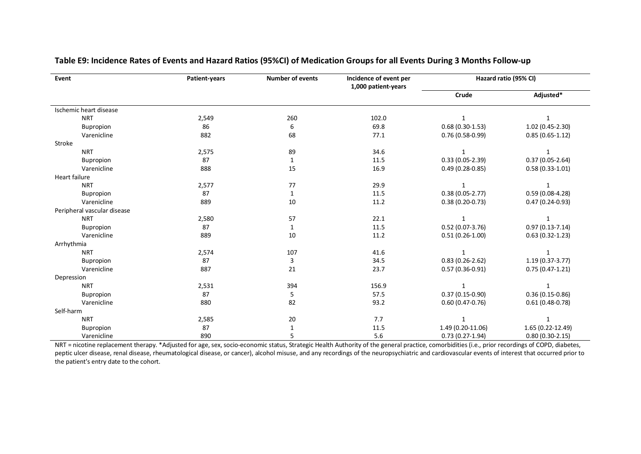| Event                       | Patient-years | <b>Number of events</b> | Incidence of event per<br>1,000 patient-years |                     | Hazard ratio (95% CI) |
|-----------------------------|---------------|-------------------------|-----------------------------------------------|---------------------|-----------------------|
|                             |               |                         |                                               | Crude               | Adjusted*             |
| Ischemic heart disease      |               |                         |                                               |                     |                       |
| <b>NRT</b>                  | 2,549         | 260                     | 102.0                                         | $\mathbf{1}$        | $\mathbf{1}$          |
| Bupropion                   | 86            | 6                       | 69.8                                          | $0.68(0.30-1.53)$   | 1.02 (0.45-2.30)      |
| Varenicline                 | 882           | 68                      | 77.1                                          | $0.76(0.58-0.99)$   | $0.85(0.65-1.12)$     |
| Stroke                      |               |                         |                                               |                     |                       |
| <b>NRT</b>                  | 2,575         | 89                      | 34.6                                          | $\mathbf{1}$        | 1                     |
| Bupropion                   | 87            | 1                       | 11.5                                          | $0.33(0.05-2.39)$   | $0.37(0.05-2.64)$     |
| Varenicline                 | 888           | 15                      | 16.9                                          | $0.49(0.28-0.85)$   | $0.58(0.33 - 1.01)$   |
| Heart failure               |               |                         |                                               |                     |                       |
| <b>NRT</b>                  | 2,577         | 77                      | 29.9                                          | $\mathbf{1}$        | 1                     |
| Bupropion                   | 87            | $\mathbf{1}$            | 11.5                                          | $0.38(0.05-2.77)$   | $0.59(0.08-4.28)$     |
| Varenicline                 | 889           | 10                      | 11.2                                          | $0.38(0.20-0.73)$   | $0.47(0.24-0.93)$     |
| Peripheral vascular disease |               |                         |                                               |                     |                       |
| <b>NRT</b>                  | 2,580         | 57                      | 22.1                                          | $\mathbf{1}$        | 1                     |
| Bupropion                   | 87            | 1                       | 11.5                                          | $0.52(0.07-3.76)$   | $0.97(0.13 - 7.14)$   |
| Varenicline                 | 889           | 10                      | 11.2                                          | $0.51(0.26-1.00)$   | $0.63(0.32 - 1.23)$   |
| Arrhythmia                  |               |                         |                                               |                     |                       |
| <b>NRT</b>                  | 2,574         | 107                     | 41.6                                          | $\mathbf{1}$        | 1                     |
| Bupropion                   | 87            | 3                       | 34.5                                          | $0.83(0.26-2.62)$   | 1.19 (0.37-3.77)      |
| Varenicline                 | 887           | 21                      | 23.7                                          | $0.57(0.36-0.91)$   | $0.75(0.47-1.21)$     |
| Depression                  |               |                         |                                               |                     |                       |
| <b>NRT</b>                  | 2,531         | 394                     | 156.9                                         | $\mathbf{1}$        | $\mathbf{1}$          |
| Bupropion                   | 87            | 5                       | 57.5                                          | $0.37(0.15-0.90)$   | $0.36(0.15-0.86)$     |
| Varenicline                 | 880           | 82                      | 93.2                                          | $0.60(0.47 - 0.76)$ | $0.61(0.48-0.78)$     |
| Self-harm                   |               |                         |                                               |                     |                       |
| <b>NRT</b>                  | 2,585         | 20                      | 7.7                                           | 1                   |                       |
| Bupropion                   | 87            |                         | 11.5                                          | 1.49 (0.20-11.06)   | 1.65 (0.22-12.49)     |
| Varenicline                 | 890           | 5                       | 5.6                                           | $0.73(0.27-1.94)$   | $0.80(0.30-2.15)$     |

#### **Table E9: Incidence Rates of Events and Hazard Ratios (95%CI) of Medication Groups for all Events During 3 Months Follow-up**

NRT = nicotine replacement therapy. \*Adjusted for age, sex, socio-economic status, Strategic Health Authority of the general practice, comorbidities (i.e., prior recordings of COPD, diabetes, peptic ulcer disease, renal disease, rheumatological disease, or cancer), alcohol misuse, and any recordings of the neuropsychiatric and cardiovascular events of interest that occurred prior to the patient's entry date to the cohort.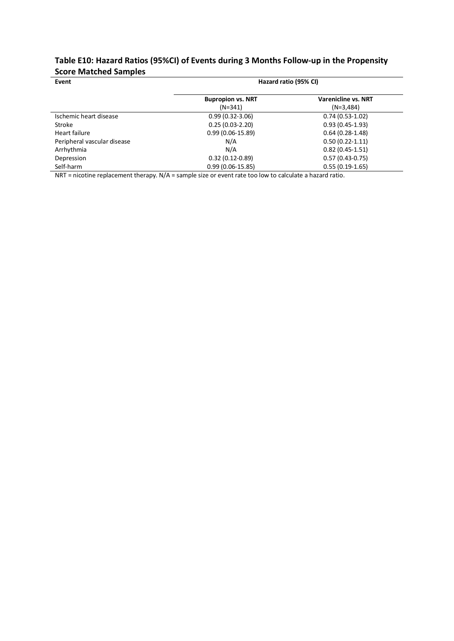### **Table E10: Hazard Ratios (95%CI) of Events during 3 Months Follow-up in the Propensity Score Matched Samples**

| Event                       | Hazard ratio (95% CI)    |                            |  |  |  |  |  |
|-----------------------------|--------------------------|----------------------------|--|--|--|--|--|
|                             | <b>Bupropion vs. NRT</b> | <b>Varenicline vs. NRT</b> |  |  |  |  |  |
|                             | $(N=341)$                | $(N=3,484)$                |  |  |  |  |  |
| Ischemic heart disease      | $0.99(0.32 - 3.06)$      | $0.74(0.53-1.02)$          |  |  |  |  |  |
| Stroke                      | $0.25(0.03-2.20)$        | $0.93(0.45-1.93)$          |  |  |  |  |  |
| Heart failure               | $0.99(0.06-15.89)$       | $0.64(0.28-1.48)$          |  |  |  |  |  |
| Peripheral vascular disease | N/A                      | $0.50(0.22 - 1.11)$        |  |  |  |  |  |
| Arrhythmia                  | N/A                      | $0.82(0.45-1.51)$          |  |  |  |  |  |
| Depression                  | $0.32(0.12-0.89)$        | $0.57(0.43-0.75)$          |  |  |  |  |  |
| Self-harm                   | $0.99(0.06-15.85)$       | $0.55(0.19-1.65)$          |  |  |  |  |  |

NRT = nicotine replacement therapy. N/A = sample size or event rate too low to calculate a hazard ratio.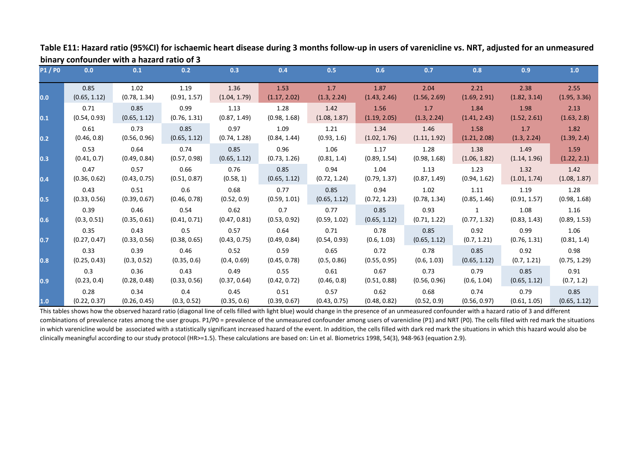| <b>P1/P0</b> | 0.0                  | 0.1                  | 0.2                  | 0.3                  | 0.4                  | 0.5                  | 0.6                  | 0.7                  | 0.8                  | 0.9                  | 1.0                  |
|--------------|----------------------|----------------------|----------------------|----------------------|----------------------|----------------------|----------------------|----------------------|----------------------|----------------------|----------------------|
| 0.0          | 0.85<br>(0.65, 1.12) | 1.02<br>(0.78, 1.34) | 1.19                 | 1.36<br>(1.04, 1.79) | 1.53<br>(1.17, 2.02) | 1.7<br>(1.3, 2.24)   | 1.87<br>(1.43, 2.46) | 2.04<br>(1.56, 2.69) | 2.21<br>(1.69, 2.91) | 2.38<br>(1.82, 3.14) | 2.55<br>(1.95, 3.36) |
|              | 0.71                 | 0.85                 | (0.91, 1.57)<br>0.99 | 1.13                 | 1.28                 | 1.42                 | 1.56                 | 1.7                  | 1.84                 | 1.98                 | 2.13                 |
| 0.1          | (0.54, 0.93)         | (0.65, 1.12)         | (0.76, 1.31)         | (0.87, 1.49)         | (0.98, 1.68)         | (1.08, 1.87)         | (1.19, 2.05)         | (1.3, 2.24)          | (1.41, 2.43)         | (1.52, 2.61)         | (1.63, 2.8)          |
| 0.2          | 0.61<br>(0.46, 0.8)  | 0.73<br>(0.56, 0.96) | 0.85<br>(0.65, 1.12) | 0.97<br>(0.74, 1.28) | 1.09<br>(0.84, 1.44) | 1.21<br>(0.93, 1.6)  | 1.34<br>(1.02, 1.76) | 1.46<br>(1.11, 1.92) | 1.58<br>(1.21, 2.08) | 1.7<br>(1.3, 2.24)   | 1.82<br>(1.39, 2.4)  |
|              | 0.53                 | 0.64                 | 0.74                 | 0.85                 | 0.96                 | 1.06                 | 1.17                 | 1.28                 | 1.38                 | 1.49                 | 1.59                 |
| 0.3          | (0.41, 0.7)          | (0.49, 0.84)         | (0.57, 0.98)         | (0.65, 1.12)         | (0.73, 1.26)         | (0.81, 1.4)          | (0.89, 1.54)         | (0.98, 1.68)         | (1.06, 1.82)         | (1.14, 1.96)         | (1.22, 2.1)          |
|              | 0.47                 | 0.57                 | 0.66                 | 0.76                 | 0.85                 | 0.94                 | 1.04                 | 1.13                 | 1.23                 | 1.32                 | 1.42                 |
| 0.4          | (0.36, 0.62)         | (0.43, 0.75)         | (0.51, 0.87)         | (0.58, 1)            | (0.65, 1.12)         | (0.72, 1.24)         | (0.79, 1.37)         | (0.87, 1.49)         | (0.94, 1.62)         | (1.01, 1.74)         | (1.08, 1.87)         |
| 0.5          | 0.43<br>(0.33, 0.56) | 0.51<br>(0.39, 0.67) | 0.6<br>(0.46, 0.78)  | 0.68<br>(0.52, 0.9)  | 0.77<br>(0.59, 1.01) | 0.85<br>(0.65, 1.12) | 0.94<br>(0.72, 1.23) | 1.02<br>(0.78, 1.34) | 1.11<br>(0.85, 1.46) | 1.19<br>(0.91, 1.57) | 1.28<br>(0.98, 1.68) |
|              | 0.39                 | 0.46                 | 0.54                 | 0.62                 | 0.7                  | 0.77                 | 0.85                 | 0.93                 | $\mathbf{1}$         | 1.08                 | 1.16                 |
| 0.6          | (0.3, 0.51)          | (0.35, 0.61)         | (0.41, 0.71)         | (0.47, 0.81)         | (0.53, 0.92)         | (0.59, 1.02)         | (0.65, 1.12)         | (0.71, 1.22)         | (0.77, 1.32)         | (0.83, 1.43)         | (0.89, 1.53)         |
|              | 0.35                 | 0.43                 | 0.5                  | 0.57                 | 0.64                 | 0.71                 | 0.78                 | 0.85                 | 0.92                 | 0.99                 | 1.06                 |
| 0.7          | (0.27, 0.47)         | (0.33, 0.56)         | (0.38, 0.65)         | (0.43, 0.75)         | (0.49, 0.84)         | (0.54, 0.93)         | (0.6, 1.03)          | (0.65, 1.12)         | (0.7, 1.21)          | (0.76, 1.31)         | (0.81, 1.4)          |
|              | 0.33                 | 0.39                 | 0.46                 | 0.52                 | 0.59                 | 0.65                 | 0.72                 | 0.78                 | 0.85                 | 0.92                 | 0.98                 |
| 0.8          | (0.25, 0.43)         | (0.3, 0.52)          | (0.35, 0.6)          | (0.4, 0.69)          | (0.45, 0.78)         | (0.5, 0.86)          | (0.55, 0.95)         | (0.6, 1.03)          | (0.65, 1.12)         | (0.7, 1.21)          | (0.75, 1.29)         |
|              | 0.3                  | 0.36                 | 0.43                 | 0.49                 | 0.55                 | 0.61                 | 0.67                 | 0.73                 | 0.79                 | 0.85                 | 0.91                 |
| 0.9          | (0.23, 0.4)          | (0.28, 0.48)         | (0.33, 0.56)         | (0.37, 0.64)         | (0.42, 0.72)         | (0.46, 0.8)          | (0.51, 0.88)         | (0.56, 0.96)         | (0.6, 1.04)          | (0.65, 1.12)         | (0.7, 1.2)           |
|              | 0.28                 | 0.34                 | 0.4                  | 0.45                 | 0.51                 | 0.57                 | 0.62                 | 0.68                 | 0.74                 | 0.79                 | 0.85                 |
| 1.0          | (0.22, 0.37)         | (0.26, 0.45)         | (0.3, 0.52)          | (0.35, 0.6)          | (0.39, 0.67)         | (0.43, 0.75)         | (0.48, 0.82)         | (0.52, 0.9)          | (0.56, 0.97)         | (0.61, 1.05)         | (0.65, 1.12)         |

**Table E11: Hazard ratio (95%CI) for ischaemic heart disease during 3 months follow-up in users of varenicline vs. NRT, adjusted for an unmeasured binary confounder with a hazard ratio of 3**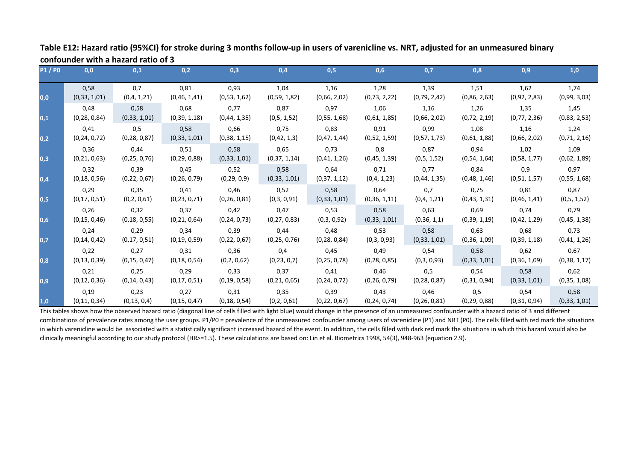| <b>P1/P0</b> | 0,0            | 0,1            | 0,2            | 0,3            | 0,4            | 0,5            | 0,6            | 0,7            | 0,8            | 0,9            | 1,0            |
|--------------|----------------|----------------|----------------|----------------|----------------|----------------|----------------|----------------|----------------|----------------|----------------|
|              | 0,58           | 0,7            | 0,81           | 0,93           | 1,04           | 1,16           | 1,28           | 1,39           | 1,51           | 1,62           | 1,74           |
| 0,0          | (0, 33, 1, 01) | (0,4, 1,21)    | (0,46, 1,41)   | (0,53, 1,62)   | (0,59, 1,82)   | (0,66, 2,02)   | (0, 73, 2, 22) | (0, 79, 2, 42) | (0,86, 2,63)   | (0,92, 2,83)   | (0,99, 3,03)   |
|              | 0,48           | 0,58           | 0,68           | 0,77           | 0,87           | 0,97           | 1,06           | 1,16           | 1,26           | 1,35           | 1,45           |
| 0,1          | (0, 28, 0, 84) | (0,33, 1,01)   | (0,39, 1,18)   | (0, 44, 1, 35) | (0,5, 1,52)    | (0,55, 1,68)   | (0,61, 1,85)   | (0,66, 2,02)   | (0,72, 2,19)   | (0,77, 2,36)   | (0,83, 2,53)   |
|              | 0,41           | 0,5            | 0,58           | 0,66           | 0,75           | 0,83           | 0,91           | 0,99           | 1,08           | 1,16           | 1,24           |
| 0,2          | (0, 24, 0, 72) | (0, 28, 0, 87) | (0,33, 1,01)   | (0,38, 1,15)   | (0,42, 1,3)    | (0,47, 1,44)   | (0,52, 1,59)   | (0,57, 1,73)   | (0,61, 1,88)   | (0,66, 2,02)   | (0, 71, 2, 16) |
|              | 0,36           | 0,44           | 0,51           | 0,58           | 0,65           | 0,73           | 0,8            | 0,87           | 0,94           | 1,02           | 1,09           |
| 0,3          | (0, 21, 0, 63) | (0, 25, 0, 76) | (0, 29, 0, 88) | (0,33, 1,01)   | (0,37, 1,14)   | (0,41, 1,26)   | (0,45, 1,39)   | (0,5, 1,52)    | (0,54, 1,64)   | (0,58, 1,77)   | (0,62, 1,89)   |
|              | 0,32           | 0,39           | 0,45           | 0,52           | 0,58           | 0,64           | 0,71           | 0,77           | 0,84           | 0,9            | 0,97           |
| 0,4          | (0, 18, 0, 56) | (0, 22, 0, 67) | (0, 26, 0, 79) | (0, 29, 0, 9)  | (0,33, 1,01)   | (0,37, 1,12)   | (0,4, 1,23)    | (0, 44, 1, 35) | (0,48, 1,46)   | (0,51, 1,57)   | (0,55, 1,68)   |
|              | 0,29           | 0,35           | 0,41           | 0,46           | 0,52           | 0,58           | 0,64           | 0,7            | 0,75           | 0,81           | 0,87           |
| 0,5          | (0, 17, 0, 51) | (0, 2, 0, 61)  | (0, 23, 0, 71) | (0, 26, 0, 81) | (0,3,0,91)     | (0,33, 1,01)   | (0,36, 1,11)   | (0,4, 1,21)    | (0,43, 1,31)   | (0,46, 1,41)   | (0,5, 1,52)    |
|              | 0,26           | 0,32           | 0,37           | 0,42           | 0,47           | 0,53           | 0,58           | 0,63           | 0,69           | 0,74           | 0,79           |
| 0,6          | (0, 15, 0, 46) | (0, 18, 0, 55) | (0, 21, 0, 64) | (0, 24, 0, 73) | (0, 27, 0, 83) | (0,3,0,92)     | (0,33, 1,01)   | (0,36, 1,1)    | (0,39, 1,19)   | (0,42, 1,29)   | (0,45, 1,38)   |
|              | 0,24           | 0,29           | 0,34           | 0,39           | 0,44           | 0,48           | 0,53           | 0,58           | 0,63           | 0,68           | 0,73           |
| 0,7          | (0, 14, 0, 42) | (0, 17, 0, 51) | (0, 19, 0, 59) | (0, 22, 0, 67) | (0, 25, 0, 76) | (0, 28, 0, 84) | (0,3,0,93)     | (0, 33, 1, 01) | (0,36, 1,09)   | (0,39, 1,18)   | (0,41, 1,26)   |
|              | 0,22           | 0,27           | 0,31           | 0,36           | 0,4            | 0,45           | 0,49           | 0,54           | 0,58           | 0,62           | 0,67           |
| 0,8          | (0, 13, 0, 39) | (0, 15, 0, 47) | (0, 18, 0, 54) | (0,2,0,62)     | (0, 23, 0, 7)  | (0, 25, 0, 78) | (0, 28, 0, 85) | (0,3,0,93)     | (0,33, 1,01)   | (0, 36, 1, 09) | (0,38, 1,17)   |
|              | 0,21           | 0,25           | 0,29           | 0,33           | 0,37           | 0,41           | 0,46           | 0,5            | 0,54           | 0,58           | 0,62           |
| 0,9          | (0, 12, 0, 36) | (0, 14, 0, 43) | (0, 17, 0, 51) | (0, 19, 0, 58) | (0, 21, 0, 65) | (0, 24, 0, 72) | (0, 26, 0, 79) | (0, 28, 0, 87) | (0,31,0,94)    | (0,33, 1,01)   | (0, 35, 1, 08) |
|              | 0,19           | 0,23           | 0,27           | 0,31           | 0,35           | 0,39           | 0,43           | 0,46           | 0,5            | 0,54           | 0,58           |
| 1,0          | (0,11,0,34)    | (0, 13, 0, 4)  | (0, 15, 0, 47) | (0, 18, 0, 54) | (0, 2, 0, 61)  | (0, 22, 0, 67) | (0, 24, 0, 74) | (0, 26, 0, 81) | (0, 29, 0, 88) | (0,31,0,94)    | (0, 33, 1, 01) |

**Table E12: Hazard ratio (95%CI) for stroke during 3 months follow-up in users of varenicline vs. NRT, adjusted for an unmeasured binary confounder with a hazard ratio of 3**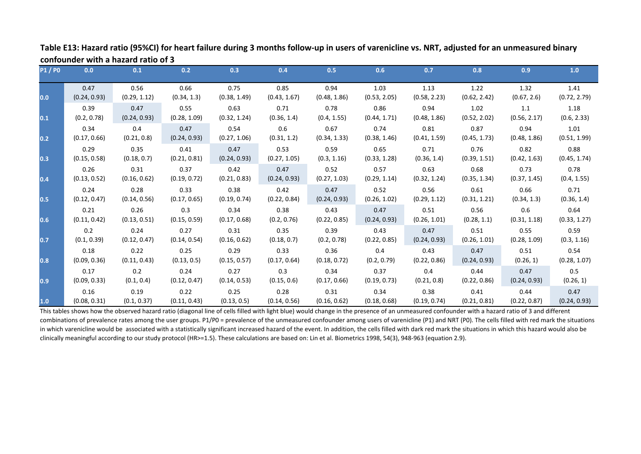| <b>P1/P0</b> | 0.0          | 0.1          | 0.2          | 0.3          | 0.4          | 0.5          | 0.6          | 0.7          | 0.8          | 0.9          | 1.0          |
|--------------|--------------|--------------|--------------|--------------|--------------|--------------|--------------|--------------|--------------|--------------|--------------|
|              | 0.47         | 0.56         | 0.66         | 0.75         | 0.85         | 0.94         | 1.03         | 1.13         | 1.22         | 1.32         | 1.41         |
| 0.0          | (0.24, 0.93) | (0.29, 1.12) | (0.34, 1.3)  | (0.38, 1.49) | (0.43, 1.67) | (0.48, 1.86) | (0.53, 2.05) | (0.58, 2.23) | (0.62, 2.42) | (0.67, 2.6)  | (0.72, 2.79) |
|              | 0.39         | 0.47         | 0.55         | 0.63         | 0.71         | 0.78         | 0.86         | 0.94         | 1.02         | 1.1          | 1.18         |
| 0.1          | (0.2, 0.78)  | (0.24, 0.93) | (0.28, 1.09) | (0.32, 1.24) | (0.36, 1.4)  | (0.4, 1.55)  | (0.44, 1.71) | (0.48, 1.86) | (0.52, 2.02) | (0.56, 2.17) | (0.6, 2.33)  |
|              | 0.34         | 0.4          | 0.47         | 0.54         | 0.6          | 0.67         | 0.74         | 0.81         | 0.87         | 0.94         | 1.01         |
| 0.2          | (0.17, 0.66) | (0.21, 0.8)  | (0.24, 0.93) | (0.27, 1.06) | (0.31, 1.2)  | (0.34, 1.33) | (0.38, 1.46) | (0.41, 1.59) | (0.45, 1.73) | (0.48, 1.86) | (0.51, 1.99) |
|              | 0.29         | 0.35         | 0.41         | 0.47         | 0.53         | 0.59         | 0.65         | 0.71         | 0.76         | 0.82         | 0.88         |
| 0.3          | (0.15, 0.58) | (0.18, 0.7)  | (0.21, 0.81) | (0.24, 0.93) | (0.27, 1.05) | (0.3, 1.16)  | (0.33, 1.28) | (0.36, 1.4)  | (0.39, 1.51) | (0.42, 1.63) | (0.45, 1.74) |
|              | 0.26         | 0.31         | 0.37         | 0.42         | 0.47         | 0.52         | 0.57         | 0.63         | 0.68         | 0.73         | 0.78         |
| 0.4          | (0.13, 0.52) | (0.16, 0.62) | (0.19, 0.72) | (0.21, 0.83) | (0.24, 0.93) | (0.27, 1.03) | (0.29, 1.14) | (0.32, 1.24) | (0.35, 1.34) | (0.37, 1.45) | (0.4, 1.55)  |
|              | 0.24         | 0.28         | 0.33         | 0.38         | 0.42         | 0.47         | 0.52         | 0.56         | 0.61         | 0.66         | 0.71         |
| 0.5          | (0.12, 0.47) | (0.14, 0.56) | (0.17, 0.65) | (0.19, 0.74) | (0.22, 0.84) | (0.24, 0.93) | (0.26, 1.02) | (0.29, 1.12) | (0.31, 1.21) | (0.34, 1.3)  | (0.36, 1.4)  |
|              | 0.21         | 0.26         | 0.3          | 0.34         | 0.38         | 0.43         | 0.47         | 0.51         | 0.56         | 0.6          | 0.64         |
| 0.6          | (0.11, 0.42) | (0.13, 0.51) | (0.15, 0.59) | (0.17, 0.68) | (0.2, 0.76)  | (0.22, 0.85) | (0.24, 0.93) | (0.26, 1.01) | (0.28, 1.1)  | (0.31, 1.18) | (0.33, 1.27) |
|              | 0.2          | 0.24         | 0.27         | 0.31         | 0.35         | 0.39         | 0.43         | 0.47         | 0.51         | 0.55         | 0.59         |
| 0.7          | (0.1, 0.39)  | (0.12, 0.47) | (0.14, 0.54) | (0.16, 0.62) | (0.18, 0.7)  | (0.2, 0.78)  | (0.22, 0.85) | (0.24, 0.93) | (0.26, 1.01) | (0.28, 1.09) | (0.3, 1.16)  |
|              | 0.18         | 0.22         | 0.25         | 0.29         | 0.33         | 0.36         | 0.4          | 0.43         | 0.47         | 0.51         | 0.54         |
| 0.8          | (0.09, 0.36) | (0.11, 0.43) | (0.13, 0.5)  | (0.15, 0.57) | (0.17, 0.64) | (0.18, 0.72) | (0.2, 0.79)  | (0.22, 0.86) | (0.24, 0.93) | (0.26, 1)    | (0.28, 1.07) |
|              | 0.17         | 0.2          | 0.24         | 0.27         | 0.3          | 0.34         | 0.37         | 0.4          | 0.44         | 0.47         | 0.5          |
| 0.9          | (0.09, 0.33) | (0.1, 0.4)   | (0.12, 0.47) | (0.14, 0.53) | (0.15, 0.6)  | (0.17, 0.66) | (0.19, 0.73) | (0.21, 0.8)  | (0.22, 0.86) | (0.24, 0.93) | (0.26, 1)    |
|              | 0.16         | 0.19         | 0.22         | 0.25         | 0.28         | 0.31         | 0.34         | 0.38         | 0.41         | 0.44         | 0.47         |
| 1.0          | (0.08, 0.31) | (0.1, 0.37)  | (0.11, 0.43) | (0.13, 0.5)  | (0.14, 0.56) | (0.16, 0.62) | (0.18, 0.68) | (0.19, 0.74) | (0.21, 0.81) | (0.22, 0.87) | (0.24, 0.93) |

**Table E13: Hazard ratio (95%CI) for heart failure during 3 months follow-up in users of varenicline vs. NRT, adjusted for an unmeasured binary confounder with a hazard ratio of 3**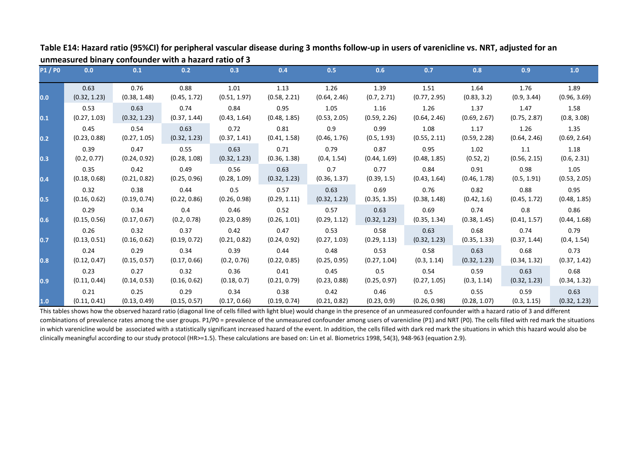| <b>P1/P0</b>     | 0.0          | 0.1          | 0.2          | 0.3          | 0.4          | 0.5          | 0.6          | 0.7          | 0.8          | 0.9          | 1.0          |
|------------------|--------------|--------------|--------------|--------------|--------------|--------------|--------------|--------------|--------------|--------------|--------------|
| 0.0              | 0.63         | 0.76         | 0.88         | 1.01         | 1.13         | 1.26         | 1.39         | 1.51         | 1.64         | 1.76         | 1.89         |
|                  | (0.32, 1.23) | (0.38, 1.48) | (0.45, 1.72) | (0.51, 1.97) | (0.58, 2.21) | (0.64, 2.46) | (0.7, 2.71)  | (0.77, 2.95) | (0.83, 3.2)  | (0.9, 3.44)  | (0.96, 3.69) |
| 0.1              | 0.53         | 0.63         | 0.74         | 0.84         | 0.95         | 1.05         | 1.16         | 1.26         | 1.37         | 1.47         | 1.58         |
|                  | (0.27, 1.03) | (0.32, 1.23) | (0.37, 1.44) | (0.43, 1.64) | (0.48, 1.85) | (0.53, 2.05) | (0.59, 2.26) | (0.64, 2.46) | (0.69, 2.67) | (0.75, 2.87) | (0.8, 3.08)  |
| 0.2              | 0.45         | 0.54         | 0.63         | 0.72         | 0.81         | 0.9          | 0.99         | 1.08         | 1.17         | 1.26         | 1.35         |
|                  | (0.23, 0.88) | (0.27, 1.05) | (0.32, 1.23) | (0.37, 1.41) | (0.41, 1.58) | (0.46, 1.76) | (0.5, 1.93)  | (0.55, 2.11) | (0.59, 2.28) | (0.64, 2.46) | (0.69, 2.64) |
| 0.3              | 0.39         | 0.47         | 0.55         | 0.63         | 0.71         | 0.79         | 0.87         | 0.95         | 1.02         | 1.1          | 1.18         |
|                  | (0.2, 0.77)  | (0.24, 0.92) | (0.28, 1.08) | (0.32, 1.23) | (0.36, 1.38) | (0.4, 1.54)  | (0.44, 1.69) | (0.48, 1.85) | (0.52, 2)    | (0.56, 2.15) | (0.6, 2.31)  |
| 0.4              | 0.35         | 0.42         | 0.49         | 0.56         | 0.63         | 0.7          | 0.77         | 0.84         | 0.91         | 0.98         | 1.05         |
|                  | (0.18, 0.68) | (0.21, 0.82) | (0.25, 0.96) | (0.28, 1.09) | (0.32, 1.23) | (0.36, 1.37) | (0.39, 1.5)  | (0.43, 1.64) | (0.46, 1.78) | (0.5, 1.91)  | (0.53, 2.05) |
| 0.5              | 0.32         | 0.38         | 0.44         | 0.5          | 0.57         | 0.63         | 0.69         | 0.76         | 0.82         | 0.88         | 0.95         |
|                  | (0.16, 0.62) | (0.19, 0.74) | (0.22, 0.86) | (0.26, 0.98) | (0.29, 1.11) | (0.32, 1.23) | (0.35, 1.35) | (0.38, 1.48) | (0.42, 1.6)  | (0.45, 1.72) | (0.48, 1.85) |
| 0.6              | 0.29         | 0.34         | 0.4          | 0.46         | 0.52         | 0.57         | 0.63         | 0.69         | 0.74         | 0.8          | 0.86         |
|                  | (0.15, 0.56) | (0.17, 0.67) | (0.2, 0.78)  | (0.23, 0.89) | (0.26, 1.01) | (0.29, 1.12) | (0.32, 1.23) | (0.35, 1.34) | (0.38, 1.45) | (0.41, 1.57) | (0.44, 1.68) |
| 0.7              | 0.26         | 0.32         | 0.37         | 0.42         | 0.47         | 0.53         | 0.58         | 0.63         | 0.68         | 0.74         | 0.79         |
|                  | (0.13, 0.51) | (0.16, 0.62) | (0.19, 0.72) | (0.21, 0.82) | (0.24, 0.92) | (0.27, 1.03) | (0.29, 1.13) | (0.32, 1.23) | (0.35, 1.33) | (0.37, 1.44) | (0.4, 1.54)  |
| 0.8              | 0.24         | 0.29         | 0.34         | 0.39         | 0.44         | 0.48         | 0.53         | 0.58         | 0.63         | 0.68         | 0.73         |
|                  | (0.12, 0.47) | (0.15, 0.57) | (0.17, 0.66) | (0.2, 0.76)  | (0.22, 0.85) | (0.25, 0.95) | (0.27, 1.04) | (0.3, 1.14)  | (0.32, 1.23) | (0.34, 1.32) | (0.37, 1.42) |
| $\overline{0.9}$ | 0.23         | 0.27         | 0.32         | 0.36         | 0.41         | 0.45         | 0.5          | 0.54         | 0.59         | 0.63         | 0.68         |
|                  | (0.11, 0.44) | (0.14, 0.53) | (0.16, 0.62) | (0.18, 0.7)  | (0.21, 0.79) | (0.23, 0.88) | (0.25, 0.97) | (0.27, 1.05) | (0.3, 1.14)  | (0.32, 1.23) | (0.34, 1.32) |
| 1.0              | 0.21         | 0.25         | 0.29         | 0.34         | 0.38         | 0.42         | 0.46         | 0.5          | 0.55         | 0.59         | 0.63         |
|                  | (0.11, 0.41) | (0.13, 0.49) | (0.15, 0.57) | (0.17, 0.66) | (0.19, 0.74) | (0.21, 0.82) | (0.23, 0.9)  | (0.26, 0.98) | (0.28, 1.07) | (0.3, 1.15)  | (0.32, 1.23) |

**Table E14: Hazard ratio (95%CI) for peripheral vascular disease during 3 months follow-up in users of varenicline vs. NRT, adjusted for an unmeasured binary confounder with a hazard ratio of 3**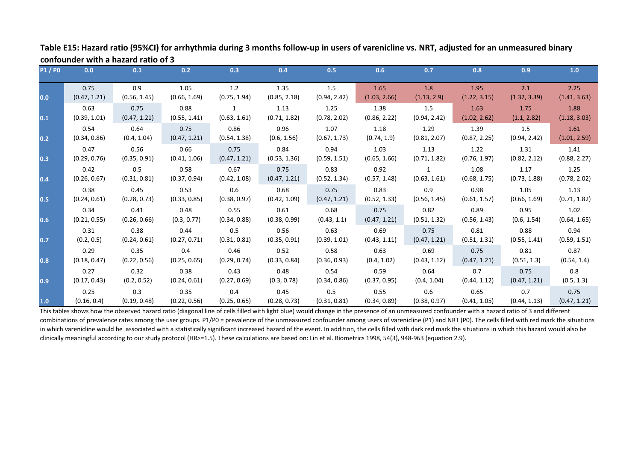| <b>P1/P0</b> | 0.0          | 0.1          | 0.2          | 0.3          | 0.4          | 0.5          | 0.6          | 0.7          | 0.8          | 0.9          | 1.0          |
|--------------|--------------|--------------|--------------|--------------|--------------|--------------|--------------|--------------|--------------|--------------|--------------|
| 0.0          | 0.75         | 0.9          | 1.05         | 1.2          | 1.35         | 1.5          | 1.65         | 1.8          | 1.95         | 2.1          | 2.25         |
|              | (0.47, 1.21) | (0.56, 1.45) | (0.66, 1.69) | (0.75, 1.94) | (0.85, 2.18) | (0.94, 2.42) | (1.03, 2.66) | (1.13, 2.9)  | (1.22, 3.15) | (1.32, 3.39) | (1.41, 3.63) |
| 0.1          | 0.63         | 0.75         | 0.88         | 1            | 1.13         | 1.25         | 1.38         | 1.5          | 1.63         | 1.75         | 1.88         |
|              | (0.39, 1.01) | (0.47, 1.21) | (0.55, 1.41) | (0.63, 1.61) | (0.71, 1.82) | (0.78, 2.02) | (0.86, 2.22) | (0.94, 2.42) | (1.02, 2.62) | (1.1, 2.82)  | (1.18, 3.03) |
| 0.2          | 0.54         | 0.64         | 0.75         | 0.86         | 0.96         | 1.07         | 1.18         | 1.29         | 1.39         | 1.5          | 1.61         |
|              | (0.34, 0.86) | (0.4, 1.04)  | (0.47, 1.21) | (0.54, 1.38) | (0.6, 1.56)  | (0.67, 1.73) | (0.74, 1.9)  | (0.81, 2.07) | (0.87, 2.25) | (0.94, 2.42) | (1.01, 2.59) |
| 0.3          | 0.47         | 0.56         | 0.66         | 0.75         | 0.84         | 0.94         | 1.03         | 1.13         | 1.22         | 1.31         | 1.41         |
|              | (0.29, 0.76) | (0.35, 0.91) | (0.41, 1.06) | (0.47, 1.21) | (0.53, 1.36) | (0.59, 1.51) | (0.65, 1.66) | (0.71, 1.82) | (0.76, 1.97) | (0.82, 2.12) | (0.88, 2.27) |
| 0.4          | 0.42         | 0.5          | 0.58         | 0.67         | 0.75         | 0.83         | 0.92         | 1            | 1.08         | 1.17         | 1.25         |
|              | (0.26, 0.67) | (0.31, 0.81) | (0.37, 0.94) | (0.42, 1.08) | (0.47, 1.21) | (0.52, 1.34) | (0.57, 1.48) | (0.63, 1.61) | (0.68, 1.75) | (0.73, 1.88) | (0.78, 2.02) |
| 0.5          | 0.38         | 0.45         | 0.53         | 0.6          | 0.68         | 0.75         | 0.83         | 0.9          | 0.98         | 1.05         | 1.13         |
|              | (0.24, 0.61) | (0.28, 0.73) | (0.33, 0.85) | (0.38, 0.97) | (0.42, 1.09) | (0.47, 1.21) | (0.52, 1.33) | (0.56, 1.45) | (0.61, 1.57) | (0.66, 1.69) | (0.71, 1.82) |
| 0.6          | 0.34         | 0.41         | 0.48         | 0.55         | 0.61         | 0.68         | 0.75         | 0.82         | 0.89         | 0.95         | 1.02         |
|              | (0.21, 0.55) | (0.26, 0.66) | (0.3, 0.77)  | (0.34, 0.88) | (0.38, 0.99) | (0.43, 1.1)  | (0.47, 1.21) | (0.51, 1.32) | (0.56, 1.43) | (0.6, 1.54)  | (0.64, 1.65) |
| 0.7          | 0.31         | 0.38         | 0.44         | 0.5          | 0.56         | 0.63         | 0.69         | 0.75         | 0.81         | 0.88         | 0.94         |
|              | (0.2, 0.5)   | (0.24, 0.61) | (0.27, 0.71) | (0.31, 0.81) | (0.35, 0.91) | (0.39, 1.01) | (0.43, 1.11) | (0.47, 1.21) | (0.51, 1.31) | (0.55, 1.41) | (0.59, 1.51) |
| 0.8          | 0.29         | 0.35         | 0.4          | 0.46         | 0.52         | 0.58         | 0.63         | 0.69         | 0.75         | 0.81         | 0.87         |
|              | (0.18, 0.47) | (0.22, 0.56) | (0.25, 0.65) | (0.29, 0.74) | (0.33, 0.84) | (0.36, 0.93) | (0.4, 1.02)  | (0.43, 1.12) | (0.47, 1.21) | (0.51, 1.3)  | (0.54, 1.4)  |
| 0.9          | 0.27         | 0.32         | 0.38         | 0.43         | 0.48         | 0.54         | 0.59         | 0.64         | 0.7          | 0.75         | 0.8          |
|              | (0.17, 0.43) | (0.2, 0.52)  | (0.24, 0.61) | (0.27, 0.69) | (0.3, 0.78)  | (0.34, 0.86) | (0.37, 0.95) | (0.4, 1.04)  | (0.44, 1.12) | (0.47, 1.21) | (0.5, 1.3)   |
| 1.0          | 0.25         | 0.3          | 0.35         | 0.4          | 0.45         | 0.5          | 0.55         | 0.6          | 0.65         | 0.7          | 0.75         |
|              | (0.16, 0.4)  | (0.19, 0.48) | (0.22, 0.56) | (0.25, 0.65) | (0.28, 0.73) | (0.31, 0.81) | (0.34, 0.89) | (0.38, 0.97) | (0.41, 1.05) | (0.44, 1.13) | (0.47, 1.21) |

**Table E15: Hazard ratio (95%CI) for arrhythmia during 3 months follow-up in users of varenicline vs. NRT, adjusted for an unmeasured binary confounder with a hazard ratio of 3**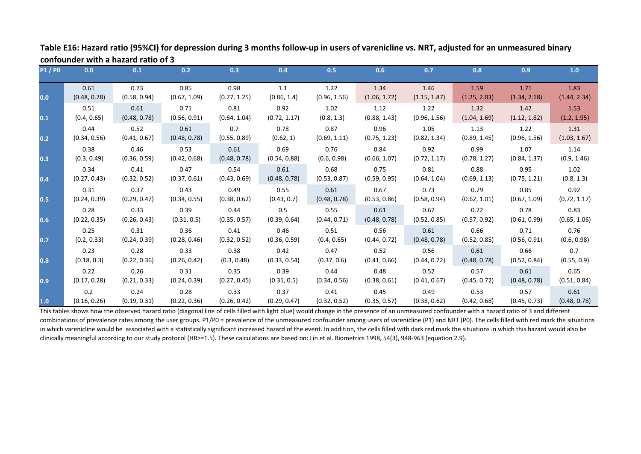| <b>P1/P0</b>     | 0.0          | 0.1          | 0.2          | 0.3          | 0.4          | 0.5          | 0.6          | 0.7          | 0.8          | 0.9          | 1.0          |
|------------------|--------------|--------------|--------------|--------------|--------------|--------------|--------------|--------------|--------------|--------------|--------------|
| 0.0              | 0.61         | 0.73         | 0.85         | 0.98         | 1.1          | 1.22         | 1.34         | 1.46         | 1.59         | 1.71         | 1.83         |
|                  | (0.48, 0.78) | (0.58, 0.94) | (0.67, 1.09) | (0.77, 1.25) | (0.86, 1.4)  | (0.96, 1.56) | (1.06, 1.72) | (1.15, 1.87) | (1.25, 2.03) | (1.34, 2.18) | (1.44, 2.34) |
| 0.1              | 0.51         | 0.61         | 0.71         | 0.81         | 0.92         | 1.02         | 1.12         | 1.22         | 1.32         | 1.42         | 1.53         |
|                  | (0.4, 0.65)  | (0.48, 0.78) | (0.56, 0.91) | (0.64, 1.04) | (0.72, 1.17) | (0.8, 1.3)   | (0.88, 1.43) | (0.96, 1.56) | (1.04, 1.69) | (1.12, 1.82) | (1.2, 1.95)  |
| 0.2              | 0.44         | 0.52         | 0.61         | 0.7          | 0.78         | 0.87         | 0.96         | 1.05         | 1.13         | 1.22         | 1.31         |
|                  | (0.34, 0.56) | (0.41, 0.67) | (0.48, 0.78) | (0.55, 0.89) | (0.62, 1)    | (0.69, 1.11) | (0.75, 1.23) | (0.82, 1.34) | (0.89, 1.45) | (0.96, 1.56) | (1.03, 1.67) |
| 0.3              | 0.38         | 0.46         | 0.53         | 0.61         | 0.69         | 0.76         | 0.84         | 0.92         | 0.99         | 1.07         | 1.14         |
|                  | (0.3, 0.49)  | (0.36, 0.59) | (0.42, 0.68) | (0.48, 0.78) | (0.54, 0.88) | (0.6, 0.98)  | (0.66, 1.07) | (0.72, 1.17) | (0.78, 1.27) | (0.84, 1.37) | (0.9, 1.46)  |
| 0.4              | 0.34         | 0.41         | 0.47         | 0.54         | 0.61         | 0.68         | 0.75         | 0.81         | 0.88         | 0.95         | 1.02         |
|                  | (0.27, 0.43) | (0.32, 0.52) | (0.37, 0.61) | (0.43, 0.69) | (0.48, 0.78) | (0.53, 0.87) | (0.59, 0.95) | (0.64, 1.04) | (0.69, 1.13) | (0.75, 1.21) | (0.8, 1.3)   |
| 0.5              | 0.31         | 0.37         | 0.43         | 0.49         | 0.55         | 0.61         | 0.67         | 0.73         | 0.79         | 0.85         | 0.92         |
|                  | (0.24, 0.39) | (0.29, 0.47) | (0.34, 0.55) | (0.38, 0.62) | (0.43, 0.7)  | (0.48, 0.78) | (0.53, 0.86) | (0.58, 0.94) | (0.62, 1.01) | (0.67, 1.09) | (0.72, 1.17) |
| 0.6              | 0.28         | 0.33         | 0.39         | 0.44         | 0.5          | 0.55         | 0.61         | 0.67         | 0.72         | 0.78         | 0.83         |
|                  | (0.22, 0.35) | (0.26, 0.43) | (0.31, 0.5)  | (0.35, 0.57) | (0.39, 0.64) | (0.44, 0.71) | (0.48, 0.78) | (0.52, 0.85) | (0.57, 0.92) | (0.61, 0.99) | (0.65, 1.06) |
| 0.7              | 0.25         | 0.31         | 0.36         | 0.41         | 0.46         | 0.51         | 0.56         | 0.61         | 0.66         | 0.71         | 0.76         |
|                  | (0.2, 0.33)  | (0.24, 0.39) | (0.28, 0.46) | (0.32, 0.52) | (0.36, 0.59) | (0.4, 0.65)  | (0.44, 0.72) | (0.48, 0.78) | (0.52, 0.85) | (0.56, 0.91) | (0.6, 0.98)  |
| 0.8              | 0.23         | 0.28         | 0.33         | 0.38         | 0.42         | 0.47         | 0.52         | 0.56         | 0.61         | 0.66         | 0.7          |
|                  | (0.18, 0.3)  | (0.22, 0.36) | (0.26, 0.42) | (0.3, 0.48)  | (0.33, 0.54) | (0.37, 0.6)  | (0.41, 0.66) | (0.44, 0.72) | (0.48, 0.78) | (0.52, 0.84) | (0.55, 0.9)  |
| $\overline{0.9}$ | 0.22         | 0.26         | 0.31         | 0.35         | 0.39         | 0.44         | 0.48         | 0.52         | 0.57         | 0.61         | 0.65         |
|                  | (0.17, 0.28) | (0.21, 0.33) | (0.24, 0.39) | (0.27, 0.45) | (0.31, 0.5)  | (0.34, 0.56) | (0.38, 0.61) | (0.41, 0.67) | (0.45, 0.72) | (0.48, 0.78) | (0.51, 0.84) |
| 1.0              | 0.2          | 0.24         | 0.28         | 0.33         | 0.37         | 0.41         | 0.45         | 0.49         | 0.53         | 0.57         | 0.61         |
|                  | (0.16, 0.26) | (0.19, 0.31) | (0.22, 0.36) | (0.26, 0.42) | (0.29, 0.47) | (0.32, 0.52) | (0.35, 0.57) | (0.38, 0.62) | (0.42, 0.68) | (0.45, 0.73) | (0.48, 0.78) |

**Table E16: Hazard ratio (95%CI) for depression during 3 months follow-up in users of varenicline vs. NRT, adjusted for an unmeasured binary confounder with a hazard ratio of 3**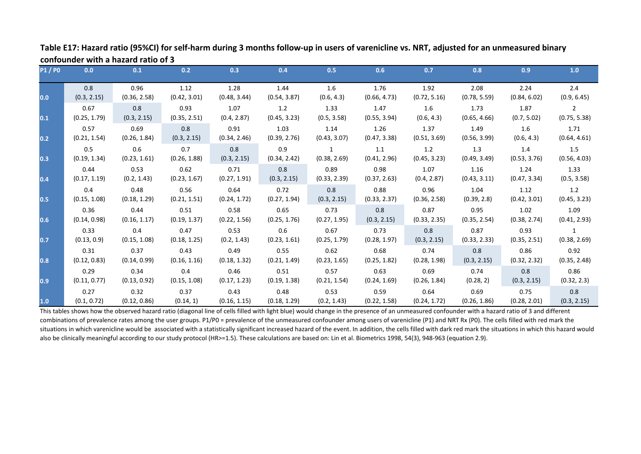| <b>P1/P0</b> | 0.0          | 0.1          | 0.2          | 0.3          | 0.4          | 0.5          | 0.6          | 0.7          | 0.8          | 0.9          | 1.0            |
|--------------|--------------|--------------|--------------|--------------|--------------|--------------|--------------|--------------|--------------|--------------|----------------|
|              | 0.8          | 0.96         | 1.12         | 1.28         | 1.44         | 1.6          | 1.76         | 1.92         | 2.08         | 2.24         | 2.4            |
| 0.0          | (0.3, 2.15)  | (0.36, 2.58) | (0.42, 3.01) | (0.48, 3.44) | (0.54, 3.87) | (0.6, 4.3)   | (0.66, 4.73) | (0.72, 5.16) | (0.78, 5.59) | (0.84, 6.02) | (0.9, 6.45)    |
|              | 0.67         | 0.8          | 0.93         | 1.07         | 1.2          | 1.33         | 1.47         | 1.6          | 1.73         | 1.87         | $\overline{2}$ |
| 0.1          | (0.25, 1.79) | (0.3, 2.15)  | (0.35, 2.51) | (0.4, 2.87)  | (0.45, 3.23) | (0.5, 3.58)  | (0.55, 3.94) | (0.6, 4.3)   | (0.65, 4.66) | (0.7, 5.02)  | (0.75, 5.38)   |
|              | 0.57         | 0.69         | 0.8          | 0.91         | 1.03         | 1.14         | 1.26         | 1.37         | 1.49         | 1.6          | 1.71           |
| 0.2          | (0.21, 1.54) | (0.26, 1.84) | (0.3, 2.15)  | (0.34, 2.46) | (0.39, 2.76) | (0.43, 3.07) | (0.47, 3.38) | (0.51, 3.69) | (0.56, 3.99) | (0.6, 4.3)   | (0.64, 4.61)   |
|              | 0.5          | 0.6          | 0.7          | 0.8          | 0.9          | $\mathbf{1}$ | 1.1          | 1.2          | 1.3          | 1.4          | 1.5            |
| 0.3          | (0.19, 1.34) | (0.23, 1.61) | (0.26, 1.88) | (0.3, 2.15)  | (0.34, 2.42) | (0.38, 2.69) | (0.41, 2.96) | (0.45, 3.23) | (0.49, 3.49) | (0.53, 3.76) | (0.56, 4.03)   |
|              | 0.44         | 0.53         | 0.62         | 0.71         | 0.8          | 0.89         | 0.98         | 1.07         | 1.16         | 1.24         | 1.33           |
| 0.4          | (0.17, 1.19) | (0.2, 1.43)  | (0.23, 1.67) | (0.27, 1.91) | (0.3, 2.15)  | (0.33, 2.39) | (0.37, 2.63) | (0.4, 2.87)  | (0.43, 3.11) | (0.47, 3.34) | (0.5, 3.58)    |
|              | 0.4          | 0.48         | 0.56         | 0.64         | 0.72         | 0.8          | 0.88         | 0.96         | 1.04         | 1.12         | 1.2            |
| 0.5          | (0.15, 1.08) | (0.18, 1.29) | (0.21, 1.51) | (0.24, 1.72) | (0.27, 1.94) | (0.3, 2.15)  | (0.33, 2.37) | (0.36, 2.58) | (0.39, 2.8)  | (0.42, 3.01) | (0.45, 3.23)   |
|              | 0.36         | 0.44         | 0.51         | 0.58         | 0.65         | 0.73         | 0.8          | 0.87         | 0.95         | 1.02         | 1.09           |
| 0.6          | (0.14, 0.98) | (0.16, 1.17) | (0.19, 1.37) | (0.22, 1.56) | (0.25, 1.76) | (0.27, 1.95) | (0.3, 2.15)  | (0.33, 2.35) | (0.35, 2.54) | (0.38, 2.74) | (0.41, 2.93)   |
|              | 0.33         | 0.4          | 0.47         | 0.53         | 0.6          | 0.67         | 0.73         | 0.8          | 0.87         | 0.93         | 1              |
| 0.7          | (0.13, 0.9)  | (0.15, 1.08) | (0.18, 1.25) | (0.2, 1.43)  | (0.23, 1.61) | (0.25, 1.79) | (0.28, 1.97) | (0.3, 2.15)  | (0.33, 2.33) | (0.35, 2.51) | (0.38, 2.69)   |
|              | 0.31         | 0.37         | 0.43         | 0.49         | 0.55         | 0.62         | 0.68         | 0.74         | 0.8          | 0.86         | 0.92           |
| 0.8          | (0.12, 0.83) | (0.14, 0.99) | (0.16, 1.16) | (0.18, 1.32) | (0.21, 1.49) | (0.23, 1.65) | (0.25, 1.82) | (0.28, 1.98) | (0.3, 2.15)  | (0.32, 2.32) | (0.35, 2.48)   |
|              | 0.29         | 0.34         | 0.4          | 0.46         | 0.51         | 0.57         | 0.63         | 0.69         | 0.74         | 0.8          | 0.86           |
| 0.9          | (0.11, 0.77) | (0.13, 0.92) | (0.15, 1.08) | (0.17, 1.23) | (0.19, 1.38) | (0.21, 1.54) | (0.24, 1.69) | (0.26, 1.84) | (0.28, 2)    | (0.3, 2.15)  | (0.32, 2.3)    |
|              | 0.27         | 0.32         | 0.37         | 0.43         | 0.48         | 0.53         | 0.59         | 0.64         | 0.69         | 0.75         | 0.8            |
| 1.0          | (0.1, 0.72)  | (0.12, 0.86) | (0.14, 1)    | (0.16, 1.15) | (0.18, 1.29) | (0.2, 1.43)  | (0.22, 1.58) | (0.24, 1.72) | (0.26, 1.86) | (0.28, 2.01) | (0.3, 2.15)    |

**Table E17: Hazard ratio (95%CI) for self-harm during 3 months follow-up in users of varenicline vs. NRT, adjusted for an unmeasured binary confounder with a hazard ratio of 3**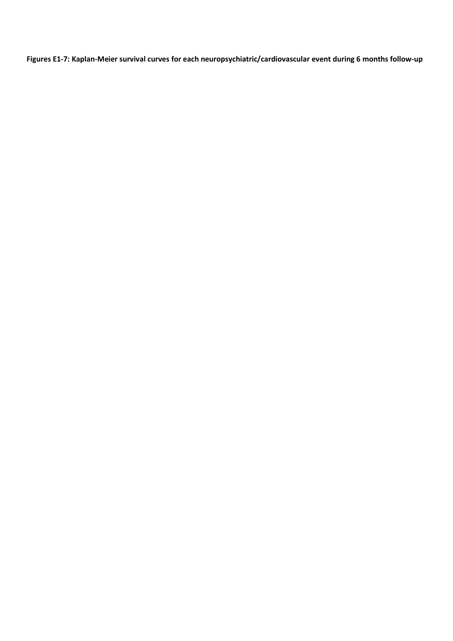**Figures E1-7: Kaplan-Meier survival curves for each neuropsychiatric/cardiovascular event during 6 months follow-up**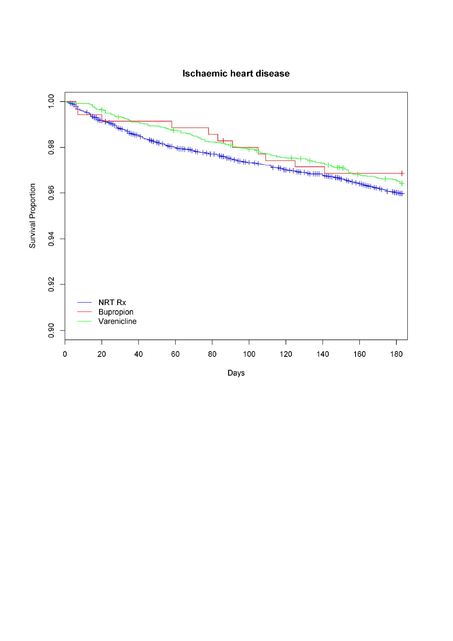

## **Ischaemic heart disease**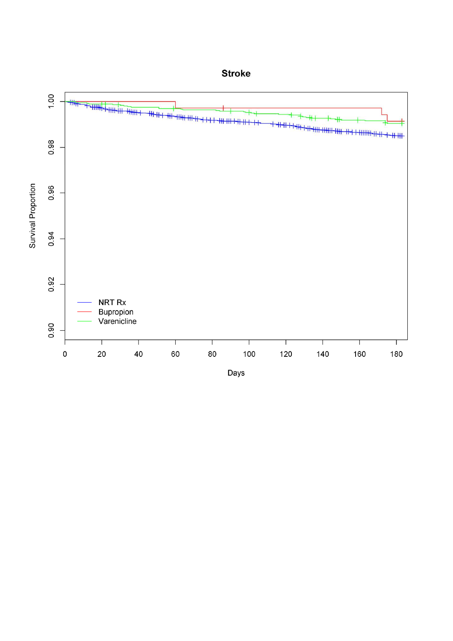

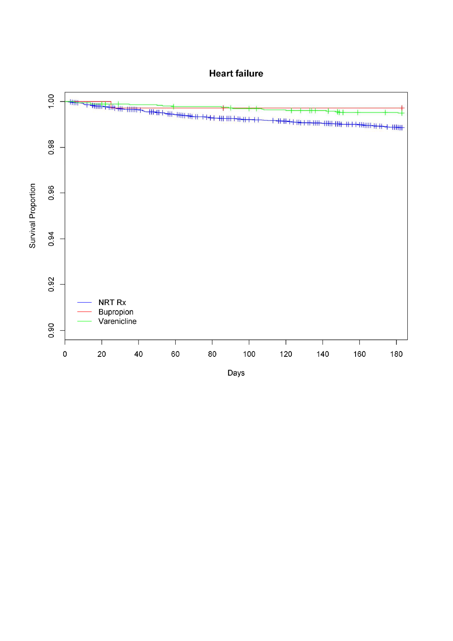

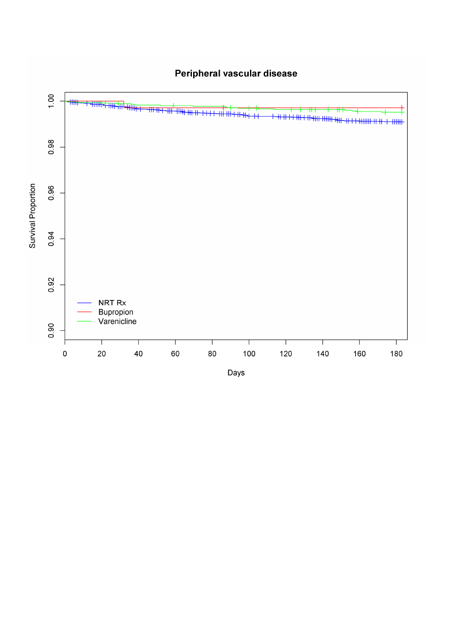

# Peripheral vascular disease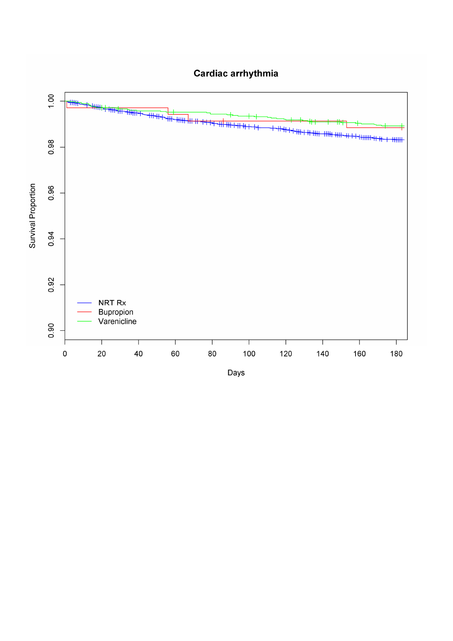

Cardiac arrhythmia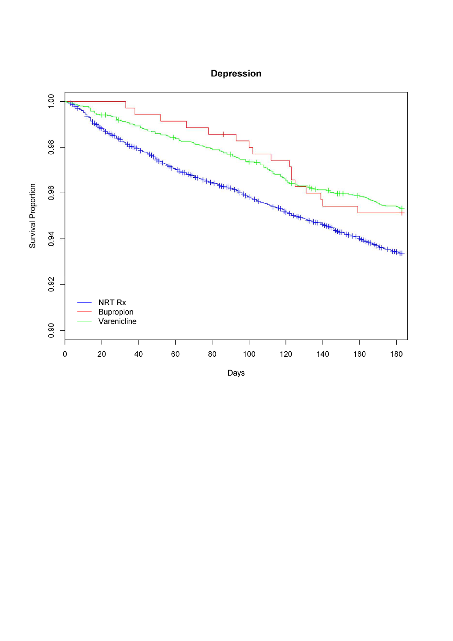

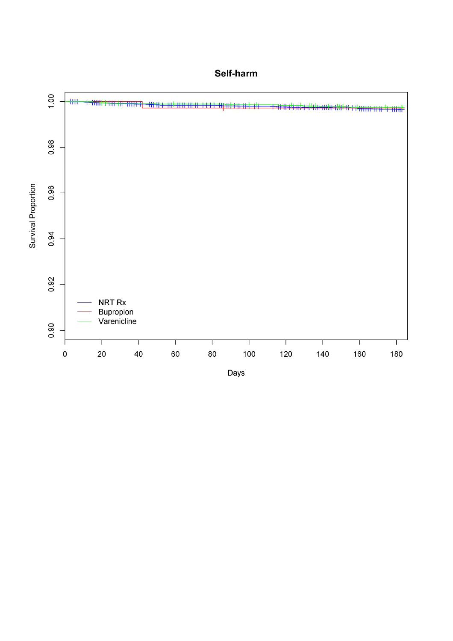

## Self-harm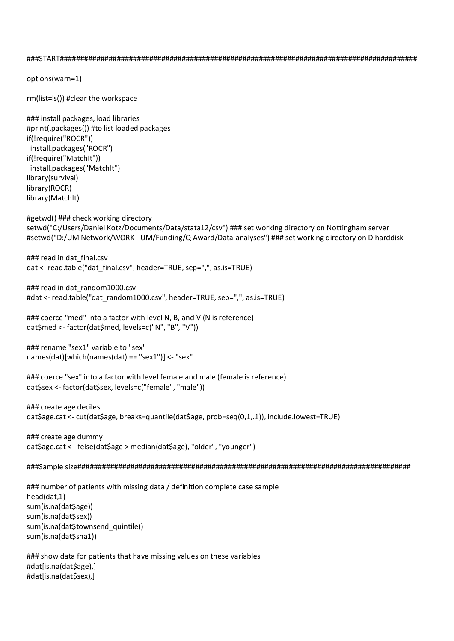###START########################################################################################

options(warn=1)

rm(list=ls()) #clear the workspace

### install packages, load libraries #print(.packages()) #to list loaded packages if(!require("ROCR")) install.packages("ROCR") if(!require("MatchIt")) install.packages("MatchIt") library(survival) library(ROCR) library(MatchIt)

#getwd() ### check working directory setwd("C:/Users/Daniel Kotz/Documents/Data/stata12/csv") ### set working directory on Nottingham server #setwd("D:/UM Network/WORK - UM/Funding/Q Award/Data-analyses") ### set working directory on D harddisk

### read in dat final.csv dat <- read.table("dat final.csv", header=TRUE, sep=",", as.is=TRUE)

### read in dat random1000.csv #dat <- read.table("dat\_random1000.csv", header=TRUE, sep=",", as.is=TRUE)

### coerce "med" into a factor with level N, B, and V (N is reference) dat\$med <- factor(dat\$med, levels=c("N", "B", "V"))

### rename "sex1" variable to "sex" names(dat)[which(names(dat) == "sex1")] <- "sex"

### coerce "sex" into a factor with level female and male (female is reference) dat\$sex <- factor(dat\$sex, levels=c("female", "male"))

### create age deciles dat\$age.cat <- cut(dat\$age, breaks=quantile(dat\$age, prob=seq(0,1,.1)), include.lowest=TRUE)

### create age dummy dat\$age.cat <- ifelse(dat\$age > median(dat\$age), "older", "younger")

###Sample size##################################################################################

### number of patients with missing data / definition complete case sample head(dat,1) sum(is.na(dat\$age)) sum(is.na(dat\$sex)) sum(is.na(dat\$townsend\_quintile)) sum(is.na(dat\$sha1))

### show data for patients that have missing values on these variables #dat[is.na(dat\$age),] #dat[is.na(dat\$sex),]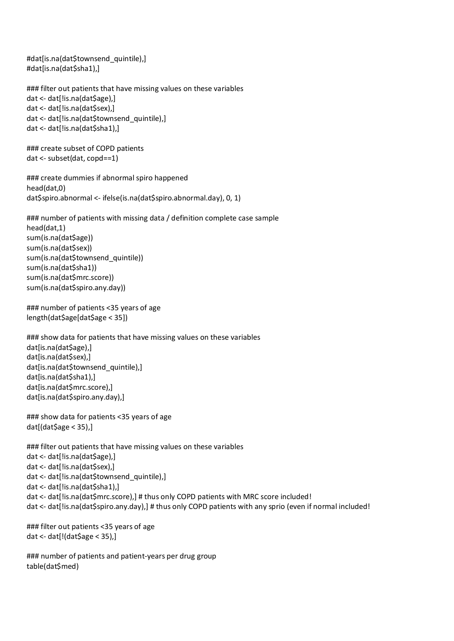#dat[is.na(dat\$townsend\_quintile),] #dat[is.na(dat\$sha1),]

```
### filter out patients that have missing values on these variables
dat <- dat[!is.na(dat$age),]
dat <- dat[!is.na(dat$sex),]
dat <- dat[!is.na(dat$townsend_quintile),]
dat <- dat[!is.na(dat$sha1),]
```

```
### create subset of COPD patients
dat <- subset(dat, copd==1)
```

```
### create dummies if abnormal spiro happened
head(dat,0)
dat$spiro.abnormal <- ifelse(is.na(dat$spiro.abnormal.day), 0, 1)
```

```
### number of patients with missing data / definition complete case sample
head(dat,1)
sum(is.na(dat$age))
sum(is.na(dat$sex))
sum(is.na(dat$townsend_quintile))
sum(is.na(dat$sha1))
sum(is.na(dat$mrc.score))
sum(is.na(dat$spiro.any.day))
```

```
### number of patients <35 years of age
length(dat$age[dat$age < 35])
```

```
### show data for patients that have missing values on these variables
dat[is.na(dat$age),]
dat[is.na(dat$sex),]
dat[is.na(dat$townsend_quintile),]
dat[is.na(dat$sha1),]
dat[is.na(dat$mrc.score),]
dat[is.na(dat$spiro.any.day),]
```

```
### show data for patients <35 years of age
dat[(\text{dat}\$\text{age} < 35),
```

```
### filter out patients that have missing values on these variables
dat <- dat[!is.na(dat$age),]
dat <- dat[!is.na(dat$sex),]
dat <- dat[!is.na(dat$townsend_quintile),]
dat <- dat[!is.na(dat$sha1),]
dat <- dat[!is.na(dat$mrc.score),] # thus only COPD patients with MRC score included!
dat <- dat[!is.na(dat$spiro.any.day),] # thus only COPD patients with any sprio (even if normal included!
```

```
### filter out patients <35 years of age
dat <- dat[!(dat$age < 35),]
```

```
### number of patients and patient-years per drug group
table(dat$med)
```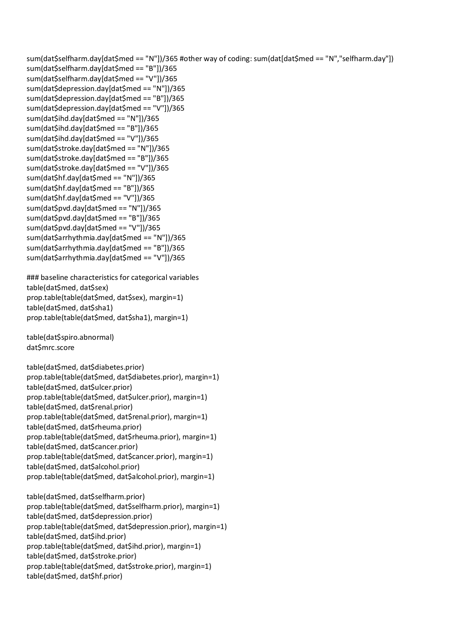sum(dat\$selfharm.day[dat\$med == "N"])/365 #other way of coding: sum(dat[dat\$med == "N","selfharm.day"]) sum(dat\$selfharm.day[dat\$med == "B"])/365 sum(dat\$selfharm.day[dat\$med == "V"])/365 sum(dat\$depression.day[dat\$med == "N"])/365 sum(dat\$depression.day[dat\$med == "B"])/365 sum(dat\$depression.day[dat\$med == "V"])/365 sum(dat\$ihd.day[dat\$med == "N"])/365 sum(dat\$ihd.day[dat\$med == "B"])/365 sum(dat\$ihd.day[dat\$med == "V"])/365 sum(dat\$stroke.day[dat\$med == "N"])/365 sum(dat\$stroke.day[dat\$med == "B"])/365 sum(dat\$stroke.day[dat\$med == "V"])/365 sum(dat\$hf.day[dat\$med == "N"])/365 sum(dat\$hf.day[dat\$med == "B"])/365 sum(dat\$hf.day[dat\$med == "V"])/365 sum(dat\$pvd.day[dat\$med == "N"])/365 sum(dat\$pvd.day[dat\$med == "B"])/365 sum(dat\$pvd.day[dat\$med == "V"])/365 sum(dat\$arrhythmia.day[dat\$med == "N"])/365 sum(dat\$arrhythmia.day[dat\$med == "B"])/365 sum(dat\$arrhythmia.day[dat\$med == "V"])/365 ### baseline characteristics for categorical variables

table(dat\$med, dat\$sex) prop.table(table(dat\$med, dat\$sex), margin=1) table(dat\$med, dat\$sha1) prop.table(table(dat\$med, dat\$sha1), margin=1)

table(dat\$spiro.abnormal) dat\$mrc.score

table(dat\$med, dat\$diabetes.prior) prop.table(table(dat\$med, dat\$diabetes.prior), margin=1) table(dat\$med, dat\$ulcer.prior) prop.table(table(dat\$med, dat\$ulcer.prior), margin=1) table(dat\$med, dat\$renal.prior) prop.table(table(dat\$med, dat\$renal.prior), margin=1) table(dat\$med, dat\$rheuma.prior) prop.table(table(dat\$med, dat\$rheuma.prior), margin=1) table(dat\$med, dat\$cancer.prior) prop.table(table(dat\$med, dat\$cancer.prior), margin=1) table(dat\$med, dat\$alcohol.prior) prop.table(table(dat\$med, dat\$alcohol.prior), margin=1)

table(dat\$med, dat\$selfharm.prior) prop.table(table(dat\$med, dat\$selfharm.prior), margin=1) table(dat\$med, dat\$depression.prior) prop.table(table(dat\$med, dat\$depression.prior), margin=1) table(dat\$med, dat\$ihd.prior) prop.table(table(dat\$med, dat\$ihd.prior), margin=1) table(dat\$med, dat\$stroke.prior) prop.table(table(dat\$med, dat\$stroke.prior), margin=1) table(dat\$med, dat\$hf.prior)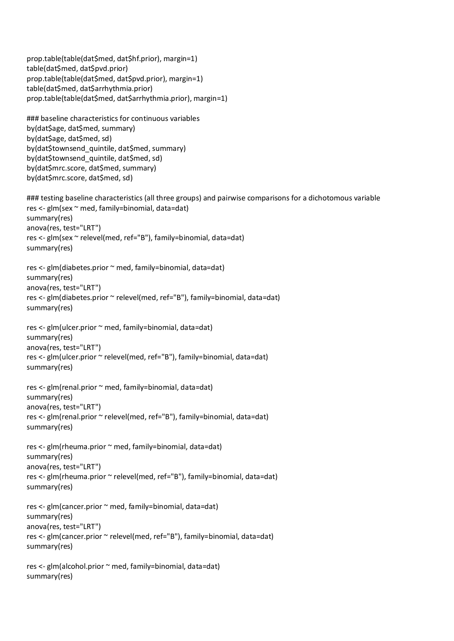```
prop.table(table(dat$med, dat$hf.prior), margin=1)
table(dat$med, dat$pvd.prior)
prop.table(table(dat$med, dat$pvd.prior), margin=1)
table(dat$med, dat$arrhythmia.prior)
prop.table(table(dat$med, dat$arrhythmia.prior), margin=1)
### baseline characteristics for continuous variables
by(dat$age, dat$med, summary)
by(dat$age, dat$med, sd)
by(dat$townsend_quintile, dat$med, summary)
by(dat$townsend_quintile, dat$med, sd)
by(dat$mrc.score, dat$med, summary)
by(dat$mrc.score, dat$med, sd)
### testing baseline characteristics (all three groups) and pairwise comparisons for a dichotomous variable
res <- glm(sex ~ med, family=binomial, data=dat)
summary(res)
anova(res, test="LRT")
res <- glm(sex ~ relevel(med, ref="B"), family=binomial, data=dat)
summary(res)
res <- glm(diabetes.prior ~ med, family=binomial, data=dat)
summary(res)
anova(res, test="LRT")
res <- glm(diabetes.prior ~ relevel(med, ref="B"), family=binomial, data=dat)
summary(res)
res <- glm(ulcer.prior ~ med, family=binomial, data=dat)
summary(res)
anova(res, test="LRT")
res <- glm(ulcer.prior ~ relevel(med, ref="B"), family=binomial, data=dat)
summary(res)
res <- glm(renal.prior ~ med, family=binomial, data=dat)
summary(res)
anova(res, test="LRT")
res <- glm(renal.prior ~ relevel(med, ref="B"), family=binomial, data=dat)
summary(res)
res <- glm(rheuma.prior ~ med, family=binomial, data=dat)
summary(res)
anova(res, test="LRT")
res <- glm(rheuma.prior ~ relevel(med, ref="B"), family=binomial, data=dat)
summary(res)
res <- glm(cancer.prior ~ med, family=binomial, data=dat)
summary(res)
anova(res, test="LRT")
res <- glm(cancer.prior ~ relevel(med, ref="B"), family=binomial, data=dat)
summary(res)
res <- glm(alcohol.prior ~ med, family=binomial, data=dat)
summary(res)
```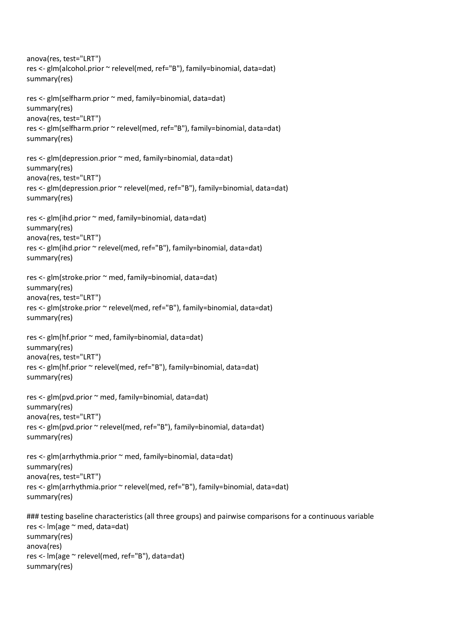anova(res, test="LRT") res <- glm(alcohol.prior ~ relevel(med, ref="B"), family=binomial, data=dat) summary(res) res <- glm(selfharm.prior ~ med, family=binomial, data=dat) summary(res) anova(res, test="LRT") res <- glm(selfharm.prior ~ relevel(med, ref="B"), family=binomial, data=dat) summary(res) res <- glm(depression.prior ~ med, family=binomial, data=dat) summary(res) anova(res, test="LRT") res <- glm(depression.prior ~ relevel(med, ref="B"), family=binomial, data=dat) summary(res) res <- glm(ihd.prior ~ med, family=binomial, data=dat) summary(res) anova(res, test="LRT") res <- glm(ihd.prior ~ relevel(med, ref="B"), family=binomial, data=dat) summary(res) res <- glm(stroke.prior ~ med, family=binomial, data=dat) summary(res) anova(res, test="LRT") res <- glm(stroke.prior ~ relevel(med, ref="B"), family=binomial, data=dat) summary(res) res <- glm(hf.prior ~ med, family=binomial, data=dat) summary(res) anova(res, test="LRT") res <- glm(hf.prior ~ relevel(med, ref="B"), family=binomial, data=dat) summary(res) res <- glm(pvd.prior ~ med, family=binomial, data=dat) summary(res) anova(res, test="LRT") res <- glm(pvd.prior ~ relevel(med, ref="B"), family=binomial, data=dat) summary(res) res <- glm(arrhythmia.prior ~ med, family=binomial, data=dat) summary(res) anova(res, test="LRT") res <- glm(arrhythmia.prior ~ relevel(med, ref="B"), family=binomial, data=dat) summary(res) ### testing baseline characteristics (all three groups) and pairwise comparisons for a continuous variable res <- lm(age ~ med, data=dat) summary(res) anova(res) res <- lm(age ~ relevel(med, ref="B"), data=dat) summary(res)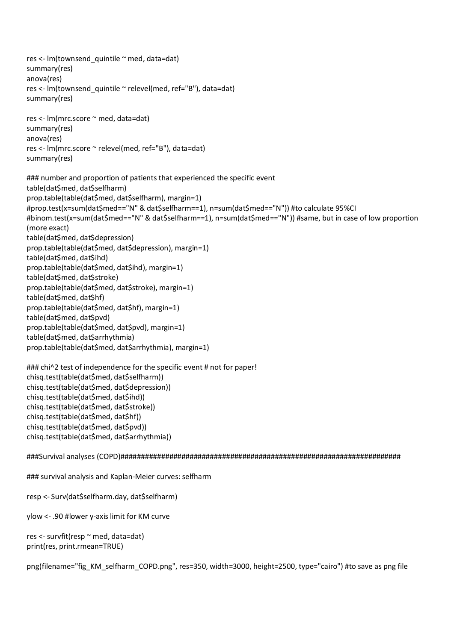res <- lm(townsend\_quintile ~ med, data=dat) summary(res) anova(res) res <- lm(townsend\_quintile ~ relevel(med, ref="B"), data=dat) summary(res) res <- lm(mrc.score ~ med, data=dat) summary(res) anova(res) res <- lm(mrc.score ~ relevel(med, ref="B"), data=dat) summary(res) ### number and proportion of patients that experienced the specific event table(dat\$med, dat\$selfharm) prop.table(table(dat\$med, dat\$selfharm), margin=1) #prop.test(x=sum(dat\$med=="N" & dat\$selfharm==1), n=sum(dat\$med=="N")) #to calculate 95%CI #binom.test(x=sum(dat\$med=="N" & dat\$selfharm==1), n=sum(dat\$med=="N")) #same, but in case of low proportion (more exact) table(dat\$med, dat\$depression) prop.table(table(dat\$med, dat\$depression), margin=1) table(dat\$med, dat\$ihd) prop.table(table(dat\$med, dat\$ihd), margin=1) table(dat\$med, dat\$stroke) prop.table(table(dat\$med, dat\$stroke), margin=1) table(dat\$med, dat\$hf) prop.table(table(dat\$med, dat\$hf), margin=1) table(dat\$med, dat\$pvd) prop.table(table(dat\$med, dat\$pvd), margin=1) table(dat\$med, dat\$arrhythmia) prop.table(table(dat\$med, dat\$arrhythmia), margin=1) ### chi^2 test of independence for the specific event # not for paper! chisq.test(table(dat\$med, dat\$selfharm)) chisq.test(table(dat\$med, dat\$depression)) chisq.test(table(dat\$med, dat\$ihd)) chisq.test(table(dat\$med, dat\$stroke)) chisq.test(table(dat\$med, dat\$hf)) chisq.test(table(dat\$med, dat\$pvd)) chisq.test(table(dat\$med, dat\$arrhythmia)) ###Survival analyses (COPD)#####################################################################

### survival analysis and Kaplan-Meier curves: selfharm

resp <- Surv(dat\$selfharm.day, dat\$selfharm)

ylow <- .90 #lower y-axis limit for KM curve

res <- survfit(resp ~ med, data=dat) print(res, print.rmean=TRUE)

png(filename="fig\_KM\_selfharm\_COPD.png", res=350, width=3000, height=2500, type="cairo") #to save as png file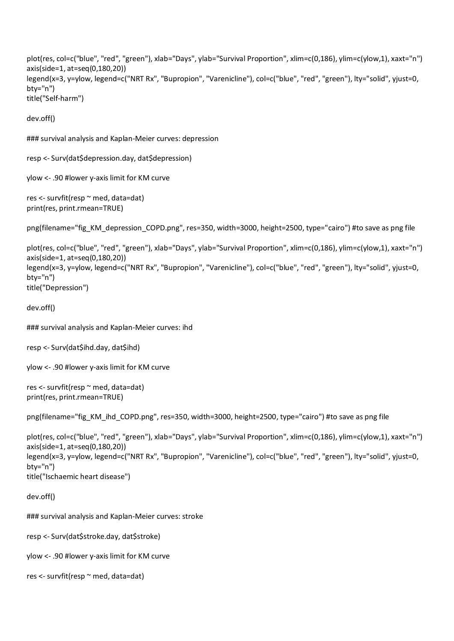```
plot(res, col=c("blue", "red", "green"), xlab="Days", ylab="Survival Proportion", xlim=c(0,186), ylim=c(ylow,1), xaxt="n")
axis(side=1, at=seq(0,180,20))
legend(x=3, y=ylow, legend=c("NRT Rx", "Bupropion", "Varenicline"), col=c("blue", "red", "green"), lty="solid", yjust=0,
bty="n")
title("Self-harm")
```
dev.off()

### survival analysis and Kaplan-Meier curves: depression

resp <- Surv(dat\$depression.day, dat\$depression)

ylow <- .90 #lower y-axis limit for KM curve

```
res <- survfit(resp ~ med, data=dat)
print(res, print.rmean=TRUE)
```
png(filename="fig\_KM\_depression\_COPD.png", res=350, width=3000, height=2500, type="cairo") #to save as png file

```
plot(res, col=c("blue", "red", "green"), xlab="Days", ylab="Survival Proportion", xlim=c(0,186), ylim=c(ylow,1), xaxt="n")
axis(side=1, at=seq(0,180,20))
legend(x=3, y=ylow, legend=c("NRT Rx", "Bupropion", "Varenicline"), col=c("blue", "red", "green"), lty="solid", yjust=0,
bty="n")
title("Depression")
```
dev.off()

### survival analysis and Kaplan-Meier curves: ihd

```
resp <- Surv(dat$ihd.day, dat$ihd)
```
ylow <- .90 #lower y-axis limit for KM curve

```
res <- survfit(resp ~ med, data=dat)
print(res, print.rmean=TRUE)
```

```
png(filename="fig_KM_ihd_COPD.png", res=350, width=3000, height=2500, type="cairo") #to save as png file
```

```
plot(res, col=c("blue", "red", "green"), xlab="Days", ylab="Survival Proportion", xlim=c(0,186), ylim=c(ylow,1), xaxt="n")
axis(side=1, at=seq(0,180,20))
legend(x=3, y=ylow, legend=c("NRT Rx", "Bupropion", "Varenicline"), col=c("blue", "red", "green"), lty="solid", yjust=0,
bty="n")
title("Ischaemic heart disease")
```
dev.off()

### survival analysis and Kaplan-Meier curves: stroke

resp <- Surv(dat\$stroke.day, dat\$stroke)

ylow <- .90 #lower y-axis limit for KM curve

```
res <- survfit(resp ~ med, data=dat)
```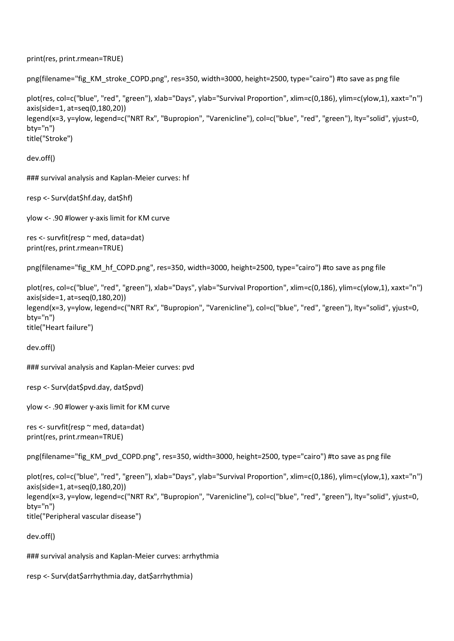```
print(res, print.rmean=TRUE)
```

```
png(filename="fig_KM_stroke_COPD.png", res=350, width=3000, height=2500, type="cairo") #to save as png file
```

```
plot(res, col=c("blue", "red", "green"), xlab="Days", ylab="Survival Proportion", xlim=c(0,186), ylim=c(ylow,1), xaxt="n")
axis(side=1, at=seq(0,180,20))
legend(x=3, y=ylow, legend=c("NRT Rx", "Bupropion", "Varenicline"), col=c("blue", "red", "green"), lty="solid", yjust=0,
bty="n")
title("Stroke")
```
dev.off()

### survival analysis and Kaplan-Meier curves: hf

resp <- Surv(dat\$hf.day, dat\$hf)

ylow <- .90 #lower y-axis limit for KM curve

```
res <- survfit(resp ~ med, data=dat)
print(res, print.rmean=TRUE)
```
png(filename="fig\_KM\_hf\_COPD.png", res=350, width=3000, height=2500, type="cairo") #to save as png file

```
plot(res, col=c("blue", "red", "green"), xlab="Days", ylab="Survival Proportion", xlim=c(0,186), ylim=c(ylow,1), xaxt="n")
axis(side=1, at=seq(0,180,20))
legend(x=3, y=ylow, legend=c("NRT Rx", "Bupropion", "Varenicline"), col=c("blue", "red", "green"), lty="solid", yjust=0,
bty="n")
title("Heart failure")
```

```
dev.off()
```
### survival analysis and Kaplan-Meier curves: pvd

```
resp <- Surv(dat$pvd.day, dat$pvd)
```

```
ylow <- .90 #lower y-axis limit for KM curve
```

```
res <- survfit(resp ~ med, data=dat)
print(res, print.rmean=TRUE)
```
png(filename="fig\_KM\_pvd\_COPD.png", res=350, width=3000, height=2500, type="cairo") #to save as png file

```
plot(res, col=c("blue", "red", "green"), xlab="Days", ylab="Survival Proportion", xlim=c(0,186), ylim=c(ylow,1), xaxt="n")
axis(side=1, at=seq(0,180,20))
legend(x=3, y=ylow, legend=c("NRT Rx", "Bupropion", "Varenicline"), col=c("blue", "red", "green"), lty="solid", yjust=0,
btv="n")
title("Peripheral vascular disease")
```
dev.off()

### survival analysis and Kaplan-Meier curves: arrhythmia

```
resp <- Surv(dat$arrhythmia.day, dat$arrhythmia)
```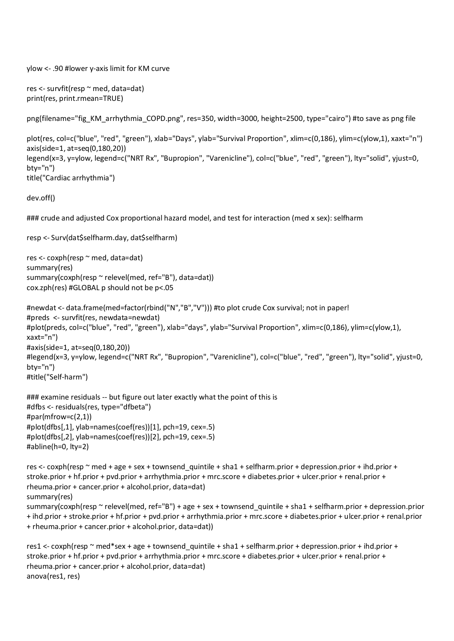ylow <- .90 #lower y-axis limit for KM curve

```
res <- survfit(resp ~ med, data=dat)
print(res, print.rmean=TRUE)
```
png(filename="fig\_KM\_arrhythmia\_COPD.png", res=350, width=3000, height=2500, type="cairo") #to save as png file

```
plot(res, col=c("blue", "red", "green"), xlab="Days", ylab="Survival Proportion", xlim=c(0,186), ylim=c(ylow,1), xaxt="n")
axis(side=1, at=seq(0,180,20))
legend(x=3, y=ylow, legend=c("NRT Rx", "Bupropion", "Varenicline"), col=c("blue", "red", "green"), lty="solid", yjust=0,
bty="n")
title("Cardiac arrhythmia")
```
dev.off()

### crude and adjusted Cox proportional hazard model, and test for interaction (med x sex): selfharm

```
resp <- Surv(dat$selfharm.day, dat$selfharm)
```

```
res <- coxph(resp ~ med, data=dat)
summary(res)
summary(coxph(resp ~ relevel(med, ref="B"), data=dat))
cox.zph(res) #GLOBAL p should not be p<.05
```

```
#newdat <- data.frame(med=factor(rbind("N","B","V"))) #to plot crude Cox survival; not in paper!
#preds <- survfit(res, newdata=newdat)
#plot(preds, col=c("blue", "red", "green"), xlab="days", ylab="Survival Proportion", xlim=c(0,186), ylim=c(ylow,1),
xaxt="n")
#axis(side=1, at=seq(0,180,20))
#legend(x=3, y=ylow, legend=c("NRT Rx", "Bupropion", "Varenicline"), col=c("blue", "red", "green"), lty="solid", yjust=0,
bty="n")
#title("Self-harm")
```

```
### examine residuals -- but figure out later exactly what the point of this is
#dfbs <- residuals(res, type="dfbeta")
#par(mfrow=c(2,1))
#plot(dfbs[,1], ylab=names(coef(res))[1], pch=19, cex=.5)
#plot(dfbs[,2], ylab=names(coef(res))[2], pch=19, cex=.5)
#abline(h=0, lty=2)
```
res <- coxph(resp ~ med + age + sex + townsend\_quintile + sha1 + selfharm.prior + depression.prior + ihd.prior + stroke.prior + hf.prior + pvd.prior + arrhythmia.prior + mrc.score + diabetes.prior + ulcer.prior + renal.prior + rheuma.prior + cancer.prior + alcohol.prior, data=dat) summary(res) summary(coxph(resp  $\sim$  relevel(med, ref="B") + age + sex + townsend quintile + sha1 + selfharm.prior + depression.prior + ihd.prior + stroke.prior + hf.prior + pvd.prior + arrhythmia.prior + mrc.score + diabetes.prior + ulcer.prior + renal.prior + rheuma.prior + cancer.prior + alcohol.prior, data=dat))

```
res1 <- coxph(resp ~ med*sex + age + townsend_quintile + sha1 + selfharm.prior + depression.prior + ihd.prior +
stroke.prior + hf.prior + pvd.prior + arrhythmia.prior + mrc.score + diabetes.prior + ulcer.prior + renal.prior +
rheuma.prior + cancer.prior + alcohol.prior, data=dat)
anova(res1, res)
```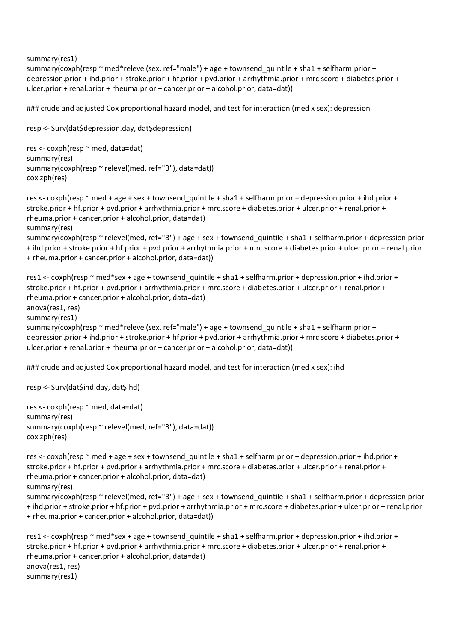summary(res1)

summary(coxph(resp ~ med\*relevel(sex, ref="male") + age + townsend quintile + sha1 + selfharm.prior + depression.prior + ihd.prior + stroke.prior + hf.prior + pvd.prior + arrhythmia.prior + mrc.score + diabetes.prior + ulcer.prior + renal.prior + rheuma.prior + cancer.prior + alcohol.prior, data=dat))

### crude and adjusted Cox proportional hazard model, and test for interaction (med x sex): depression

```
resp <- Surv(dat$depression.day, dat$depression)
res <- coxph(resp ~ med, data=dat)
summary(res)
summary(coxph(resp ~ relevel(med, ref="B"), data=dat))
cox.zph(res)
```

```
res <- coxph(resp ~ med + age + sex + townsend_quintile + sha1 + selfharm.prior + depression.prior + ihd.prior +
stroke.prior + hf.prior + pvd.prior + arrhythmia.prior + mrc.score + diabetes.prior + ulcer.prior + renal.prior +
rheuma.prior + cancer.prior + alcohol.prior, data=dat)
summary(res)
summary(coxph(resp ~ relevel(med, ref="B") + age + sex + townsend_quintile + sha1 + selfharm.prior + depression.prior
+ ihd.prior + stroke.prior + hf.prior + pvd.prior + arrhythmia.prior + mrc.score + diabetes.prior + ulcer.prior + renal.prior
+ rheuma.prior + cancer.prior + alcohol.prior, data=dat))
```

```
res1 <- coxph(resp ~ med*sex + age + townsend_quintile + sha1 + selfharm.prior + depression.prior + ihd.prior +
stroke.prior + hf.prior + pvd.prior + arrhythmia.prior + mrc.score + diabetes.prior + ulcer.prior + renal.prior +
rheuma.prior + cancer.prior + alcohol.prior, data=dat)
anova(res1, res)
summary(res1)
summary(coxph(resp ~ med*relevel(sex, ref="male") + age + townsend quintile + sha1 + selfharm.prior +
depression.prior + ihd.prior + stroke.prior + hf.prior + pvd.prior + arrhythmia.prior + mrc.score + diabetes.prior +
ulcer.prior + renal.prior + rheuma.prior + cancer.prior + alcohol.prior, data=dat))
```
### crude and adjusted Cox proportional hazard model, and test for interaction (med x sex): ihd

resp <- Surv(dat\$ihd.day, dat\$ihd)

res <- coxph(resp ~ med, data=dat) summary(res) summary(coxph(resp ~ relevel(med, ref="B"), data=dat)) cox.zph(res)

res <- coxph(resp ~ med + age + sex + townsend quintile + sha1 + selfharm.prior + depression.prior + ihd.prior + stroke.prior + hf.prior + pvd.prior + arrhythmia.prior + mrc.score + diabetes.prior + ulcer.prior + renal.prior + rheuma.prior + cancer.prior + alcohol.prior, data=dat) summary(res)

summary(coxph(resp ~ relevel(med, ref="B") + age + sex + townsend quintile + sha1 + selfharm.prior + depression.prior + ihd.prior + stroke.prior + hf.prior + pvd.prior + arrhythmia.prior + mrc.score + diabetes.prior + ulcer.prior + renal.prior + rheuma.prior + cancer.prior + alcohol.prior, data=dat))

res1 <- coxph(resp ~ med\*sex + age + townsend\_quintile + sha1 + selfharm.prior + depression.prior + ihd.prior + stroke.prior + hf.prior + pvd.prior + arrhythmia.prior + mrc.score + diabetes.prior + ulcer.prior + renal.prior + rheuma.prior + cancer.prior + alcohol.prior, data=dat) anova(res1, res) summary(res1)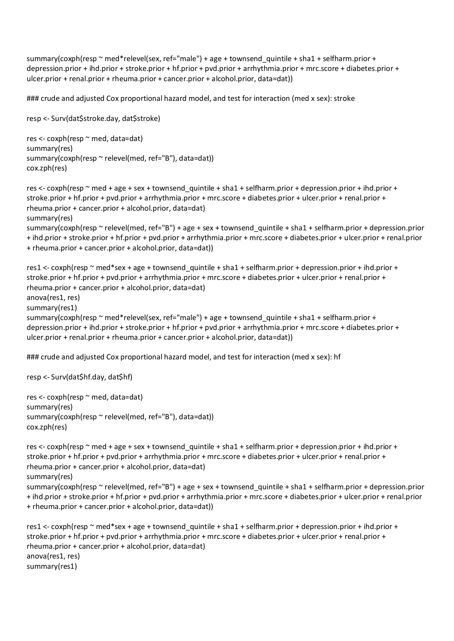summary(coxph(resp ~ med\*relevel(sex, ref="male") + age + townsend\_quintile + sha1 + selfharm.prior + depression.prior + ihd.prior + stroke.prior + hf.prior + pvd.prior + arrhythmia.prior + mrc.score + diabetes.prior + ulcer.prior + renal.prior + rheuma.prior + cancer.prior + alcohol.prior, data=dat))

### crude and adjusted Cox proportional hazard model, and test for interaction (med x sex): stroke

```
resp <- Surv(dat$stroke.day, dat$stroke)
res <- coxph(resp ~ med, data=dat)
summary(res)
summary(coxph(resp ~ relevel(med, ref="B"), data=dat))
cox.zph(res)
```

```
res <- coxph(resp ~ med + age + sex + townsend quintile + sha1 + selfharm.prior + depression.prior + ihd.prior +
stroke.prior + hf.prior + pvd.prior + arrhythmia.prior + mrc.score + diabetes.prior + ulcer.prior + renal.prior +
rheuma.prior + cancer.prior + alcohol.prior, data=dat)
summary(res)
summary(coxph(resp ~ relevel(med, ref="B") + age + sex + townsend quintile + sha1 + selfharm.prior + depression.prior
+ ihd.prior + stroke.prior + hf.prior + pvd.prior + arrhythmia.prior + mrc.score + diabetes.prior + ulcer.prior + renal.prior
```

```
+ rheuma.prior + cancer.prior + alcohol.prior, data=dat))
```

```
res1 <- coxph(resp ~ med*sex + age + townsend_quintile + sha1 + selfharm.prior + depression.prior + ihd.prior +
stroke.prior + hf.prior + pvd.prior + arrhythmia.prior + mrc.score + diabetes.prior + ulcer.prior + renal.prior +
rheuma.prior + cancer.prior + alcohol.prior, data=dat)
anova(res1, res)
summary(res1)
summary(coxph(resp ~ med*relevel(sex, ref="male") + age + townsend quintile + sha1 + selfharm.prior +
depression.prior + ihd.prior + stroke.prior + hf.prior + pvd.prior + arrhythmia.prior + mrc.score + diabetes.prior +
ulcer.prior + renal.prior + rheuma.prior + cancer.prior + alcohol.prior, data=dat))
```
### crude and adjusted Cox proportional hazard model, and test for interaction (med x sex): hf

```
resp <- Surv(dat$hf.day, dat$hf)
```

```
res <- coxph(resp ~ med, data=dat)
summary(res)
summary(coxph(resp ~ relevel(med, ref="B"), data=dat))
cox.zph(res)
```

```
res <- coxph(resp ~ med + age + sex + townsend_quintile + sha1 + selfharm.prior + depression.prior + ihd.prior +
stroke.prior + hf.prior + pvd.prior + arrhythmia.prior + mrc.score + diabetes.prior + ulcer.prior + renal.prior +
rheuma.prior + cancer.prior + alcohol.prior, data=dat)
summary(res)
summary(coxph(resp ~ relevel(med, ref="B") + age + sex + townsend quintile + sha1 + selfharm.prior + depression.prior
+ ihd.prior + stroke.prior + hf.prior + pvd.prior + arrhythmia.prior + mrc.score + diabetes.prior + ulcer.prior + renal.prior
+ rheuma.prior + cancer.prior + alcohol.prior, data=dat))
```

```
res1 <- coxph(resp ~ med*sex + age + townsend_quintile + sha1 + selfharm.prior + depression.prior + ihd.prior +
stroke.prior + hf.prior + pvd.prior + arrhythmia.prior + mrc.score + diabetes.prior + ulcer.prior + renal.prior +
rheuma.prior + cancer.prior + alcohol.prior, data=dat)
anova(res1, res)
summary(res1)
```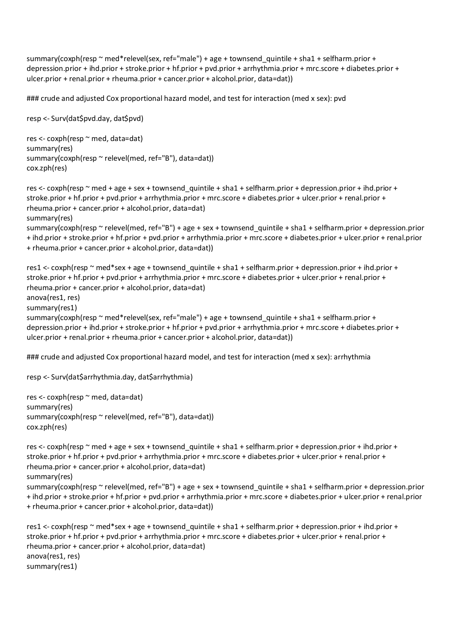summary(coxph(resp ~ med\*relevel(sex, ref="male") + age + townsend\_quintile + sha1 + selfharm.prior + depression.prior + ihd.prior + stroke.prior + hf.prior + pvd.prior + arrhythmia.prior + mrc.score + diabetes.prior + ulcer.prior + renal.prior + rheuma.prior + cancer.prior + alcohol.prior, data=dat))

### crude and adjusted Cox proportional hazard model, and test for interaction (med x sex): pvd

```
resp <- Surv(dat$pvd.day, dat$pvd)
res <- coxph(resp ~ med, data=dat)
summary(res)
summary(coxph(resp ~ relevel(med, ref="B"), data=dat))
cox.zph(res)
```

```
res <- coxph(resp ~ med + age + sex + townsend quintile + sha1 + selfharm.prior + depression.prior + ihd.prior +
stroke.prior + hf.prior + pvd.prior + arrhythmia.prior + mrc.score + diabetes.prior + ulcer.prior + renal.prior +
rheuma.prior + cancer.prior + alcohol.prior, data=dat)
summary(res)
summary(coxph(resp ~ relevel(med, ref="B") + age + sex + townsend quintile + sha1 + selfharm.prior + depression.prior
+ ihd.prior + stroke.prior + hf.prior + pvd.prior + arrhythmia.prior + mrc.score + diabetes.prior + ulcer.prior + renal.prior
```

```
+ rheuma.prior + cancer.prior + alcohol.prior, data=dat))
```

```
res1 <- coxph(resp ~ med*sex + age + townsend_quintile + sha1 + selfharm.prior + depression.prior + ihd.prior +
stroke.prior + hf.prior + pvd.prior + arrhythmia.prior + mrc.score + diabetes.prior + ulcer.prior + renal.prior +
rheuma.prior + cancer.prior + alcohol.prior, data=dat)
anova(res1, res)
summary(res1)
summary(coxph(resp ~ med*relevel(sex, ref="male") + age + townsend quintile + sha1 + selfharm.prior +
depression.prior + ihd.prior + stroke.prior + hf.prior + pvd.prior + arrhythmia.prior + mrc.score + diabetes.prior +
ulcer.prior + renal.prior + rheuma.prior + cancer.prior + alcohol.prior, data=dat))
```
### crude and adjusted Cox proportional hazard model, and test for interaction (med x sex): arrhythmia

resp <- Surv(dat\$arrhythmia.day, dat\$arrhythmia)

```
res <- coxph(resp ~ med, data=dat)
summary(res)
summary(coxph(resp ~ relevel(med, ref="B"), data=dat))
cox.zph(res)
```

```
res <- coxph(resp ~ med + age + sex + townsend_quintile + sha1 + selfharm.prior + depression.prior + ihd.prior +
stroke.prior + hf.prior + pvd.prior + arrhythmia.prior + mrc.score + diabetes.prior + ulcer.prior + renal.prior +
rheuma.prior + cancer.prior + alcohol.prior, data=dat)
summary(res)
summary(coxph(resp ~ relevel(med, ref="B") + age + sex + townsend quintile + sha1 + selfharm.prior + depression.prior
+ ihd.prior + stroke.prior + hf.prior + pvd.prior + arrhythmia.prior + mrc.score + diabetes.prior + ulcer.prior + renal.prior
```
+ rheuma.prior + cancer.prior + alcohol.prior, data=dat))

```
res1 <- coxph(resp ~ med*sex + age + townsend_quintile + sha1 + selfharm.prior + depression.prior + ihd.prior +
stroke.prior + hf.prior + pvd.prior + arrhythmia.prior + mrc.score + diabetes.prior + ulcer.prior + renal.prior +
rheuma.prior + cancer.prior + alcohol.prior, data=dat)
anova(res1, res)
summary(res1)
```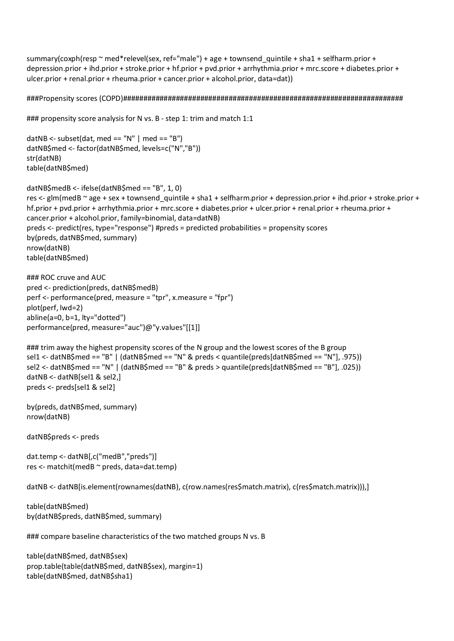summary(coxph(resp ~ med\*relevel(sex, ref="male") + age + townsend\_quintile + sha1 + selfharm.prior + depression.prior + ihd.prior + stroke.prior + hf.prior + pvd.prior + arrhythmia.prior + mrc.score + diabetes.prior + ulcer.prior + renal.prior + rheuma.prior + cancer.prior + alcohol.prior, data=dat))

###Propensity scores (COPD)#####################################################################

```
### propensity score analysis for N vs. B - step 1: trim and match 1:1
```

```
datNB <- subset(dat, med == ''N'' | med == ''B'')
datNB$med <- factor(datNB$med, levels=c("N","B"))
str(datNB)
table(datNB$med)
```

```
datNB$medB <- ifelse(datNB$med == "B", 1, 0)
res <- glm(medB ~ age + sex + townsend_quintile + sha1 + selfharm.prior + depression.prior + ihd.prior + stroke.prior +
hf.prior + pvd.prior + arrhythmia.prior + mrc.score + diabetes.prior + ulcer.prior + renal.prior + rheuma.prior +
cancer.prior + alcohol.prior, family=binomial, data=datNB)
preds <- predict(res, type="response") #preds = predicted probabilities = propensity scores
by(preds, datNB$med, summary)
nrow(datNB)
table(datNB$med)
```

```
### ROC cruve and AUC
pred <- prediction(preds, datNB$medB)
perf <- performance(pred, measure = "tpr", x.measure = "fpr")
plot(perf, lwd=2)
abline(a=0, b=1, lty="dotted")
performance(pred, measure="auc")@"y.values"[[1]]
```

```
### trim away the highest propensity scores of the N group and the lowest scores of the B group
sel1 <- datNB$med == "B" | (datNB$med == "N" & preds < quantile(preds[datNB$med == "N"], .975))
sel2 <- datNB$med == "N" | (datNB$med == "B" & preds > quantile(preds[datNB$med == "B"], .025))
datNB <- datNB[sel1 & sel2,]
preds <- preds[sel1 & sel2]
```

```
by(preds, datNB$med, summary)
nrow(datNB)
```
datNB\$preds <- preds

dat.temp <- datNB[,c("medB","preds")] res <- matchit(medB ~ preds, data=dat.temp)

```
datNB <- datNB[is.element(rownames(datNB), c(row.names(res$match.matrix), c(res$match.matrix))),]
```

```
table(datNB$med)
by(datNB$preds, datNB$med, summary)
```
### compare baseline characteristics of the two matched groups N vs. B

```
table(datNB$med, datNB$sex)
prop.table(table(datNB$med, datNB$sex), margin=1)
table(datNB$med, datNB$sha1)
```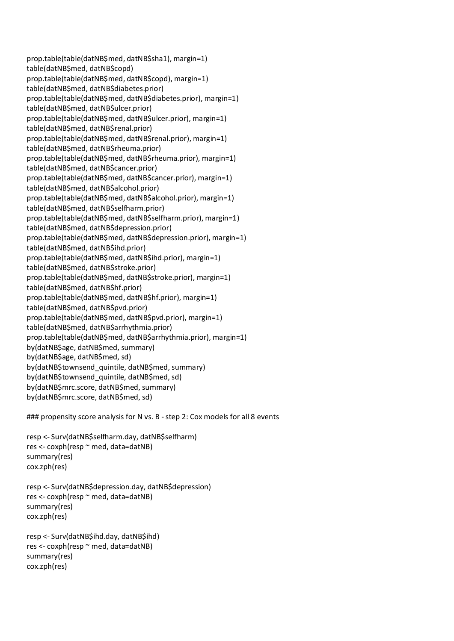prop.table(table(datNB\$med, datNB\$sha1), margin=1) table(datNB\$med, datNB\$copd) prop.table(table(datNB\$med, datNB\$copd), margin=1) table(datNB\$med, datNB\$diabetes.prior) prop.table(table(datNB\$med, datNB\$diabetes.prior), margin=1) table(datNB\$med, datNB\$ulcer.prior) prop.table(table(datNB\$med, datNB\$ulcer.prior), margin=1) table(datNB\$med, datNB\$renal.prior) prop.table(table(datNB\$med, datNB\$renal.prior), margin=1) table(datNB\$med, datNB\$rheuma.prior) prop.table(table(datNB\$med, datNB\$rheuma.prior), margin=1) table(datNB\$med, datNB\$cancer.prior) prop.table(table(datNB\$med, datNB\$cancer.prior), margin=1) table(datNB\$med, datNB\$alcohol.prior) prop.table(table(datNB\$med, datNB\$alcohol.prior), margin=1) table(datNB\$med, datNB\$selfharm.prior) prop.table(table(datNB\$med, datNB\$selfharm.prior), margin=1) table(datNB\$med, datNB\$depression.prior) prop.table(table(datNB\$med, datNB\$depression.prior), margin=1) table(datNB\$med, datNB\$ihd.prior) prop.table(table(datNB\$med, datNB\$ihd.prior), margin=1) table(datNB\$med, datNB\$stroke.prior) prop.table(table(datNB\$med, datNB\$stroke.prior), margin=1) table(datNB\$med, datNB\$hf.prior) prop.table(table(datNB\$med, datNB\$hf.prior), margin=1) table(datNB\$med, datNB\$pvd.prior) prop.table(table(datNB\$med, datNB\$pvd.prior), margin=1) table(datNB\$med, datNB\$arrhythmia.prior) prop.table(table(datNB\$med, datNB\$arrhythmia.prior), margin=1) by(datNB\$age, datNB\$med, summary) by(datNB\$age, datNB\$med, sd) by(datNB\$townsend\_quintile, datNB\$med, summary) by(datNB\$townsend\_quintile, datNB\$med, sd) by(datNB\$mrc.score, datNB\$med, summary) by(datNB\$mrc.score, datNB\$med, sd)

### propensity score analysis for N vs. B - step 2: Cox models for all 8 events

resp <- Surv(datNB\$selfharm.day, datNB\$selfharm) res <- coxph(resp ~ med, data=datNB) summary(res) cox.zph(res)

```
resp <- Surv(datNB$depression.day, datNB$depression)
res <- coxph(resp ~ med, data=datNB)
summary(res)
cox.zph(res)
```

```
resp <- Surv(datNB$ihd.day, datNB$ihd)
res <- coxph(resp ~ med, data=datNB)
summary(res)
cox.zph(res)
```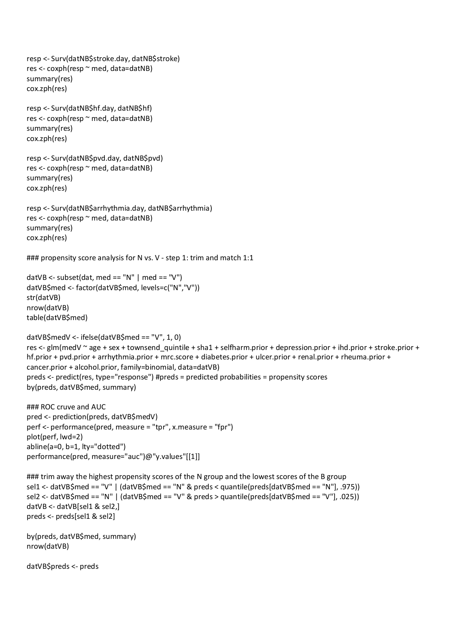resp <- Surv(datNB\$stroke.day, datNB\$stroke) res <- coxph(resp ~ med, data=datNB) summary(res) cox.zph(res) resp <- Surv(datNB\$hf.day, datNB\$hf) res <- coxph(resp ~ med, data=datNB) summary(res) cox.zph(res) resp <- Surv(datNB\$pvd.day, datNB\$pvd) res <- coxph(resp ~ med, data=datNB) summary(res) cox.zph(res) resp <- Surv(datNB\$arrhythmia.day, datNB\$arrhythmia) res <- coxph(resp ~ med, data=datNB) summary(res) cox.zph(res) ### propensity score analysis for N vs. V - step 1: trim and match 1:1 datVB <- subset(dat, med == "N" | med == "V") datVB\$med <- factor(datVB\$med, levels=c("N","V")) str(datVB) nrow(datVB) table(datVB\$med) datVB\$medV <- ifelse(datVB\$med == "V", 1, 0) res <- glm(medV  $\sim$  age + sex + townsend\_quintile + sha1 + selfharm.prior + depression.prior + ihd.prior + stroke.prior + hf.prior + pvd.prior + arrhythmia.prior + mrc.score + diabetes.prior + ulcer.prior + renal.prior + rheuma.prior + cancer.prior + alcohol.prior, family=binomial, data=datVB) preds <- predict(res, type="response") #preds = predicted probabilities = propensity scores by(preds, datVB\$med, summary) ### ROC cruve and AUC pred <- prediction(preds, datVB\$medV) perf <- performance(pred, measure = "tpr", x.measure = "fpr") plot(perf, lwd=2) abline(a=0, b=1, lty="dotted") performance(pred, measure="auc")@"y.values"[[1]] ### trim away the highest propensity scores of the N group and the lowest scores of the B group sel1 <- datVB\$med == "V" | (datVB\$med == "N" & preds < quantile(preds[datVB\$med == "N"], .975))

sel2 <- datVB\$med == "N" | (datVB\$med == "V" & preds > quantile(preds[datVB\$med == "V"], .025))

datVB <- datVB[sel1 & sel2,] preds <- preds[sel1 & sel2]

nrow(datVB)

datVB\$preds <- preds

by(preds, datVB\$med, summary)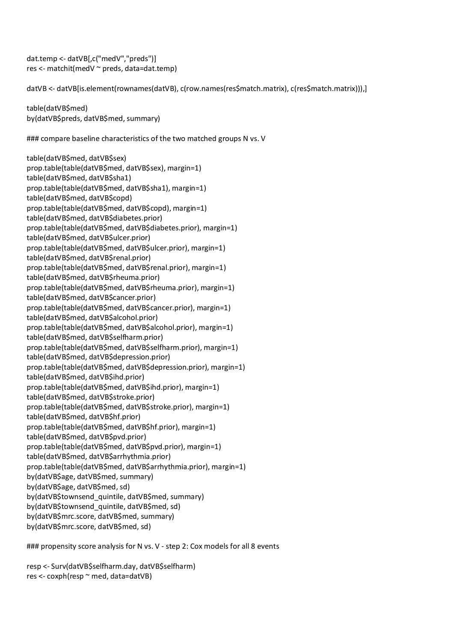dat.temp <- datVB[,c("medV","preds")] res <- matchit(medV ~ preds, data=dat.temp)

datVB <- datVB[is.element(rownames(datVB), c(row.names(res\$match.matrix), c(res\$match.matrix))),]

table(datVB\$med) by(datVB\$preds, datVB\$med, summary)

### compare baseline characteristics of the two matched groups N vs. V

table(datVB\$med, datVB\$sex) prop.table(table(datVB\$med, datVB\$sex), margin=1) table(datVB\$med, datVB\$sha1) prop.table(table(datVB\$med, datVB\$sha1), margin=1) table(datVB\$med, datVB\$copd) prop.table(table(datVB\$med, datVB\$copd), margin=1) table(datVB\$med, datVB\$diabetes.prior) prop.table(table(datVB\$med, datVB\$diabetes.prior), margin=1) table(datVB\$med, datVB\$ulcer.prior) prop.table(table(datVB\$med, datVB\$ulcer.prior), margin=1) table(datVB\$med, datVB\$renal.prior) prop.table(table(datVB\$med, datVB\$renal.prior), margin=1) table(datVB\$med, datVB\$rheuma.prior) prop.table(table(datVB\$med, datVB\$rheuma.prior), margin=1) table(datVB\$med, datVB\$cancer.prior) prop.table(table(datVB\$med, datVB\$cancer.prior), margin=1) table(datVB\$med, datVB\$alcohol.prior) prop.table(table(datVB\$med, datVB\$alcohol.prior), margin=1) table(datVB\$med, datVB\$selfharm.prior) prop.table(table(datVB\$med, datVB\$selfharm.prior), margin=1) table(datVB\$med, datVB\$depression.prior) prop.table(table(datVB\$med, datVB\$depression.prior), margin=1) table(datVB\$med, datVB\$ihd.prior) prop.table(table(datVB\$med, datVB\$ihd.prior), margin=1) table(datVB\$med, datVB\$stroke.prior) prop.table(table(datVB\$med, datVB\$stroke.prior), margin=1) table(datVB\$med, datVB\$hf.prior) prop.table(table(datVB\$med, datVB\$hf.prior), margin=1) table(datVB\$med, datVB\$pvd.prior) prop.table(table(datVB\$med, datVB\$pvd.prior), margin=1) table(datVB\$med, datVB\$arrhythmia.prior) prop.table(table(datVB\$med, datVB\$arrhythmia.prior), margin=1) by(datVB\$age, datVB\$med, summary) by(datVB\$age, datVB\$med, sd) by(datVB\$townsend\_quintile, datVB\$med, summary) by(datVB\$townsend\_quintile, datVB\$med, sd) by(datVB\$mrc.score, datVB\$med, summary) by(datVB\$mrc.score, datVB\$med, sd)

### propensity score analysis for N vs. V - step 2: Cox models for all 8 events

resp <- Surv(datVB\$selfharm.day, datVB\$selfharm) res <- coxph(resp ~ med, data=datVB)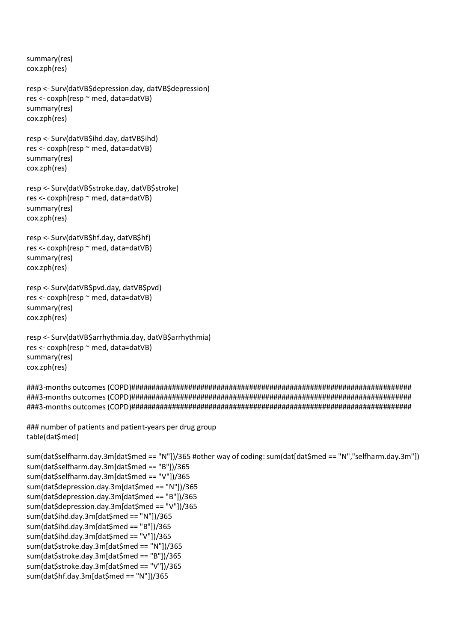summary(res) cox.zph(res)

resp <- Surv(datVB\$depression.day, datVB\$depression) res <- coxph(resp ~ med, data=datVB) summary(res) cox.zph(res)

resp <- Surv(datVB\$ihd.day, datVB\$ihd) res <- coxph(resp ~ med, data=datVB) summary(res) cox.zph(res)

resp <- Surv(datVB\$stroke.day, datVB\$stroke) res <- coxph(resp ~ med, data=datVB) summary(res) cox.zph(res)

resp <- Surv(datVB\$hf.day, datVB\$hf) res <- coxph(resp ~ med, data=datVB) summary(res) cox.zph(res)

resp <- Surv(datVB\$pvd.day, datVB\$pvd) res <- coxph(resp ~ med, data=datVB) summary(res) cox.zph(res)

resp <- Surv(datVB\$arrhythmia.day, datVB\$arrhythmia) res <- coxph(resp ~ med, data=datVB) summary(res) cox.zph(res)

###3-months outcomes (COPD)##################################################################### ###3-months outcomes (COPD)##################################################################### ###3-months outcomes (COPD)#####################################################################

### number of patients and patient-years per drug group table(dat\$med)

sum(dat\$selfharm.day.3m[dat\$med == "N"])/365 #other way of coding: sum(dat[dat\$med == "N","selfharm.day.3m"]) sum(dat\$selfharm.day.3m[dat\$med == "B"])/365 sum(dat\$selfharm.day.3m[dat\$med == "V"])/365 sum(dat\$depression.day.3m[dat\$med == "N"])/365 sum(dat\$depression.day.3m[dat\$med == "B"])/365 sum(dat\$depression.day.3m[dat\$med == "V"])/365 sum(dat\$ihd.day.3m[dat\$med == "N"])/365 sum(dat\$ihd.day.3m[dat\$med == "B"])/365 sum(dat\$ihd.day.3m[dat\$med == "V"])/365 sum(dat\$stroke.day.3m[dat\$med == "N"])/365 sum(dat\$stroke.day.3m[dat\$med == "B"])/365 sum(dat\$stroke.day.3m[dat\$med == "V"])/365 sum(dat\$hf.day.3m[dat\$med == "N"])/365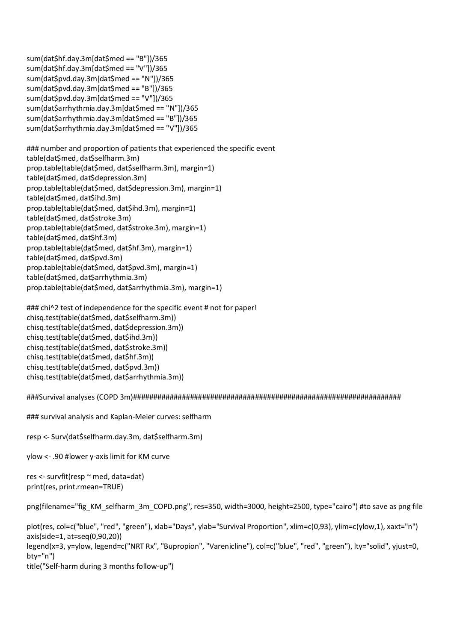sum(dat\$hf.day.3m[dat\$med == "B"])/365 sum(dat\$hf.day.3m[dat\$med == "V"])/365 sum(dat\$pvd.day.3m[dat\$med == "N"])/365 sum(dat\$pvd.day.3m[dat\$med == "B"])/365 sum(dat\$pvd.day.3m[dat\$med == "V"])/365 sum(dat\$arrhythmia.day.3m[dat\$med == "N"])/365 sum(dat\$arrhythmia.day.3m[dat\$med == "B"])/365 sum(dat\$arrhythmia.day.3m[dat\$med == "V"])/365

### number and proportion of patients that experienced the specific event table(dat\$med, dat\$selfharm.3m) prop.table(table(dat\$med, dat\$selfharm.3m), margin=1) table(dat\$med, dat\$depression.3m) prop.table(table(dat\$med, dat\$depression.3m), margin=1) table(dat\$med, dat\$ihd.3m) prop.table(table(dat\$med, dat\$ihd.3m), margin=1) table(dat\$med, dat\$stroke.3m) prop.table(table(dat\$med, dat\$stroke.3m), margin=1) table(dat\$med, dat\$hf.3m) prop.table(table(dat\$med, dat\$hf.3m), margin=1) table(dat\$med, dat\$pvd.3m) prop.table(table(dat\$med, dat\$pvd.3m), margin=1) table(dat\$med, dat\$arrhythmia.3m) prop.table(table(dat\$med, dat\$arrhythmia.3m), margin=1)

```
### chi^2 test of independence for the specific event # not for paper!
chisq.test(table(dat$med, dat$selfharm.3m))
chisq.test(table(dat$med, dat$depression.3m))
chisq.test(table(dat$med, dat$ihd.3m))
chisq.test(table(dat$med, dat$stroke.3m))
chisq.test(table(dat$med, dat$hf.3m))
chisq.test(table(dat$med, dat$pvd.3m))
chisq.test(table(dat$med, dat$arrhythmia.3m))
```
###Survival analyses (COPD 3m)##################################################################

### survival analysis and Kaplan-Meier curves: selfharm

resp <- Surv(dat\$selfharm.day.3m, dat\$selfharm.3m)

ylow <- .90 #lower y-axis limit for KM curve

res <- survfit(resp ~ med, data=dat) print(res, print.rmean=TRUE)

png(filename="fig\_KM\_selfharm\_3m\_COPD.png", res=350, width=3000, height=2500, type="cairo") #to save as png file

plot(res, col=c("blue", "red", "green"), xlab="Days", ylab="Survival Proportion", xlim=c(0,93), ylim=c(ylow,1), xaxt="n") axis(side=1, at=seq(0,90,20))

legend(x=3, y=ylow, legend=c("NRT Rx", "Bupropion", "Varenicline"), col=c("blue", "red", "green"), lty="solid", yjust=0, bty="n")

title("Self-harm during 3 months follow-up")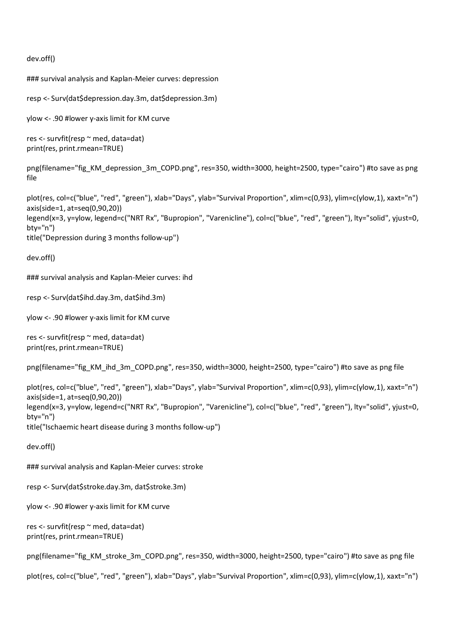dev.off()

### survival analysis and Kaplan-Meier curves: depression

resp <- Surv(dat\$depression.day.3m, dat\$depression.3m)

ylow <- .90 #lower y-axis limit for KM curve

```
res <- survfit(resp ~ med, data=dat)
print(res, print.rmean=TRUE)
```
png(filename="fig\_KM\_depression\_3m\_COPD.png", res=350, width=3000, height=2500, type="cairo") #to save as png file

```
plot(res, col=c("blue", "red", "green"), xlab="Days", ylab="Survival Proportion", xlim=c(0,93), ylim=c(ylow,1), xaxt="n")
axis(side=1, at=seq(0,90,20))
legend(x=3, y=ylow, legend=c("NRT Rx", "Bupropion", "Varenicline"), col=c("blue", "red", "green"), lty="solid", yjust=0,
bty="n")
title("Depression during 3 months follow-up")
```
dev.off()

### survival analysis and Kaplan-Meier curves: ihd

resp <- Surv(dat\$ihd.day.3m, dat\$ihd.3m)

ylow <- .90 #lower y-axis limit for KM curve

res <- survfit(resp ~ med, data=dat) print(res, print.rmean=TRUE)

png(filename="fig\_KM\_ihd\_3m\_COPD.png", res=350, width=3000, height=2500, type="cairo") #to save as png file

plot(res, col=c("blue", "red", "green"), xlab="Days", ylab="Survival Proportion", xlim=c(0,93), ylim=c(ylow,1), xaxt="n") axis(side=1, at=seq(0,90,20)) legend(x=3, y=ylow, legend=c("NRT Rx", "Bupropion", "Varenicline"), col=c("blue", "red", "green"), lty="solid", yjust=0, bty="n") title("Ischaemic heart disease during 3 months follow-up")

dev.off()

### survival analysis and Kaplan-Meier curves: stroke

resp <- Surv(dat\$stroke.day.3m, dat\$stroke.3m)

ylow <- .90 #lower y-axis limit for KM curve

res <- survfit(resp ~ med, data=dat) print(res, print.rmean=TRUE)

png(filename="fig\_KM\_stroke\_3m\_COPD.png", res=350, width=3000, height=2500, type="cairo") #to save as png file

plot(res, col=c("blue", "red", "green"), xlab="Days", ylab="Survival Proportion", xlim=c(0,93), ylim=c(ylow,1), xaxt="n")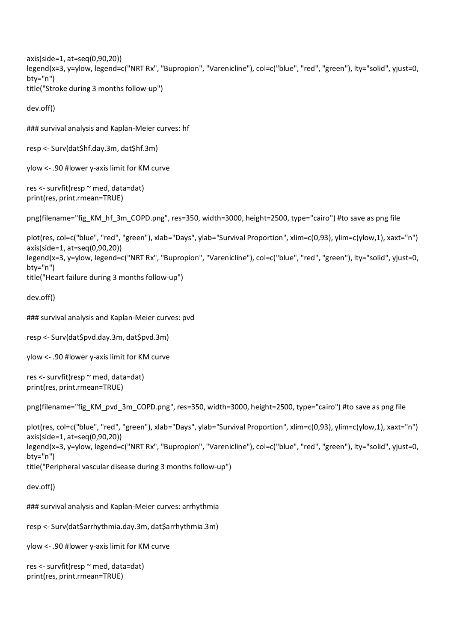```
axis(side=1, at=seq(0,90,20))
legend(x=3, y=ylow, legend=c("NRT Rx", "Bupropion", "Varenicline"), col=c("blue", "red", "green"), lty="solid", yjust=0,
bty="n")
title("Stroke during 3 months follow-up")
```
dev.off()

### survival analysis and Kaplan-Meier curves: hf

```
resp <- Surv(dat$hf.day.3m, dat$hf.3m)
```
ylow <- .90 #lower y-axis limit for KM curve

res <- survfit(resp ~ med, data=dat) print(res, print.rmean=TRUE)

png(filename="fig\_KM\_hf\_3m\_COPD.png", res=350, width=3000, height=2500, type="cairo") #to save as png file

```
plot(res, col=c("blue", "red", "green"), xlab="Days", ylab="Survival Proportion", xlim=c(0,93), ylim=c(ylow,1), xaxt="n")
axis(side=1, at=seq(0,90,20))
legend(x=3, y=ylow, legend=c("NRT Rx", "Bupropion", "Varenicline"), col=c("blue", "red", "green"), lty="solid", yjust=0,
bty="n")
title("Heart failure during 3 months follow-up")
```

```
dev.off()
```
### survival analysis and Kaplan-Meier curves: pvd

resp <- Surv(dat\$pvd.day.3m, dat\$pvd.3m)

ylow <- .90 #lower y-axis limit for KM curve

```
res <- survfit(resp ~ med, data=dat)
print(res, print.rmean=TRUE)
```

```
png(filename="fig_KM_pvd_3m_COPD.png", res=350, width=3000, height=2500, type="cairo") #to save as png file
```

```
plot(res, col=c("blue", "red", "green"), xlab="Days", ylab="Survival Proportion", xlim=c(0,93), ylim=c(ylow,1), xaxt="n")
axis(side=1, at=seq(0,90,20))
legend(x=3, y=ylow, legend=c("NRT Rx", "Bupropion", "Varenicline"), col=c("blue", "red", "green"), lty="solid", yjust=0,
bty="n")
title("Peripheral vascular disease during 3 months follow-up")
```

```
dev.off()
```
### survival analysis and Kaplan-Meier curves: arrhythmia

resp <- Surv(dat\$arrhythmia.day.3m, dat\$arrhythmia.3m)

ylow <- .90 #lower y-axis limit for KM curve

```
res <- survfit(resp ~ med, data=dat)
print(res, print.rmean=TRUE)
```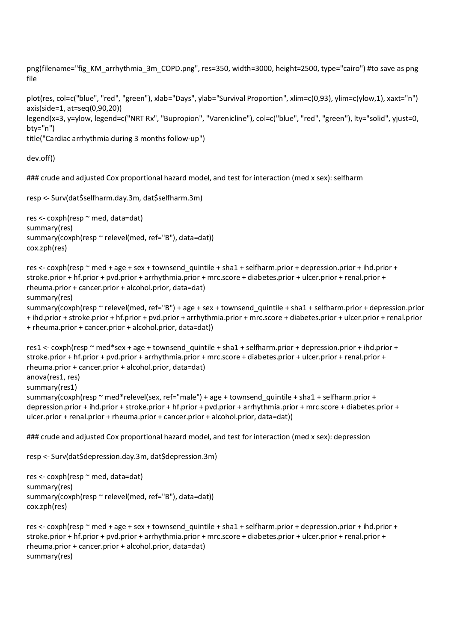png(filename="fig\_KM\_arrhythmia\_3m\_COPD.png", res=350, width=3000, height=2500, type="cairo") #to save as png file

plot(res, col=c("blue", "red", "green"), xlab="Days", ylab="Survival Proportion", xlim=c(0,93), ylim=c(ylow,1), xaxt="n") axis(side=1, at=seq(0,90,20))

```
legend(x=3, y=ylow, legend=c("NRT Rx", "Bupropion", "Varenicline"), col=c("blue", "red", "green"), lty="solid", yjust=0,
bty="n")
```
title("Cardiac arrhythmia during 3 months follow-up")

dev.off()

### crude and adjusted Cox proportional hazard model, and test for interaction (med x sex): selfharm

```
resp <- Surv(dat$selfharm.day.3m, dat$selfharm.3m)
```

```
res <- coxph(resp ~ med, data=dat)
summary(res)
summary(coxph(resp ~ relevel(med, ref="B"), data=dat))
cox.zph(res)
```
res <- coxph(resp ~ med + age + sex + townsend\_quintile + sha1 + selfharm.prior + depression.prior + ihd.prior + stroke.prior + hf.prior + pvd.prior + arrhythmia.prior + mrc.score + diabetes.prior + ulcer.prior + renal.prior + rheuma.prior + cancer.prior + alcohol.prior, data=dat) summary(res) summary(coxph(resp ~ relevel(med, ref="B") + age + sex + townsend quintile + sha1 + selfharm.prior + depression.prior + ihd.prior + stroke.prior + hf.prior + pvd.prior + arrhythmia.prior + mrc.score + diabetes.prior + ulcer.prior + renal.prior

+ rheuma.prior + cancer.prior + alcohol.prior, data=dat))

```
res1 <- coxph(resp ~ med*sex + age + townsend_quintile + sha1 + selfharm.prior + depression.prior + ihd.prior +
stroke.prior + hf.prior + pvd.prior + arrhythmia.prior + mrc.score + diabetes.prior + ulcer.prior + renal.prior +
rheuma.prior + cancer.prior + alcohol.prior, data=dat)
anova(res1, res)
summary(res1)
summary(coxph(resp \sim med*relevel(sex, ref="male") + age + townsend quintile + sha1 + selfharm.prior +
depression.prior + ihd.prior + stroke.prior + hf.prior + pvd.prior + arrhythmia.prior + mrc.score + diabetes.prior +
ulcer.prior + renal.prior + rheuma.prior + cancer.prior + alcohol.prior, data=dat))
```
### crude and adjusted Cox proportional hazard model, and test for interaction (med x sex): depression

resp <- Surv(dat\$depression.day.3m, dat\$depression.3m)

```
res <- coxph(resp ~ med, data=dat)
summary(res)
summary(coxph(resp ~ relevel(med, ref="B"), data=dat))
cox.zph(res)
```
res <- coxph(resp ~ med + age + sex + townsend quintile + sha1 + selfharm.prior + depression.prior + ihd.prior + stroke.prior + hf.prior + pvd.prior + arrhythmia.prior + mrc.score + diabetes.prior + ulcer.prior + renal.prior + rheuma.prior + cancer.prior + alcohol.prior, data=dat) summary(res)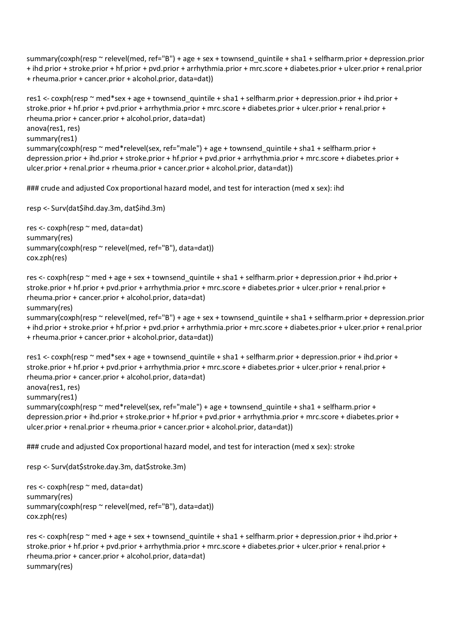summary(coxph(resp ~ relevel(med, ref="B") + age + sex + townsend\_quintile + sha1 + selfharm.prior + depression.prior + ihd.prior + stroke.prior + hf.prior + pvd.prior + arrhythmia.prior + mrc.score + diabetes.prior + ulcer.prior + renal.prior + rheuma.prior + cancer.prior + alcohol.prior, data=dat))

res1 <- coxph(resp ~ med\*sex + age + townsend\_quintile + sha1 + selfharm.prior + depression.prior + ihd.prior + stroke.prior + hf.prior + pvd.prior + arrhythmia.prior + mrc.score + diabetes.prior + ulcer.prior + renal.prior + rheuma.prior + cancer.prior + alcohol.prior, data=dat) anova(res1, res) summary(res1) summary(coxph(resp ~ med\*relevel(sex, ref="male") + age + townsend\_quintile + sha1 + selfharm.prior + depression.prior + ihd.prior + stroke.prior + hf.prior + pvd.prior + arrhythmia.prior + mrc.score + diabetes.prior + ulcer.prior + renal.prior + rheuma.prior + cancer.prior + alcohol.prior, data=dat))

### crude and adjusted Cox proportional hazard model, and test for interaction (med x sex): ihd

resp <- Surv(dat\$ihd.day.3m, dat\$ihd.3m)

res <- coxph(resp ~ med, data=dat) summary(res) summary(coxph(resp ~ relevel(med, ref="B"), data=dat)) cox.zph(res)

res <- coxph(resp ~ med + age + sex + townsend quintile + sha1 + selfharm.prior + depression.prior + ihd.prior + stroke.prior + hf.prior + pvd.prior + arrhythmia.prior + mrc.score + diabetes.prior + ulcer.prior + renal.prior + rheuma.prior + cancer.prior + alcohol.prior, data=dat) summary(res)

```
summary(coxph(resp ~ relevel(med, ref="B") + age + sex + townsend quintile + sha1 + selfharm.prior + depression.prior
+ ihd.prior + stroke.prior + hf.prior + pvd.prior + arrhythmia.prior + mrc.score + diabetes.prior + ulcer.prior + renal.prior
+ rheuma.prior + cancer.prior + alcohol.prior, data=dat))
```

```
res1 <- coxph(resp ~ med*sex + age + townsend_quintile + sha1 + selfharm.prior + depression.prior + ihd.prior +
stroke.prior + hf.prior + pvd.prior + arrhythmia.prior + mrc.score + diabetes.prior + ulcer.prior + renal.prior +
rheuma.prior + cancer.prior + alcohol.prior, data=dat)
anova(res1, res)
summary(res1)
summary(coxph(resp ~ med*relevel(sex, ref="male") + age + townsend_quintile + sha1 + selfharm.prior +
depression.prior + ihd.prior + stroke.prior + hf.prior + pvd.prior + arrhythmia.prior + mrc.score + diabetes.prior +
ulcer.prior + renal.prior + rheuma.prior + cancer.prior + alcohol.prior, data=dat))
```
### crude and adjusted Cox proportional hazard model, and test for interaction (med x sex): stroke

resp <- Surv(dat\$stroke.day.3m, dat\$stroke.3m)

```
res <- coxph(resp ~ med, data=dat)
summary(res)
summary(coxph(resp ~ relevel(med, ref="B"), data=dat))
cox.zph(res)
```

```
res <- coxph(resp ~ med + age + sex + townsend quintile + sha1 + selfharm.prior + depression.prior + ihd.prior +
stroke.prior + hf.prior + pvd.prior + arrhythmia.prior + mrc.score + diabetes.prior + ulcer.prior + renal.prior +
rheuma.prior + cancer.prior + alcohol.prior, data=dat)
summary(res)
```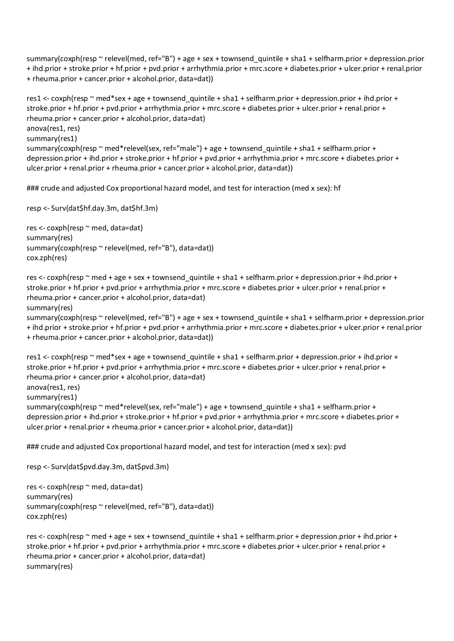summary(coxph(resp ~ relevel(med, ref="B") + age + sex + townsend\_quintile + sha1 + selfharm.prior + depression.prior + ihd.prior + stroke.prior + hf.prior + pvd.prior + arrhythmia.prior + mrc.score + diabetes.prior + ulcer.prior + renal.prior + rheuma.prior + cancer.prior + alcohol.prior, data=dat))

res1 <- coxph(resp ~ med\*sex + age + townsend\_quintile + sha1 + selfharm.prior + depression.prior + ihd.prior + stroke.prior + hf.prior + pvd.prior + arrhythmia.prior + mrc.score + diabetes.prior + ulcer.prior + renal.prior + rheuma.prior + cancer.prior + alcohol.prior, data=dat) anova(res1, res) summary(res1) summary(coxph(resp ~ med\*relevel(sex, ref="male") + age + townsend\_quintile + sha1 + selfharm.prior + depression.prior + ihd.prior + stroke.prior + hf.prior + pvd.prior + arrhythmia.prior + mrc.score + diabetes.prior + ulcer.prior + renal.prior + rheuma.prior + cancer.prior + alcohol.prior, data=dat))

### crude and adjusted Cox proportional hazard model, and test for interaction (med x sex): hf

resp <- Surv(dat\$hf.day.3m, dat\$hf.3m)

res <- coxph(resp ~ med, data=dat) summary(res) summary(coxph(resp ~ relevel(med, ref="B"), data=dat)) cox.zph(res)

res <- coxph(resp ~ med + age + sex + townsend quintile + sha1 + selfharm.prior + depression.prior + ihd.prior + stroke.prior + hf.prior + pvd.prior + arrhythmia.prior + mrc.score + diabetes.prior + ulcer.prior + renal.prior + rheuma.prior + cancer.prior + alcohol.prior, data=dat) summary(res)

```
summary(coxph(resp ~ relevel(med, ref="B") + age + sex + townsend quintile + sha1 + selfharm.prior + depression.prior
+ ihd.prior + stroke.prior + hf.prior + pvd.prior + arrhythmia.prior + mrc.score + diabetes.prior + ulcer.prior + renal.prior
+ rheuma.prior + cancer.prior + alcohol.prior, data=dat))
```

```
res1 <- coxph(resp ~ med*sex + age + townsend_quintile + sha1 + selfharm.prior + depression.prior + ihd.prior +
stroke.prior + hf.prior + pvd.prior + arrhythmia.prior + mrc.score + diabetes.prior + ulcer.prior + renal.prior +
rheuma.prior + cancer.prior + alcohol.prior, data=dat)
anova(res1, res)
summary(res1)
summary(coxph(resp ~ med*relevel(sex, ref="male") + age + townsend_quintile + sha1 + selfharm.prior +
depression.prior + ihd.prior + stroke.prior + hf.prior + pvd.prior + arrhythmia.prior + mrc.score + diabetes.prior +
ulcer.prior + renal.prior + rheuma.prior + cancer.prior + alcohol.prior, data=dat))
```
### crude and adjusted Cox proportional hazard model, and test for interaction (med x sex): pvd

```
resp <- Surv(dat$pvd.day.3m, dat$pvd.3m)
```

```
res <- coxph(resp ~ med, data=dat)
summary(res)
summary(coxph(resp ~ relevel(med, ref="B"), data=dat))
cox.zph(res)
```
res <- coxph(resp ~ med + age + sex + townsend quintile + sha1 + selfharm.prior + depression.prior + ihd.prior + stroke.prior + hf.prior + pvd.prior + arrhythmia.prior + mrc.score + diabetes.prior + ulcer.prior + renal.prior + rheuma.prior + cancer.prior + alcohol.prior, data=dat) summary(res)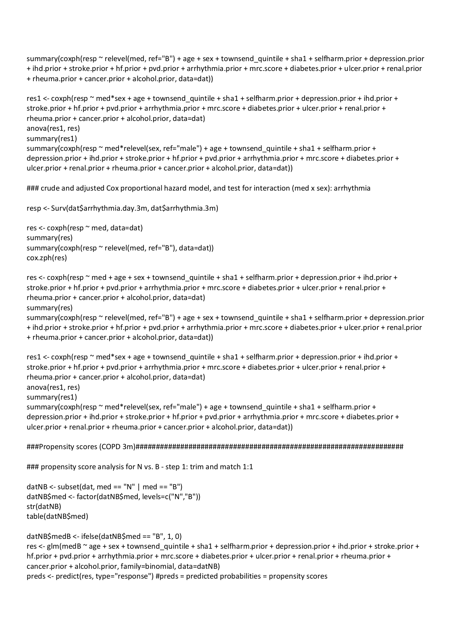summary(coxph(resp ~ relevel(med, ref="B") + age + sex + townsend\_quintile + sha1 + selfharm.prior + depression.prior + ihd.prior + stroke.prior + hf.prior + pvd.prior + arrhythmia.prior + mrc.score + diabetes.prior + ulcer.prior + renal.prior + rheuma.prior + cancer.prior + alcohol.prior, data=dat))

res1 <- coxph(resp ~ med\*sex + age + townsend\_quintile + sha1 + selfharm.prior + depression.prior + ihd.prior + stroke.prior + hf.prior + pvd.prior + arrhythmia.prior + mrc.score + diabetes.prior + ulcer.prior + renal.prior + rheuma.prior + cancer.prior + alcohol.prior, data=dat) anova(res1, res) summary(res1) summary(coxph(resp ~ med\*relevel(sex, ref="male") + age + townsend\_quintile + sha1 + selfharm.prior + depression.prior + ihd.prior + stroke.prior + hf.prior + pvd.prior + arrhythmia.prior + mrc.score + diabetes.prior + ulcer.prior + renal.prior + rheuma.prior + cancer.prior + alcohol.prior, data=dat))

### crude and adjusted Cox proportional hazard model, and test for interaction (med x sex): arrhythmia

resp <- Surv(dat\$arrhythmia.day.3m, dat\$arrhythmia.3m)

res <- coxph(resp ~ med, data=dat) summary(res) summary(coxph(resp ~ relevel(med, ref="B"), data=dat)) cox.zph(res)

res <- coxph(resp ~ med + age + sex + townsend quintile + sha1 + selfharm.prior + depression.prior + ihd.prior + stroke.prior + hf.prior + pvd.prior + arrhythmia.prior + mrc.score + diabetes.prior + ulcer.prior + renal.prior + rheuma.prior + cancer.prior + alcohol.prior, data=dat) summary(res)

summary(coxph(resp ~ relevel(med, ref="B") + age + sex + townsend quintile + sha1 + selfharm.prior + depression.prior + ihd.prior + stroke.prior + hf.prior + pvd.prior + arrhythmia.prior + mrc.score + diabetes.prior + ulcer.prior + renal.prior + rheuma.prior + cancer.prior + alcohol.prior, data=dat))

```
res1 <- coxph(resp ~ med*sex + age + townsend_quintile + sha1 + selfharm.prior + depression.prior + ihd.prior +
stroke.prior + hf.prior + pvd.prior + arrhythmia.prior + mrc.score + diabetes.prior + ulcer.prior + renal.prior +
rheuma.prior + cancer.prior + alcohol.prior, data=dat)
anova(res1, res)
summary(res1)
summary(coxph(resp ~ med*relevel(sex, ref="male") + age + townsend_quintile + sha1 + selfharm.prior +
depression.prior + ihd.prior + stroke.prior + hf.prior + pvd.prior + arrhythmia.prior + mrc.score + diabetes.prior +
ulcer.prior + renal.prior + rheuma.prior + cancer.prior + alcohol.prior, data=dat))
```
###Propensity scores (COPD 3m)##################################################################

### propensity score analysis for N vs. B - step 1: trim and match 1:1

datNB <- subset(dat, med == "N" | med == "B") datNB\$med <- factor(datNB\$med, levels=c("N","B")) str(datNB) table(datNB\$med)

datNB\$medB <- ifelse(datNB\$med == "B", 1, 0) res <- glm(medB ~ age + sex + townsend\_quintile + sha1 + selfharm.prior + depression.prior + ihd.prior + stroke.prior + hf.prior + pvd.prior + arrhythmia.prior + mrc.score + diabetes.prior + ulcer.prior + renal.prior + rheuma.prior + cancer.prior + alcohol.prior, family=binomial, data=datNB) preds <- predict(res, type="response") #preds = predicted probabilities = propensity scores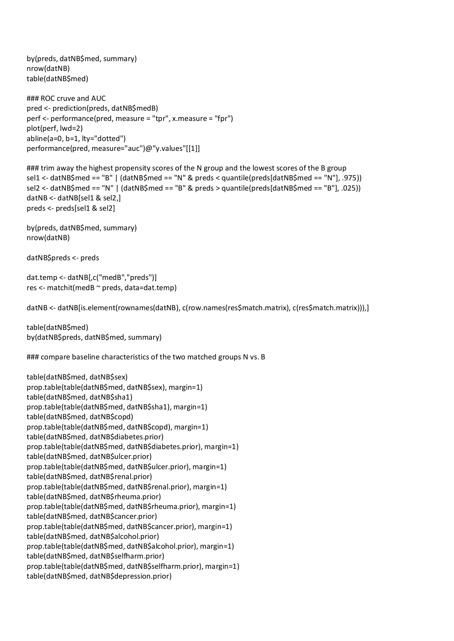by(preds, datNB\$med, summary) nrow(datNB) table(datNB\$med)

### ROC cruve and AUC pred <- prediction(preds, datNB\$medB) perf <- performance(pred, measure = "tpr", x.measure = "fpr") plot(perf, lwd=2) abline(a=0, b=1, lty="dotted") performance(pred, measure="auc")@"y.values"[[1]]

### trim away the highest propensity scores of the N group and the lowest scores of the B group sel1 <- datNB\$med == "B" | (datNB\$med == "N" & preds < quantile(preds[datNB\$med == "N"], .975)) sel2 <- datNB\$med == "N" | (datNB\$med == "B" & preds > quantile(preds[datNB\$med == "B"], .025)) datNB <- datNB[sel1 & sel2,] preds <- preds[sel1 & sel2]

by(preds, datNB\$med, summary) nrow(datNB)

datNB\$preds <- preds

dat.temp <- datNB[,c("medB","preds")] res <- matchit(medB ~ preds, data=dat.temp)

datNB <- datNB[is.element(rownames(datNB), c(row.names(res\$match.matrix), c(res\$match.matrix))),]

table(datNB\$med) by(datNB\$preds, datNB\$med, summary)

### compare baseline characteristics of the two matched groups N vs. B

table(datNB\$med, datNB\$sex) prop.table(table(datNB\$med, datNB\$sex), margin=1) table(datNB\$med, datNB\$sha1) prop.table(table(datNB\$med, datNB\$sha1), margin=1) table(datNB\$med, datNB\$copd) prop.table(table(datNB\$med, datNB\$copd), margin=1) table(datNB\$med, datNB\$diabetes.prior) prop.table(table(datNB\$med, datNB\$diabetes.prior), margin=1) table(datNB\$med, datNB\$ulcer.prior) prop.table(table(datNB\$med, datNB\$ulcer.prior), margin=1) table(datNB\$med, datNB\$renal.prior) prop.table(table(datNB\$med, datNB\$renal.prior), margin=1) table(datNB\$med, datNB\$rheuma.prior) prop.table(table(datNB\$med, datNB\$rheuma.prior), margin=1) table(datNB\$med, datNB\$cancer.prior) prop.table(table(datNB\$med, datNB\$cancer.prior), margin=1) table(datNB\$med, datNB\$alcohol.prior) prop.table(table(datNB\$med, datNB\$alcohol.prior), margin=1) table(datNB\$med, datNB\$selfharm.prior) prop.table(table(datNB\$med, datNB\$selfharm.prior), margin=1) table(datNB\$med, datNB\$depression.prior)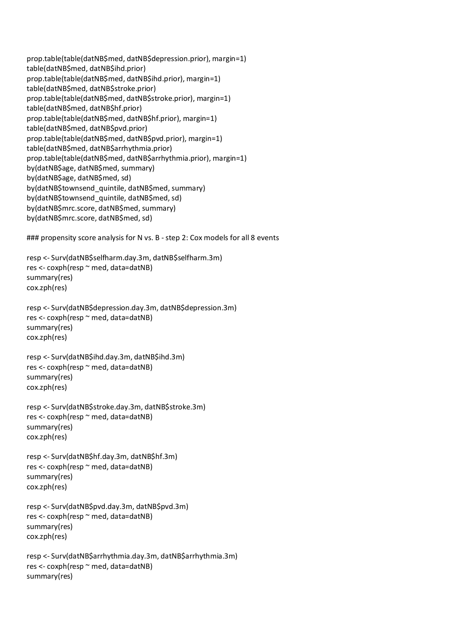prop.table(table(datNB\$med, datNB\$depression.prior), margin=1) table(datNB\$med, datNB\$ihd.prior) prop.table(table(datNB\$med, datNB\$ihd.prior), margin=1) table(datNB\$med, datNB\$stroke.prior) prop.table(table(datNB\$med, datNB\$stroke.prior), margin=1) table(datNB\$med, datNB\$hf.prior) prop.table(table(datNB\$med, datNB\$hf.prior), margin=1) table(datNB\$med, datNB\$pvd.prior) prop.table(table(datNB\$med, datNB\$pvd.prior), margin=1) table(datNB\$med, datNB\$arrhythmia.prior) prop.table(table(datNB\$med, datNB\$arrhythmia.prior), margin=1) by(datNB\$age, datNB\$med, summary) by(datNB\$age, datNB\$med, sd) by(datNB\$townsend\_quintile, datNB\$med, summary) by(datNB\$townsend\_quintile, datNB\$med, sd) by(datNB\$mrc.score, datNB\$med, summary) by(datNB\$mrc.score, datNB\$med, sd)

### propensity score analysis for N vs. B - step 2: Cox models for all 8 events

resp <- Surv(datNB\$selfharm.day.3m, datNB\$selfharm.3m) res <- coxph(resp ~ med, data=datNB) summary(res) cox.zph(res)

resp <- Surv(datNB\$depression.day.3m, datNB\$depression.3m) res <- coxph(resp ~ med, data=datNB) summary(res) cox.zph(res)

resp <- Surv(datNB\$ihd.day.3m, datNB\$ihd.3m) res <- coxph(resp ~ med, data=datNB) summary(res) cox.zph(res)

resp <- Surv(datNB\$stroke.day.3m, datNB\$stroke.3m) res <- coxph(resp ~ med, data=datNB) summary(res) cox.zph(res)

resp <- Surv(datNB\$hf.day.3m, datNB\$hf.3m) res <- coxph(resp ~ med, data=datNB) summary(res) cox.zph(res)

resp <- Surv(datNB\$pvd.day.3m, datNB\$pvd.3m) res <- coxph(resp ~ med, data=datNB) summary(res) cox.zph(res)

resp <- Surv(datNB\$arrhythmia.day.3m, datNB\$arrhythmia.3m) res <- coxph(resp ~ med, data=datNB) summary(res)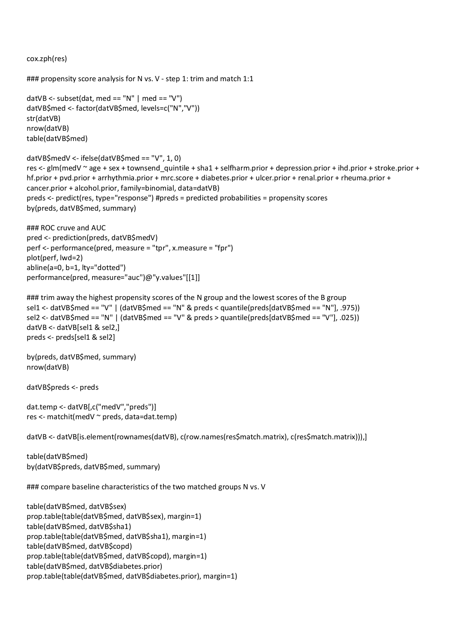cox.zph(res)

```
### propensity score analysis for N vs. V - step 1: trim and match 1:1
```

```
datVB <- subset(dat, med == "N" | med == "V")
datVB$med <- factor(datVB$med, levels=c("N","V"))
str(datVB)
nrow(datVB)
table(datVB$med)
datVB$medV <- ifelse(datVB$med == "V", 1, 0)
res <- glm(medV ~ age + sex + townsend_quintile + sha1 + selfharm.prior + depression.prior + ihd.prior + stroke.prior +
hf.prior + pvd.prior + arrhythmia.prior + mrc.score + diabetes.prior + ulcer.prior + renal.prior + rheuma.prior +
cancer.prior + alcohol.prior, family=binomial, data=datVB)
preds <- predict(res, type="response") #preds = predicted probabilities = propensity scores
```
by(preds, datVB\$med, summary)

```
### ROC cruve and AUC
pred <- prediction(preds, datVB$medV)
perf <- performance(pred, measure = "tpr", x.measure = "fpr")
plot(perf, lwd=2)
abline(a=0, b=1, lty="dotted")
performance(pred, measure="auc")@"y.values"[[1]]
```

```
### trim away the highest propensity scores of the N group and the lowest scores of the B group
sel1 <- datVB$med == "V" | (datVB$med == "N" & preds < quantile(preds[datVB$med == "N"], .975))
sel2 <- datVB$med == "N" | (datVB$med == "V" & preds > quantile(preds[datVB$med == "V"], .025))
datVB <- datVB[sel1 & sel2,]
preds <- preds[sel1 & sel2]
```

```
by(preds, datVB$med, summary)
nrow(datVB)
```
datVB\$preds <- preds

```
dat.temp <- datVB[,c("medV","preds")]
res <- matchit(medV ~ preds, data=dat.temp)
```
datVB <- datVB[is.element(rownames(datVB), c(row.names(res\$match.matrix), c(res\$match.matrix))),]

table(datVB\$med) by(datVB\$preds, datVB\$med, summary)

### compare baseline characteristics of the two matched groups N vs. V

```
table(datVB$med, datVB$sex)
prop.table(table(datVB$med, datVB$sex), margin=1)
table(datVB$med, datVB$sha1)
prop.table(table(datVB$med, datVB$sha1), margin=1)
table(datVB$med, datVB$copd)
prop.table(table(datVB$med, datVB$copd), margin=1)
table(datVB$med, datVB$diabetes.prior)
prop.table(table(datVB$med, datVB$diabetes.prior), margin=1)
```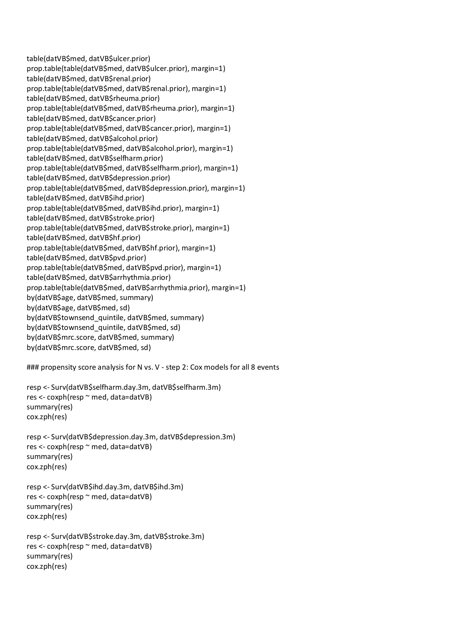table(datVB\$med, datVB\$ulcer.prior) prop.table(table(datVB\$med, datVB\$ulcer.prior), margin=1) table(datVB\$med, datVB\$renal.prior) prop.table(table(datVB\$med, datVB\$renal.prior), margin=1) table(datVB\$med, datVB\$rheuma.prior) prop.table(table(datVB\$med, datVB\$rheuma.prior), margin=1) table(datVB\$med, datVB\$cancer.prior) prop.table(table(datVB\$med, datVB\$cancer.prior), margin=1) table(datVB\$med, datVB\$alcohol.prior) prop.table(table(datVB\$med, datVB\$alcohol.prior), margin=1) table(datVB\$med, datVB\$selfharm.prior) prop.table(table(datVB\$med, datVB\$selfharm.prior), margin=1) table(datVB\$med, datVB\$depression.prior) prop.table(table(datVB\$med, datVB\$depression.prior), margin=1) table(datVB\$med, datVB\$ihd.prior) prop.table(table(datVB\$med, datVB\$ihd.prior), margin=1) table(datVB\$med, datVB\$stroke.prior) prop.table(table(datVB\$med, datVB\$stroke.prior), margin=1) table(datVB\$med, datVB\$hf.prior) prop.table(table(datVB\$med, datVB\$hf.prior), margin=1) table(datVB\$med, datVB\$pvd.prior) prop.table(table(datVB\$med, datVB\$pvd.prior), margin=1) table(datVB\$med, datVB\$arrhythmia.prior) prop.table(table(datVB\$med, datVB\$arrhythmia.prior), margin=1) by(datVB\$age, datVB\$med, summary) by(datVB\$age, datVB\$med, sd) by(datVB\$townsend\_quintile, datVB\$med, summary) by(datVB\$townsend\_quintile, datVB\$med, sd) by(datVB\$mrc.score, datVB\$med, summary) by(datVB\$mrc.score, datVB\$med, sd)

### propensity score analysis for N vs. V - step 2: Cox models for all 8 events

```
resp <- Surv(datVB$selfharm.day.3m, datVB$selfharm.3m)
res <- coxph(resp ~ med, data=datVB)
summary(res)
cox.zph(res)
```

```
resp <- Surv(datVB$depression.day.3m, datVB$depression.3m)
res <- coxph(resp ~ med, data=datVB)
summary(res)
cox.zph(res)
```

```
resp <- Surv(datVB$ihd.day.3m, datVB$ihd.3m)
res <- coxph(resp ~ med, data=datVB)
summary(res)
cox.zph(res)
```

```
resp <- Surv(datVB$stroke.day.3m, datVB$stroke.3m)
res <- coxph(resp ~ med, data=datVB)
summary(res)
cox.zph(res)
```